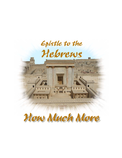

# How Much More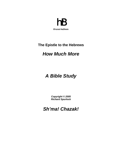

# **The Epistle to the Hebrews**

# *How Much More*

# *A Bible Study*

*Copyright* **©** *2005 Richard Spurlock* 

*Sh'ma! Chazak!*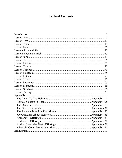# **Table of Contents**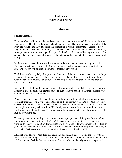## **Hebrews "How Much More"**

## **Introduction**

#### **Security Blankets**

For most of us, traditions are like well-worn comforters are to a young child. Security blankets keep us warm. They have a familiar feel and smell to them. They remind us of our mother. Take away the blanket, and there is a sense that something is wrong – something is unsafe – that we may be in danger. When we get older, we understand that such reliance on a blanket is childish, so we pretend that we are not dependent upon the blanket – that our well-being is not affected by such a silly thing. We replace the security blankets with other things that give us a sense of wellbeing.

In like manner, no one likes to admit that some of their beliefs are based on religious tradition. Especially we students of the Bible. So, let's be honest with ourselves: we all are affected in some way by our own religious traditions. That is not always bad.

Traditions may be very helpful to protect us from error. Like the security blanket, they can help us connect to our spiritual parents; so we can more easily spot things that don't quite jibe with what we have been taught. However, here is the danger in some religious traditions: they can blind us to the truth.

No one likes to think that his understanding of Scripture might be slightly askew; but if we are honest we must all admit that there is only one truth – and we are all off the mark in some way or another; some worse than others.

What we must agree on is that just like we inherit practical religious traditions, we also inherit doctrinal traditions. We may not understand all of the issues that went in to a certain perspective of Scripture, but we can sense when a counter of it seems wrong. When we get to that point, we must begin to seriously ask ourselves, "Do I really want to know the truth, or am I content to think we already I know the truth?" Our answer to that question determines how serious a Bible student we want to be.

This study is not about tearing down our traditions, or perspectives of Scripture. It is not about throwing out the 'old' in favor of the 'new'. It is not about just an another exchange of one tradition for a different tradition. It is about taking an historical, literary approach to Scripture, to gain a better understanding of the truth of Scripture. The most important purpose of this study is to see what God wants us to know about Messiah and our relationship to Him.

Although we all have certain doctrinal traditions, one thing is true: replacing the 'old' with the 'new' is not a new thing – it is something that man has always stooped to. This study is not about 'old' versus 'new' – it is about attempting to find the authentic, the original – and to pursue it.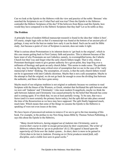Can we look at the Epistle to the Hebrews with the view and practice of the noble 'Bereans' who searched the Scriptures to see if what Paul said was true? Does the Epistle to the Hebrews contradict the Hebrew Scriptures of the day? If the believers from Berea read this Epistle, how would they have compared it to the Hebrew Scriptures that they had? Let us be noble as they.

#### **The Problem**

A principle focus of modern biblical manuscript research is found in the idea that 'oldest is best'. Of course, simple logic tells us that if a manuscript was found at the bottom of an ancient pile of garbage, it may not be the best no matter how early it can be dated. Such can be said for Bible study. Just because a point of view of Scripture is ancient, does not make it right.

What is curious about Protestantism is its inherent desire to 'get back to the original', which in this case means getting back to First Century faith and practice. This is inherent because of the basic tenet of why Protestants are not Catholics; namely, in oversimplified terms, the Catholic Church lost their way and forgot what the early church fathers taught. That is why, when a Protestant theologian wants to give greater authority for a given point, they leap-frog over a millennia of theology and quote an early church father. This seems to make sense. The problem is, they may be making the same critical error of assumption that we see in the case of the 'early manuscript is better' thinking. The assumption, of course, is that the early church fathers would not be in agreement with later Catholic doctrines. Maybe that is not a safe assumption. Maybe in the attempt to find the original, we do not go back far enough to cross the dividing line between the authentic, and those who have gone astray.

Maybe much of our religious tradition is not original or authentic because we continue to read Scripture with the biases of the Western, or Greek, mindset that facilitated the split between what we now call 'Judaism' and 'Christianity'. Like most modern Evangelicals, maybe we think the split between Judaism and Christianity was caused primarily by the belief that Messiah has come and is coming again. If we think that, we are at least partially wrong. To be sure, that was a factor (and it is most certainly the primary factor today), but the split did not take place around the time of the Resurrection as we have may have supposed. The split finally happened much, much later. Which means that some of the things we assume the Epistle to the Hebrews is speaking of were not even issues at the time.

We have layers of preconceived notions to remove if we are to get to the true meaning of this book. For example, in the preface to my New King James Bible by Thomas Nelson Publishing, it says this about the Epistle to the Hebrews,

*"Many Jewish believers, having stepped out of Judaism into Christianity, want to reverse their course in order to escape persecution by their countrymen. The writer of Hebrews exhorts them to 'go on to perfection' (6:1). His appeal is based upon the superiority of Christ over the Judaic system... In short, there is more to be gained in Christ than to be lost in Judaism. Pressing on in Christ produces tested faith, selfdiscipline, and a visible love seen in good works."*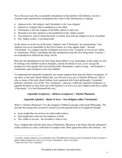Now, that may seem like a reasonable introduction to the Epistle to the Hebrews, but let's examine some anachronistic assumptions the writer of this introduction is making:

- Judaism is the 'old religion' and Christianity is the 'new religion'.
- Judaism is a religion that is antithetical to true faith.
- Christianity is the true religion of the Bible, albeit it a later one.
- Messiah is not only superior to, but antithetical to the 'Judaic system'.
- True believers, such to whom the letter is written, have left one religion in favor of another.
- The 'Judaic system' is not about faith.

At the outset, even the use of the terms 'Judaism' and 'Christianity' are anachronistic. First, Judaism was not as monolithic in the First Century as it may appear today<sup>1</sup>. Second, 'Christianity' as a religion outside of Judaism was not in view. Certainly, it was not an 'either, or' proposition. When I read things like this introduction from the New King James Version, I am reminded how difficult this study will be.

Beloved, the introduction to the New King James Bible is very misleading. In this study we will be looking at the faithful record in Scripture, namely the Book of Acts, so we can get the perspective of the people who received this letter. Remember, context is king – and Scripture's commentary upon Scripture is the most faithful.

To understand the Apostolic Scriptures<sup>2</sup> one cannot separate them from the Hebrew Scriptures. If one does, as the early church fathers did, you will arrive at a sort of Theistic Platonism. This is why so many of the early church fathers were enamored with Greek philosophy. It matched perfectly with their view of the 'New Testament'. Likewise, within the Apostolic Scriptures, to separate the Book of Acts from any of the Epistles is to arrive at a new religion some have called 'Christianity'. It is best illustrated this way:

#### **(Apostolic Scriptures) – (Hebrew Scriptures) = Theistic Platonism**

#### **(Apostolic Epistles) – (Book of Acts) = New Religion called 'Christianity'**

What is 'Theistic Platonism'? It is the merging of biblical concepts with Greek Philosophy. The fact that this merger has occurred is found in several general tenets in Evangelical thought:

- Jesus taught that our motives are what really matters.
- Paul taught that works are the antithesis of faith.
- The visible is not real the invisible is what is real.

Now, compare that with the main tenet of Platonism. Platonism is the theory that the substantive reality around us is only a reflection of a higher truth. Plato agued that truth is the abstract – not

 $\overline{a}$ 

 $<sup>1</sup>$  In reality, modern Judaism is not monolithic at all. The differences between sects are profound. It may be better to</sup> define modern Judaism by what is not: It is not 'Christianity' and it is not Islam.

<sup>&</sup>lt;sup>2</sup> Some call it the 'New Testament'.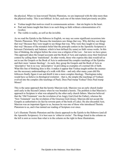the physical. When we lean toward Theistic Platonism, we are impressed with *the idea* more than the *physical* reality. This is not biblical. In fact, each one of the tenets listed previously are *false*.

- Yeshua taught that motives *result* in commensurate actions that sin *begins* in the heart.
- Paul and James taught that there is no such thing as faith without a demonstration of it (works).
- The visible *is* reality, *as well as* the invisible.

As we read the Epistle to the Hebrews in English, we may see some significant excursions into Theistic Platonism. Why? Because the translators saw things that way. Why did they see things that way? Because they were taught to see things that way. Why were they taught to see things that way? Because of the mistaken belief that the principle contest in the Apostolic Scriptures is between Christianity and Judaism; which is best defined (by some) as faith versus works. In this line of thinking, the religion before the cross was a religion of the Law – but now we have grace. This approach takes the Gospel accounts and the Book of Acts and explains away their historical context by calling them 'transitional'. In other words, those who express this idea would tell us not to use the Gospels or the Book of Acts to understand the complex teachings of the Epistles and their more 'mature theology'. As such, they group the Gospels and the Book of Acts as 'descriptive' but in no way 'prescriptive' in providing us examples of a normal life of faith. What this line of thinking does is this: it makes it appear that Yeshua taught neither the essence nor the necessary understandings of a walk with Him – and only after many years did His followers finally figure it out and distill it into a more complex theology. Theologians today would have us believe in *theological evolution* – that is, the simple (the teachings of Yeshua) evolved into the complex (the teachings of Paul). Does Paul trump Yeshua? Does Paul trump Moses?

This is the same approach that the heretic Marcion took. Marcion was an early church leader until early in the Second Century when he was branded a heretic. The problem is that Marcion's approach to Scripture is what was adopted by the other early church fathers. Marcion believed that the 'Old Testament' was the revelation of an Angry God (God the Father), whereas the 'New Testament' was the revelation of the Gracious God (Jesus). Marcion did not accept the Gospels as authoritative (in fact he rewrote parts of the book of Luke). He also discarded Acts. Marcion was an important figure to us, because he was one of those who introduced Theistic Platonism to us, and it has tainted our reading of Scripture ever since.

Let's illustrate Theistic Platonism and the classic approach to the Epistle to the Hebrews (and all the Apostolic Scriptures). It is best seen in 'either/or circles'. The things listed in the column on the left is *seen* as worse than what is in the column on the right in these illustrations.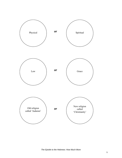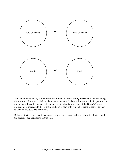

You can probably tell by these illustrations I think this is the *wrong approach* to understanding the Apostolic Scriptures. I believe there *are* many valid 'either/or' illustrations in Scripture – but not the ones illustrated above. Let's do our best to identify any errors of the Greek/Western philosophical approach to discover the truth. So to start with remember these 'either/or circles' as we do our study. *Are they valid?*

Beloved, it will be our goal to try to get past our own biases, the biases of our theologians, and the biases of our translators. Let's begin.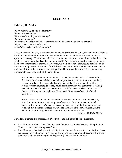## **Lesson One**

#### **Hebrews, The Setting**

*Who wrote the Epistle to the Hebrews? Who was it written to? What was the setting for the writing? When was it written? Where was the writer and where were the recipients when the book was written? Why did the writer write the book? How did the writer make his point(s)?* 

These may seem like silly questions when one reads Scripture. To some, the fact that the Bible is the Word of God and it will have its intended effect upon us without the answers to these questions is enough. That is somewhat true, but it denies the problem we discussed earlier. Is the English version in our hands authoritative, in itself? Am I to believe that the translators' biases have been supernaturally erased? If they were, we would not have disagreeing translations. So we must attempt to find the context for this book if we are to understand what God wants us to understand from it. Let's look at one passage from Hebrews and try to see that context is so important to seeing the truth of the entire book.

For you have not come to the mountain that may be touched and that burned with fire, and to blackness and darkness and tempest, and the sound of a trumpet and the voice of words, so that those who heard *it* begged that the word should not be spoken to them anymore. (For they could not endure what was commanded: *"And if so much as a beast touches the mountain, it shall be stoned* or shot with an arrow." And so terrifying was the sight *that* Moses said, *"I am exceedingly afraid* and trembling.")

But you have come to Mount Zion and to the city of the living God, the heavenly Jerusalem, to an innumerable company of angels, to the general assembly and church of the firstborn *who are* registered in heaven, to God the Judge of all, to the spirits of just men made perfect, to Jesus the Mediator of the new covenant, and to the blood of sprinkling that speaks better things than *that of* Abel.

Hebrews 12:18-24 NKJV

Now, let's examine this passage, *out of context* – and in light of Theistic Platonism.

- Two Mountains: One is Sinai (the physical), the other is Zion (in heaven). The principle: Heaven is better, and has replaced Sinai.
- Two Messages: One is God's voice at Sinai, with fire and darkness, the other is from Jesus, the message of mediation. The principle: It is a good thing we are on this side of the cross – back then God was pretty angry and frightening – now we only get love.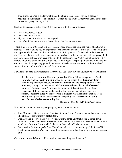• Two emotions: One is the terror at Sinai, the other is the peace of having a heavenly registration and residence. The principle: Which do you want, the terror of Sinai, or the peace of heaven? (Easy choice, isn't it?)

See how this passage, *out of context*, fits so nicely with these errant ideas:

- Law = bad. Grace = good.
- Old = bad. New = good.
- Physical = bad. Invisible, spiritual = good.
- God of Old Testament = scary. Jesus of the New Testament = nice.

There is a problem with the above assessment. Those are not the point the writer of Hebrews is making. He is not giving you an argument of replacement, or one of 'either or'. He is doing quite the opposite. If this interpretation of Hebrews 12:18-24 gives us a framework of the Epistle to the Hebrews, then we will never understand the profound truths therein. We will pompously look down our noses at those who have not come to the realization that 'faith' cannot be done – it is merely a working of the mind (we might say, 'a working of the spirit'). Of course, if we take that opinion, we will always struggle with the words of Yeshua – and the words of the Epistle of James. *If we take that position, we will be very wrong.* 

Now, let's just read a little further in Hebrews 12. Let's start in verse 25, right where we left off.

See that you do not refuse Him who speaks. For if they did not escape who refused Him who spoke on earth, **much more** *shall we not escape* **if we turn away from Him** who *speaks* from heaven, **whose voice then shook the earth;** but now He has promised, saying, *"Yet once more I* **shake not only the earth, but also heaven**." Now this, *"Yet once more,"* indicates the removal of those things that are being shaken, as of things that are made, that the things which cannot be shaken may remain. Therefore, **since** we are receiving a kingdom which cannot be shaken, let us have grace, by which we may **serve** God acceptably with **reverence and godly fear**. **For our God** *is* **a consuming fire**.

Hebrews 12:25-29 NKJV (*emphasis added*)

Now let's examine this entire passage again, but this time *in context*.

- Two Mountains: Sinai and Zion. Sinai is a picture of Zion. Principle: remember what it was like at Sinai – *now multiply: that is Zion*.
- One Message (not two): The Voice you hear is *the same One* that spoke at Sinai. If we trembled as Sinai, *how much more* now, if we abandon our walk with Yeshua. The mountain shook, and *how much more* will the heavens shake when Yeshua returns.
- One emotion (not two): *godly fear*. To understand grace, is not to disregard the fear of God. It is to *be mobilized by that fear*, rather than to ignore it, rather than to be motionless because of it.

Can you see how this book could be made to say something that it doesn't?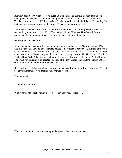But what does it say? When Hebrews 12:18-29 is examined as a single thought, instead of a theology of replacement, we are given an argument of 'light to heavy', or 'how much more'. This is a common device of Hebrew writers. Yeshua used it extensively. It is in effect saying, "If that was true, *how much more* is this true." We will come back to this often.

Yes, there are deep truths to be uncovered if we are willing to revisit our preconceptions. Let's start with trying to answer the "Who, What, When, Where, Why, and How" – and always remember why we are doing this: so we don't take anything out of context.

#### **Reading and Observation**

In the Appendix is a copy of the Epistle to the Hebrews in the Hebrew Names Version (HNV). Use this version as your principle reading source. This version is not perfect, and it is not devoid of its own biases – in fact some of the same ones you may find in KJV or NASB; but the Hebrew names and terms will take you partially out of your 'security blanket'. The HNV is the World English Bible (WEB) that has been edited with Hebrew substitutions. It is in the Public Domain. The WEB version is itself an updated variation of the 1901 American Standard Version (ASV), so it will be somewhat familiar to you as well.

Read the book of Hebrews and look for any hints you can find to the following questions (do not use any commentaries yet). Include the Scripture reference.

Who wrote it?

To whom was it written?

What was the historical setting? (i.e. look for any historical references).

When was the book written? (based upon the answer above, try to date it).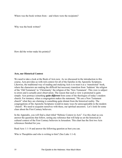Where was the book written from – and where were the recipients?

Why was the book written?

How did the writer make his point(s)?

#### **Acts, our Historical Context**

We need to take a look at the Book of Acts now. As we discussed in the introduction to this course, Acts provides us with rich context for all of the Epistles in the Apostolic Scriptures. Likewise, the traditional way of reading and studying Acts is to treat it as a 'transitional' book, where the characters are making the difficult but necessary transition from 'Judaism' the religion of the 'Old Testament' to 'Christianity' the religion of the 'New Testament'. This view is subject to errors and is actually poor observation. The reason that such a view is promoted is quite simple: Acts portrays something *quite different* from some of the theologies of today's modern church. For instance, when a congregation makes the statement, "We are a New Testament church" what they are claiming is something quite distant from the historical reality. The congregations of the Apostolic Scriptures would in many ways be unrecognizable to the modern 'church'. We need to acquaint ourselves with these, our spiritual ancestors. Let's look for some clues about the First Century believers.

In the Appendix, you will find a chart titled "Hebraic Context in Acts". Use this chart as you answer the questions that follow, noting any reference that will help us set the historical or cultural context of the First Century believers in Jerusalem. This chart has the first two Acts references finished for you.

Read Acts 1:1-14 and answer the following question as best you can.

Who is Theophilos and who is writing to him? (See Luke 1:1-4)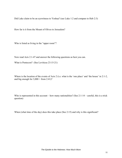Did Luke claim to be an eyewitness to Yeshua? (see Luke 1:2 and compare to Heb 2:3)

How far is it from the Mount of Olives to Jerusalem?

Who is listed as living in the "upper room"?

Now read Acts 2:1-47 and answer the following questions as best you can.

What is Pentecost? (See Leviticus 23:15-21)

Where is the location of the events of Acts 2 (i.e. what is the 'one place' and 'the house' in 2:1-2, and big enough for  $3,000 +$  from 2:41)?

Who is represented in this account – how many nationalities? (See 2:1-14 – careful, this is a trick question)

When (what time of the day) does this take place (See 2:15) and why is this significant?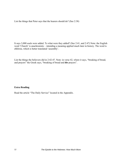List the things that Peter says that the hearers should do? (See 2:38)

It says 3,000 souls were added. To what were they added? (See 2:41, and 2:47) Note: the English word 'Church' is anachronistic – intending a meaning applied much later in history. The word is *ekklesia*, which is better translated 'assembly'.

List the things the believers did in 2:42-47. Note: in verse 42, where it says, "breaking of bread, and prayers" the Greek says, "breaking of bread and *the* prayers".

#### **Extra Reading**

Read the article "The Daily Service" located in the Appendix.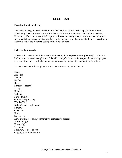## **Lesson Two**

#### **Examination of the Setting**

Last week we began our examination into the historical setting for the Epistle to the Hebrews. We already have a grasp of some of the issues that were present when this book was written. Remember, if we are to read this Scripture as it was intended *for us*, we must understand how it was intended *for the recipients back then*. In this lesson, we will continue both our observation of Hebrews and of the historical setting in the Book of Acts.

#### **Hebrews Key Words**

We are going to read the Epistle to the Hebrews again (**chapters 1 through 6 only**) – this time looking for key words and phrases. This will be helpful for us to focus upon the writer's purpose in writing the book. It will also help us in our cross referencing to other parts of Scripture.

Write each of the following key words or phrases on a separate 3x5 card.

House Angel(s) Scepter  $Son(s)$ Rest Shabbat [Sabbath] Today Believe Unbelief Faith / faithful Good News [Gospel] Word of God Kohen Gadol [High Priest] Shadow Covenant Blood Sacrifice(s) How much more (or any quantitative, comparitive phrase) World or Age Heaven(ly) To Come First Part, or Second Part Copy(s), Example, Pattern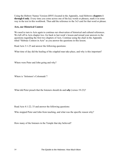Using the Hebrew Names Version (HNV) located in the Appendix, read Hebrews **chapters 1 through 6 only**. Every time you come across one of the key words or phrases, mark it in some way in the text in this workbook. Then add the reference to the 3x5 card for that word or phrase.

#### **Acts, our Historical Context**

We need to turn to Acts again to continue our observation of historical and cultural references. We left off in Acts chapter two. Go back to last week's lesson and reread your answers to the questions regarding the first two chapters of Acts. Continue using the chart in the Appendix titled "Hebraic Context in Acts" as you answer the questions in this lesson.

Read Acts 3:1-25 and answer the following questions:

What time of day did the healing of the crippled man take place, and why is this important?

Where were Peter and John going and why?

Where is 'Solomon's Colonnade'?

What did Peter preach that the listeners should do and *why* (verses 19-23)?

Read Acts 4:1-22; 33 and answer the following questions:

Who stopped Peter and John from teaching, and what was the specific reason why?

How many of the listeners in the Temple that day believed?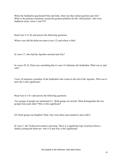When the Sanhedrin questioned Peter and John, what was their initial question and why? What in the primary testimony caused the greatest problem for the 'chief priests' who were Sadducee (note verses 2 and 33)?

Read Acts 5:12-42 and answer the following questions:

Where were did the believers meet (verse 12) and where is that?

In verse 17, who had the Apostles arrested and why?

In verses 29-32, Peter says something that in verse 33 infuriates the Sanhedrin. What was it, and why?

Verse 34 mentions a member of the Sanhedrin who comes to the aid of the Apostles. Who was it, and why is this significant?

Read Acts 6:1-8:1 and answer the following questions:

Two groups of people are mentioned 6:1. Both groups are Jewish. What distinguishes the two groups from each other? Why is this significant?

Of which group was Stephen? (hint, why were these men needed to start with?)

In verse 7, the Yeshua-movement is growing. There is a significant type of person (from a family) joining the believers: who is it and why is this significant?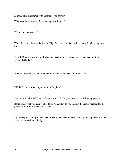A group of men disputed with Stephen. Who are they?

What was the accusation they made against Stephen?

Was the accusation true?

When Stephen is brought before the High Priest and the Sanhedrin, what is the charge against him?

How did Stephen respond, and what was his chief accusation against those listening to his defense (7:51-53)?

What did Stephen say that enflamed them when they began shouting at him?

Did the Sanhedrin issue a judgment on Stephen?

Read Acts 8:1-4; 9:1-2 (cross reference to Acts 22:3-5) and answer the following questions:

Based upon what you have read so far in Acts, what do you think is the primary reason for the persecution of the followers of Yeshua?

Up to this point, who (i.e. what sect or group) has been the primary instigator in persecuting the followers of Yeshua and why?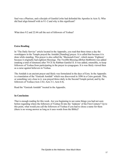Saul was a Pharisee, and a disciple of Gamliel (who had defended the Apostles in Acts 5). Who did Saul align himself with in 9:1-2 and why is this significant?

What does 9:2 and 22:44 call the sect of followers of Yeshua?

#### **Extra Reading**

In "The Daily Service" article located in the Appendix, you read that three times a day the worshippers in the Temple prayed the Amidah [Standing] prayer. It is called that because it is done while standing. This prayer is also called the 'Shemoneh Esrei', which means 'Eighteen' because it originally had eighteen blessings. The Twelfth Blessing (*Birkat HaMinim*) was added (making a total of nineteen) after 70 CE by Rabban Gamliel II. It was added, ostensibly, to keep followers of Yeshua from participating in the prayer in synagogues. It is was likely viewed then as a curse against believers in Yeshua.

The Amidah is an ancient prayer and likely was formulated in the days of Ezra. In the Appendix is a translation of the "Genizah Amidah" which was discovered in 1896 in a Cairo genizah. This, or something very close to it, was prayed thrice daily in the Second Temple period, and by the followers of Yeshua (Acts 2:42; Acts 3:1; Acts 6:4).

Read the "Genizah Amidah" located in the Appendix.

#### **In Conclusion**

That is enough reading for this week. Are you beginning to see some things you had not seen before regarding where the followers of Yeshua fit into the 'Judaism' of the First Century? Up to this point, what would *you* call the followers of Yeshua if you had to chose a name for them (there is no wrong answer as long as it uses words from the Bible)?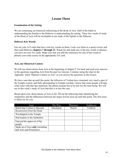# **Lesson Three**

#### **Examination of the Setting**

We are continuing our historical referencing in the Book of Acts. Half of the battle in understanding the Epistle to the Hebrews is understanding the setting. These few weeks of study of the Book of Acts will be invaluable in our study of the Epistle to the Hebrews.

#### **Hebrews Key Words**

Get out your 3x5 cards that have your key words on them. Look over them in a quick review and then read Hebrews **chapters 7 through 13**. Watch for and mark any of the key words or phrases you have on your 3x5 cards. Make sure that you add the references for any of the words or phrases you come across on the appropriate 3x5 card.

#### **Acts, our Historical Context**

We left our observations from Acts at the beginning of chapter 9. Go back and read your answers to the questions regarding Acts from the past two lessons. Continue using the chart in the Appendix titled "Hebraic Context in Acts" as you answer the questions in this lesson.

We have seen that up until this point, the followers of Yeshua have remained very much a part of the Temple system, and fully participating in Temple worship. I know that some people will take some issue with that last statement, but please assume this to be true for the time being. We will see in this week's study of Acts that this is in fact the case.

Based upon your observations of Acts so far, fill out the following chart identifying the similarities and the differences between the major Jewish sects up until this point. The first issue is filled out for you.

| Issue                                  | The Way    | Pharisees | <b>Sadducees</b> |
|----------------------------------------|------------|-----------|------------------|
| Belief that Yeshua is Messiah          | Absolutely | Maybe     | Unlikely         |
| Resurrection from the Dead             |            |           |                  |
| Worshipped in the Temple               |            |           |                  |
| Had leaders in the Sanhedrin           |            |           |                  |
| Enjoyed the approval of the            |            |           |                  |
| people                                 |            |           |                  |
| Made up of Jews <i>only</i> (including |            |           |                  |
| half Jews and Proselytes)              |            |           |                  |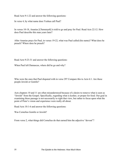Read Acts 9:1-22 and answer the following questions:

In verse 4, by what name does Yeshua call Paul?

In verses 10-18, Ananias [*Chananyah*] is told to go and pray for Paul. Read Acts 22:12. How does Paul describe this man years later?

After Ananias prays for Paul, in verses 19-22, what was Paul called (his name)? What does he preach? Where does he preach?

Read Acts 9:23-31 and answer the following questions:

When Paul left Damascus, where did he go and why?

Who were the ones that Paul disputed with in verse 29? Compare this to Acts 6:1. Are these people Jewish or Gentile?

Acts chapters 10 and 11 are often misunderstood because of a desire to remove what is seen as "Jewish" from the Gospel. Specifically, regarding what is kosher, or proper for food. Our goal in examining these passage is not necessarily to right that view, but rather to focus upon what the point of Peter's vision and experience were really all about.

Read Acts 10:1-6 and answer the following questions:

Was Cornelius Gentile or Jewish?

From verse 2, what things did Cornelius do that earned him the adjective "devout"?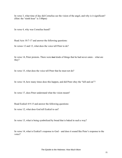In verse 3, what time of day did Cornelius see the vision of the angel, and why is it significant? (Hint: the "ninth hour" is 3:00pm)

In verse 4, why was Cornelius heard?

Read Acts 10:7-17 and answer the following questions:

In verses 12 and 13, what does the voice tell Peter to do?

In verse 14, Peter protests. There were *two* kinds of things that he had never eaten – what are they?

In verse 15, what does the voice tell Peter that he must not do?

In verse 14, how many times does this happen, and did Peter obey the "kill and eat"?

In verse 17, does Peter understand what the vision meant?

Read Ezekiel 4:9-15 and answer the following questions:

In verse 12, what does God tell Ezekiel to eat?

In verse 13, what is being symbolized by bread that is baked in such a way?

In verse 14, what is Ezekiel's response to God – and does it sound like Peter's response to the voice?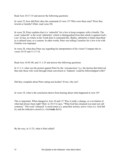Read Acts 10:17-35 and answer the following questions:

In verse 23, how did Peter obey the command of verse 15? Who were these men? Were they Jewish or Gentile? (Hint: read verse 28)

In verse 28, Peter explains that it is 'unlawful' for a Jew to keep company with a Gentile. The word 'unlawful' is the word '*athemitos*' which is distinguished from that which is against God's Law. In fact, no where in the Torah does it command this. Rather, *athemitos* is better described as a cultural issue, or a custom. In other words, Peter was telling Cornelius for a Jew to be with Gentiles was improper.

In verse 28, what does Peter say regarding his interpretation of his vision? Compare this to verses 34-35 and 11:17-18.

Read Acts 10:45-48; and 11:1-25 and answer the following questions:

In 11:1-3, what was the protest against Peter by the 'circumcision' (i.e. the faction that believed that only those who went through ritual conversion to 'Judaism' could be fellowshipped with)?

Did they complain about Peter eating non-kosher? If not, why not?

In verse 18, what is the conclusion drawn from hearing about what happened in Acts 10?

This is important. What changed in Acts 10 and 11? Was it really a change, or a revelation of what had always been right? Hint: in 10:15 it says, "What God has cleansed you must not call common." The word 'cleansed' is aorist tense (i.e. punctiliar action), active voice (i.e. God did it), and the indicative mood (i.e. God *truly* did it).

By the way, in 11:25, what is Paul called?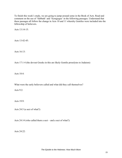To finish this week's study, we are going to jump around some in the Book of Acts. Read and comment on the use of 'Sabbath' and 'Synagogue' in the following passages. Understand that these passages all follow the change in Acts 10 and 11 whereby Gentiles were included into the fellowship of believers.

Acts 13:14-15:

Acts 13:42-45:

Acts 16:13:

Acts 17:1-4 (the devout Greeks in this are likely Gentile proselytes to Judaism):

Acts 18:4:

What were the early believers called and what did they call themselves?

Acts  $9:2$ :

Acts 19:9:

Acts 24:5 (a sect of what?):

Acts 24:14 (who called them a sect – and a sect of what?):

Acts 24:22: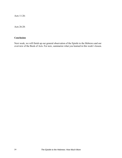Acts 11:26:

Acts 26:28:

#### **Conclusion**

Next week, we will finish up our general observation of the Epistle to the Hebrews and our overview of the Book of Acts. For now, summarize what you learned in this week's lesson.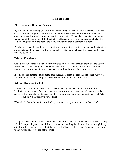# **Lesson Four**

#### **Observation and Historical Reference**

By now you may be asking yourself if you are studying the Epistle to the Hebrews, or the Book of Acts. We will be getting into the meat of Hebrews next week, but we have a little more observation and historical setting we need to examine first. We need to understand as much as we can about the recipients of the Epistle to the Hebrews before we can understand what they could have gotten from the book, and likewise what we should get from this book.

We also need to understand the issues that were surrounding them in First Century Judaism if we are to understand the reason for the Epistle to be written. And beloved, that reason applies very much to us today.

#### **Hebrews Key Words**

Get out your 3x5 cards that have your key words on them. Read through them, and the Scripture references on them. In light of what you have studied so far in the Book of Acts, make any appropriate notes or questions you may have regarding these words in these passages.

If some of your perceptions are being challenged, as is often the case in a historical study, it is important to document your questions and some of the things you are learning.

#### **Acts, our Historical Context**

We are going back to the Book of Acts. Continue using the chart in the Appendix titled "Hebraic Context in Acts" as you answer the questions in this lesson. Acts 15 deals with the subject of how Gentiles are to be accepted in predominately Jewish congregations. Read Acts 15:1-11 and answer the following questions:

What did the "certain men from Judea" say was a necessary requirement for "salvation"?

The question of what the phrase "circumcised according to the custom of Moses" means is rarely asked. Most people just assume it is the commands regarding the circumcision on the eighth day after birth. In verse 5 we have a hint that maybe the "Law of Moses" and "circumcised according to the custom of Moses" are *not* the same.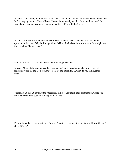In verse 10, what do you think the "yoke" that, "neither our fathers nor we were able to bear" is? Is Peter saying that the "Law of Moses" was a burden and yoke that they could not bear? In formulating your answer, read Deuteronomy 30:10-14 and 1John 5:2-3.

In verse 11, Peter uses an unusual twist of verse 1. What does he say that turns the whole question on its head? Why is this significant? (Hint: think about how a Jew back then might have thought about "being saved")

Now read Acts 15:11-29 and answer the following questions:

In verse 24, what does James say that they had *not* said? Based upon what you answered regarding verse 10 and Deuteronomy 30:10-14 and 1John 5:2-3, what do you think James meant?

Verses 20, 28 and 29 outlines the "necessary things". List them, then comment on where you think James and the council came up with *this list*.

Do you think that if this was today, from an American congregation the list would be different? If so, how so?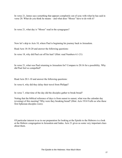In verse 21, James says something that appears completely out of sync with what he has said in verse 20. What do you think he means – and what does "Moses" have to do with it?

In verse 21, what day is "Moses" read in the synagogues?

Now let's skip to Acts 18, where Paul is beginning his journey back to Jerusalem.

Read Acts 18:18-20 and answer the following questions:

In verse 18, why did Paul cut off his hair? (Hint: read Numbers 6:1-21)

In verse 21, what was Paul returning to Jerusalem for? Compare to 20:16 for a possibility. Why did Paul feel so compelled?

Read Acts 20:1-10 and answer the following questions:

In verse 6, why did they delay their travel from Philippi?

In verse 7, what time of the day did the disciples gather to break bread?

Noting that the biblical reference of days is from sunset to sunset, what was the calendar day (evening) of this meeting? Why were they breaking bread? (Hint: Acts 19:8-9 tells us who these first Ephesian disciples were).

Of particular interest to us in our preparation for looking at the Epistle to the Hebrews is a look at the Hebrew congregation in Jerusalem and Judea. Acts 21 gives us some very important clues about them.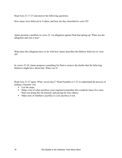Read Acts 21:17-27 and answer the following questions:

How many Jews believed in Yeshua, and how are they described in verse 20?

James presents a problem in verse 22. An allegation against Paul had sprung up. What was the allegation and was it true?

What does this allegation have to do with how James describes the Hebrew believers in verse 20?

In verses 22-24, James proposes something for Paul to remove the doubts that the believing Hebrews might have about him. What was it?

Read Acts 21:27 again. What "seven days"? Read Numbers 6:1-21 to understand the process of ending a Nazarite vow.

- $\blacksquare$  List the steps.
- Make a list of what sacrifices were required (remember this would be times five since Paul was doing this for himself, and paying for four others).
- Make note of whether a sacrifice is a sin sacrifice or not.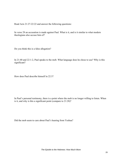Read Acts 21:27-22:22 and answer the following questions:

In verse 28 an accusation is made against Paul. What is it, and is it similar to what modern theologians also accuse him of?

Do you think this is a false allegation?

In 21:40 and 22:1-2, Paul speaks to the mob. What language does he chose to use? Why is this significant?

How does Paul describe himself in 22:3?

In Paul's personal testimony, there is a point where the mob is no longer willing to listen. When is it, and why is this a significant point (compare to 21:28)?

Did the mob seem to care about Paul's hearing from Yeshua?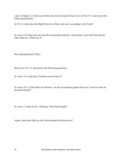Later in chapter 22, Paul is put before the Jewish council. Read Acts 22:30-23:11 and answer the following questions:

In 23:2-3, what does the High Priest do to Paul, and was it according to the Torah?

In verses 6-8, Paul sums up what the real problem that the 'chief priests' had with Paul and the other believers. What was it?

Who defended Paul? Why?

Read Acts 24:1-21 and answer the following questions:

In verses 5-6, what does Tertullas accuse Paul of?

In verses 10-11, Paul offers his defense. Are the accusations against him true? And how does he describe himself?

In verse 17, what are the "offerings" that Paul brought?

Again, what does Paul say the whole dispute boiled down to?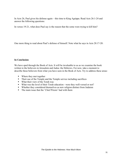In Acts 26, Paul gives his defense again – this time to King Agrippa. Read Acts 26:1-24 and answer the following questions:

In verses 19-21, what does Paul say is the reason that the some were trying to kill him?

One more thing to read about Paul's defense of himself. Note what he says in Acts 28:17-20:

#### **In Conclusion**

We have sped through the Book of Acts. It will be invaluable to us as we examine the book written to the believers in Jerusalem and Judea: the Hebrews. For now, take a moment to describe these believers from what you have seen in the Book of Acts. Try to address these areas:

- Where they met together
- Their use of the Temple and the Temple service including sacrifices
- What their view of the Torah was
- What was the level of their Torah education were they well-versed or not?
- Whether they considered themselves as new religion distinct from Judaism
- The main issue that the 'Chief Priests' had with them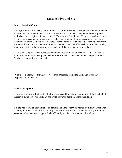# **Lessons Five and Six**

#### **More Historical Context**

Finally! We are almost ready to dig into the text of the Epistle to the Hebrews. By now you have a good idea who the recipients of this book were. You know what their Torah knowledge was, and where their religious life was centered. They were a Temple sect. They were zealous for the Torah. There were active priests who served in the Temple in their congregation. They had a deep reverence for God and for His Word. Their belief in Yeshua, instead of turning away from the Torah had made it all the more important to them. Their belief in Yeshua, instead of causing them to recoil from the Temple service, made it all the more meaningful to them.

Luke gave us a pretty clear perspective on those first followers of Yeshua. Read Luke 24:52-53 and write out the relationship between the first followers of Yeshua and the Temple following Yeshua's resurrection and ascension.

What does it mean, "continually"? (reread the article regarding the Daily Service in the Appendix if you need to).

#### **Dating the Epistle**

There are a couple of hints as to who the writer is and the date for the writing of the Epistle to the Hebrews. Read Hebrews 13:23-24 and write down the pertinent location and name.

So, the writer was an acquaintance of Timothy, and the letter was written from Italy. When was Timothy in prison? Neither Acts nor any other book records this. Turn to 2Timothy 4:9-18 and construct what may have happened when Timothy received the that letter from Paul.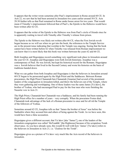It appears that the writer wrote sometime after Paul's imprisonment in Rome around 60 CE. In Acts 22, we saw that he had been arrested in Jerusalem two years earlier around 58 CE. Acts 28:30 further tells us that Paul remained in Rome under house arrest for two years. That would mean if Timothy's imprisonment followed that of Paul's, the Epistle to the Hebrews would have been written after 62 CE.

It appears that the writer of the Epistle to the Hebrews was from Paul's circle of friends since he is apparently waiting to travel with Timothy after Timothy's release from prison.

The Epistle to the Hebrews was likely not written after 66 CE, when the First Jewish revolt began because as we will see when we get into the book, the references to the Temple Service are in the present tense indicating that worship in the Temple was ongoing. Seeing that the book cannot have been written before 62 when Timothy was released from Roman imprisonment we can know that it is most likely that this book was written between the years 62 and 66 CE.

Both Josephus and Hegesippus record something very significant took place in Jerusalem around the year 62 CE. Josephus and Hegesippus were both Jewish historians. Josephus was a contemporary of Paul. He was Jewish, but kept his historical record for the Romans. Hegesippus was a Jewish believer that lived in the Second Century and wrote his histories on the basis of traditions handed down.

What we can gather from both Josephus and Hegesippus is that the believers in Jerusalem around 60 CE began to be persecuted again by the High Priest and the Sadducees. Between Roman procurators, the High Priest Chananiah ben Chananiah [Ananias] had several of the prominent leaders of the congregation in Jerusalem killed, and threw the believers out of the Temple, where they were gathering and worshipping. One of those leaders was the same James [Ya'akov], the brother of Yeshua, who had encouraged Paul to pay for the four men who were finishing the Nazarite vow in Acts 21.

The High Priest, Chananiah ben Chananiah was a Sadducee, and his family had been running the High Priest office for a number of years – very corruptly. When the procurator Festus died, Chananiah took advantage of the lack of a Roman procurator to once and for all rid the Temple of the followers of Yeshua.

Sometime around 62 CE, Josephus tells us that "James the brother of Jesus" was before the Sanhedrin where they accused him and others of being against the Torah. As we have seen, this would have been a false accusation.

Hegesippus gives a different account, that Ya'akov [aka "James"], one of the leaders of the Jerusalem congregation was called 'HaTzaddik' [the Righteous] because of his scrupulous Torah observance. As you have already seen, this would fit well with how 'James' [Ya'akov] refers to the believers in Jerusalem in Acts 21, i.e. "Zealous for the Torah".

Hegesippus gives us a picture of Ya'akov very much like the Acts record of the believers in Jerusalem.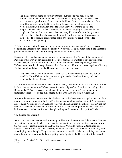For many bore the name of Ya'akov [James]; but this one was holy from his mother's womb. He drank no wine or other intoxicating liquor, nor did he eat flesh; no razor came upon his head; he did not anoint himself with oil, nor make use of the bath. He alone was permitted to enter the holy place: for he did not wear any woolen garment, but fine linen only. He alone, I say, was wont to go into the temple: and he used to be found kneeling on his knees, begging forgiveness for the people - so that the skin of his knees became horny like that of a camel's, by reason of his constantly bending the knee in adoration to God, and begging forgiveness for the people. Therefore, in consequence of his pre-eminent justice, he was called HaTzaddik [the Righteous]. $3$ 

Ya'akov, a leader in the Jerusalem congregation, brother of Yeshua was a Torah observant believer. He appears to have taken a Nazarite vow as well. He spent much time in the Temple in prayer and worship. This would fit completely with our Acts account.

Hegesippus tells us that some men put him on the pinnacle of the Temple at the beginning of Passover, while worshippers ascended the Temple Mount. He was told to publicly renounce Yeshua. They were sure that if they could get him to renounce Yeshua publicly, because Ya'akov was considered a very observant Jew, that this would turn the crowds against following Yeshua. Ya'akov did not comply. Hegesippus records his response,

And he answered with a loud voice: "Why ask ye me concerning Yeshua the Son of man? He Himself sitteth in heaven, at the right hand of the Great Power, and shall come on the clouds of heaven."<sup>4</sup>

The throng of worshippers below then started to chant, *"Hoshiana to the Son of David!"* Foiled in their plan, the men threw Ya'akov down from the height of the Temple to the valley below. Remarkably, Ya'akov survived the fall and stood up, still preaching. Then the same men (ostensibly Sadducees) stoned him, ending his life with the blow from a fullers club.

Josephus then records that the most Torah observant of the Jews were outraged at the acts of the men who were working with the High Priest in killing Ya'akov. A delegation of Pharisees was sent to King Agrippa to protest. Agrippa removed Chananiah from the office of High Priest, but there was tremendous upheaval in Jerusalem. Like Yeshua had prophesied in John 16:2 – the believers were now banned from the Temple as long as they continued to profess Yeshua.

#### **The Reason for Writing**

As you can see, we can come with a pretty good idea as to the reason the Epistle to the Hebrews was written. Commentators have long seen the reason for writing the Epistle as a desire to *warn* the recipients to remain faithful to Yeshua, and to not 'return to Judaism'. Remember, our historical look at Acts shows that the early believers had never left 'Judaism' nor did they stop worshipping in the Temple. They were considered a sect within 'Judaism', and they considered themselves in the same way. Is there anything in the Epistle to the Hebrews itself that would

<sup>&</sup>lt;sup>3</sup> Hegesippus – from Book Five (Roberts-Donaldson translation).

 $4$  ibid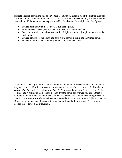indicate a reason for writing this book? There are important clues in all of the first ten chapters. For now, simply read chapter 10 and see if you can formulate a reason why you think the book was written. While you read, try to put yourself in the shoes of the recipients of this Epistle:

- You are continually in the Temple, as full participants.
- Paul had been arrested, right in the Temple as he offered sacrifices.
- One of your leaders, Ya'akov was murdered right outside the Temple by men from the High Priest.
- You are zealous for the Torah and have a zeal for the Temple and the things of God.
- You can remain in the Temple if you will only renounce Yeshua.

Remember, as we begin digging into this book, the believers in Jerusalem hadn't *left* Judaism – they were a sect within Judaism – a sect that made the belief of the promise of the Messiah a *central object* of faith. As Paul put it in Acts 28:20, it was all about the "Hope of Israel" – the coming, and returning of the Messiah Yeshua. But the truths of Scripture still called them to worship at the only Place that God had said that His Name was – where His abiding Presence was. It almost seems as difficult a choice as it would be for us to abandon the Bible, or what the Bible says about Yeshua – because either way you ultimately deny Yeshua... The Hebrews needed this letter of *encouragement*.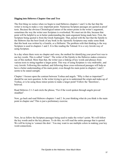### **Digging into Hebrews Chapter One and Two**

The first thing we notice when we begin to read Hebrews chapters 1 and 2 is the fact that the writer is trying to make a very important point. Numerous Scripture passages are quoted as proof texts. Because the obvious Christological nature of the minor points in the writer's argument, sometimes the way the writer uses Scripture is overlooked. We must not do this, because that point will be helpful to us in better understanding the main argument being made here. First, the Scripture being quoted is from the Greek Septuagint. That, paired with the fact that the Epistle to the Hebrews has the best Greek of any book in the Apostolic Scriptures may make some think that this book was written by a Gentile, or a Hellenist. The problem with that thinking is the way Scripture is used in chapters 1 and 2. It is like reading the Talmud. It is a very Jewish way of using Scripture.

In a day where there were no chapter and verse, the method for identifying your proof text was to use key words. This is called "*remez*". The writer of the Epistle to the Hebrews makes extensive use of this method. More than that, the writer uses a linking of key words and phrases from various texts to string together a larger point. This way of using Scripture is very *midrashic*, and very Jewish. Following this method, and following these cross-referenced passages will help us have a better understanding of his main point; even though his main point in chapters 1 and 2 *seems* to be stated outright.

Chapter 1 focuses upon the contrast between Yeshua and angels. "Why is that so important?" should be our next question. Is the writer trying to get us to understand the origin and make-up of Yeshua, or is he using those minor points to make a larger point? Follow the 'therefores', beloved.

Read Hebrews 2:1-3 and circle the phrase, "For if the word spoken through angels proved steadfast".

Now, go back and read Hebrews chapters 1 and 2. In your thinking what do you think is the main point in chapter one? This is just a preliminary exercise.

Now, let us follow the Scripture passages being used to make the writer's point. We will follow the key words and/or the key phrases. To do this, we will read the entire passage that is quoted. We will be trying to 'connect the dots'. You may want to use multiple colors in making your key word connections.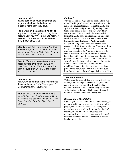#### *Hebrews 1:4-5:*

having become so much better than the angels, as he has inherited a more excellent name than they have.

For to which of the angels did he say at any time, "*You are my Son. Today have I become your father*?" [Ps 2:7] and again, "*I will be to him a Father, and he will be to me a Son*?" [2Sam 7:14]

*Step 1: Circle "Son" and draw a line from the first usage of "Son" in Heb 1:5 to the first usage of "Son" in Ps 2. Circle "Son" in Ps 2 as well. Circle "Anointed" in Ps 2.* 

*Step 2: Circle and draw a line from the second usage of "Son" in Heb 1:5 to "seed" and "son" in 2Sam 7. Draw a line from the first "Son" in Ps 2 to the "seed" and "son" in 2Sam 7.* 

#### *Hebrews 1:6:*

Again, when he brings in the firstborn into the world he says, "*Let all the angels of God worship him*." [Deut 32:43]

*Step 3: Circle and draw a line from the "worship" in Heb 1:6 to "worship" in Deut 32. Draw a line between "house" in 2Sam 7 and "sons" in Deut 32. Circle "sons" in Deut 32.* 

#### *Psalms 2:*

Why do the nations rage, and the people plot a vain thing? The kings of the earth set themselves, and the rulers take counsel together, against the LORD and against His Anointed [lit: *Messiah*], saying, "Let us break Their bonds in pieces and cast away Their cords from us." He who sits in the heavens shall laugh; the LORD shall hold them in derision. Then He shall speak to them in His wrath, and distress them in His deep displeasure: "Yet I have set My King on My holy hill of Zion. I will declare the decree: The LORD has said to Me, 'You are My Son, today I have begotten You. Ask of Me, and I will give You the nations for Your inheritance, and the ends of the earth for Your possession. You shall break them with a rod of iron; you shall dash them to pieces like a potter's vessel.'" Now therefore, be wise, O kings; be instructed, you judges of the earth. Serve the LORD with fear, and rejoice with trembling. Kiss the Son, lest He be angry, and you perish in the way, when His wrath is kindled but a little. Blessed are all those who put their trust in Him.

### *2Samuel 7:12-14a:*

"When your days are fulfilled and you rest with your fathers, I will set up your seed after you, who will come from your body, and I will establish his kingdom. He shall build a house for My name, and I will establish the throne of his kingdom forever. I will be his Father, and he shall be My son...

#### *Deuteronomy 32:43 (LXX):*

Rejoice, you heavens, with him, and let all the angels of God worship him; rejoice you Gentiles, with his people, and let all of the sons of God strengthen themselves in him; for he will avenge the blood of his sons, and he will render vengeance, and recompense justice to his enemies, and will reward them that hate him; and the LORD shall purge the Land of his people.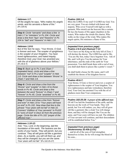### *Hebrews 1:7:*

Of the angels he says, "*Who makes his angels winds, and his servants a flame of fire*." [Ps 104:4]

*Step 4: Circle "servants" and draw a line in Heb 1:7 to "ministers" in Ps 104. Circle and draw a line from "lays" and "heavens" in Ps 104 to "laid" and "heavens" in Heb 1:10.* 

### *Hebrews 1:8-9:*

But of the Son he says, "*Your throne, O God, is forever and ever. The scepter of uprightness is the scepter of your Kingdom. You have loved righteousness, and hated iniquity; therefore God, your God, has anointed you with the oil of gladness above your fellows*." [Ps 45:6-7]

*Step 5: Back up to Ps 2 and 2Sam 7 (repeated here), circle and draw a line between "rod" in Ps 2 and "scepter" in Heb 1:8. Circle and draw a line between "throne" in 2Sam 7 and Heb 1:8.*

*Step 6: Circle and draw a line from the "throne" and "scepter" in Heb 1:8 to those words in Ps 45. Circle and draw a line between the word "forever" in 2Sam 7 and "forever" in Ps 45. Circle "anointed" in Ps 45.* 

*Step 7: Circle and draw a line from "forever and ever" in Heb 1:8 to "Your years will have no end" in Ps 102. Now draw that line to the phrase "Your years will not fail" in Heb 10. Connect "children of Your servants" in Ps102 to "sons of God" in Deut 32 from the previous page. Circle the title of Ps 102 "prayer of the afflicted man."*

#### *Hebrews 1:10-12:*

And, "*You, Lord, in the beginning, laid the foundation of the earth. The heavens are the works of your hands. They will perish, but you continue. They all will grow old like a garment does. As a mantle, you will roll them up, and they will be changed; but you are the same. Your years will not fail*." [Ps 102:25-27]

# *Psalms 104:1-4:*

Bless the LORD, O my soul! O LORD my God, You are very great: You are clothed with honor and majesty, Who cover Yourself with light as with a garment, Who stretch out the heavens like a curtain. He lays the beams of His upper chambers in the waters, Who makes the clouds His chariot, Who walks on the wings of the wind, Who makes His angels spirits, His ministers a flame of fire.

# *(repeated from previous page) Psalms 2:6-9 and 2Samuel 7:13*

"Yet I have set My King on My holy hill of Zion. I will declare the decree: The LORD has said to Me, 'You are My Son, today I have begotten You. Ask of Me, and I will give You the nations for Your inheritance, and the ends of the earth for Your possession. You shall break them with a rod of iron; you shall dash them to pieces like a potter's vessel.'"

He shall build a house for My name, and I will establish the throne of his kingdom forever.

# *Psalms 45:6-7:*

Your throne, O God, is forever and ever; a scepter of righteousness is the scepter of Your kingdom. You love righteousness and hate wickedness; therefore God, Your God, has anointed You with the oil of gladness more than Your companions.

# *Psalms 102:25-28: A prayer of the afflicted man*

Of old You laid the foundation of the earth, and the heavens are the work of Your hands. They will perish, but You will endure; yes, they will all grow old like a garment; like a cloak You will change them, and they will be changed. But You are the same, and Your years will have no end. The children of Your servants will continue, and their descendants will be established before You."

### *(repeated from previous page) Deuteronomy 32:43b (LXX):*

... and let all of the sons of God strengthen themselves in him; for he will avenge the blood of his sons...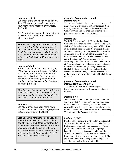# *Hebrews 1:13-14:*

But which of the angels has he told at any time, "*Sit at my right hand, until I make your enemies the footstool of your feet*?" [Ps 110:1]

Aren't they all serving spirits, sent out to do service for the sake of those who will inherit salvation? **Property Psalms 110** 

*Step 8: Circle "my right hand" Heb 1:13 and draw a line to the same phrase in Ps 110. Now, connect this to "Your throne" in Ps 45 (from previous page). Circle "for the sake of those" in Heb 1:14 and connect it to "sons of God" in Deut 32 (from previous page).* 

### *Hebrews 2:6b-8:*

But one has somewhere testified, saying, *"What is man, that you think of him? Or the son of man, that you care for him? You made him a little lower than the angels. You crowned him with glory and honor. You have put all things in subjection under his feet."* [Ps 8:4-6]

*Step 9: Circle "under His feet" Heb 2:8 and draw a line to the same phrase in Ps 8. Now, connect this to "Your footstool" in Ps 110. Circle "Son of Man" in Heb 2:8.* 

#### *Hebrews 2:12*

Saying*, "I will declare your name to my brothers. In the midst of the congregation I will sing your praise."* [Ps 22:22]

**Step 10:** Circle "brothers" in Heb 2:12 and draw a line to "brethren" in Ps 22. Circle "the afflicted" is Ps 22 then write "Ps 102" in the margin and draw a line to it (from the prev page). Circle the words "offspring" and "descendants" in Ps 22 and draw lines to "sons" in Deut 32 and also to "Ps 102" that you have written in the margin.

## *(repeated from previous page) Psalms 45:6-7:*

Your throne, O God, is forever and ever; a scepter of righteousness is the scepter of Your kingdom. You love righteousness and hate wickedness; therefore God, Your God, has anointed You with the oil of gladness more than Your companions.

The LORD said to my Lord, "Sit at My right hand, till I make Your enemies Your footstool." The LORD shall send the rod of Your strength out of Zion. Rule in the midst of Your enemies! Your people shall be volunteers in the day of Your power; in the beauties of holiness, from the womb of the morning, You have the dew of Your youth. The LORD has sworn and will not relent, "You are a priest forever according to the order of Melchizedek." The Lord is at Your right hand; He shall execute kings in the day of His wrath. He shall judge among the nations, He shall fill the places with dead bodies, He shall execute the heads of many countries. He shall drink of the brook by the wayside; therefore He shall lift up the head.

#### *(repeated from previous page) Deuteronomy 32:43b (LXX):*

... and let all of the sons of God strengthen themselves in him; for he will avenge the blood of his sons...

# *Psalms 8:4-6*

What is man that You are mindful of him, And the son of man that You visit him? For You have made him a little lower than the angels, and You have crowned him with glory and honor. You have made him to have dominion over the works of Your hands: You have put all *things* under his feet.

#### *Psalms 22:22-25*

I will declare Your name to My brethren; in the midst of the assembly I will praise You. You who fear the LORD, praise Him! All you descendants of Jacob, glorify Him, and fear Him, all you offspring of Israel! For He has not despised nor abhorred the affliction of the afflicted; nor has He hidden His face from Him; but when He cried to Him, He heard. My praise shall be of You in the great assembly; I will pay My vows before those who fear Him.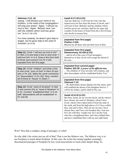# *Hebrews 2:13, 16:*

saying, *"I will declare your name to my brothers. In the midst of the congregation I will sing your praise." Again, "I will put my trust in him." Again, "Behold, here I am with the children whom God has given me."* [Is 8:17-18 LXX]

For most certainly, he doesn't give help to angels, *but he gives help to the seed of Avraham.* [Is 41:8]

*Step 11: Circle "I will put my trust in him" in Heb 2:13 and draw a line to and circle "I will trust him" in Is 8. Draw a line from both of those and connect it to Ps 2:12b repeated from the first page.*

*Step 12: Circle "children" and draw a line to and circle "sons of God" in Deut 32 and also in Ps 102. Make the same connection to "descendants" in Ps 102. Now, connect all of those to "house" in 2Sam 7.*

*Step 13: Circle "seed of Avraham" in Heb 2 and connect this to "seed of Abraham" in Is 41. Connect "established thee" in Is 41 with "descendents will be established" in Ps 102:28.* 

# *Isaiah 8:17-18 (LXX):*

And one shall say, I will wait for God, who has turned away his face from the house of Jacob, and I will trust in him. Behold I and the children which God has given me: and they shall be for signs and wonders in the house of Israel from the Lord of hosts, who dwells in mount Sion.

#### *(repeated from first page) Psalms 2:12b:*

Blessed are all those who put their trust in Him.

#### *(repeated from first page) Deuteronomy 32:43b (LXX):*

... and let all of the sons of God strengthen themselves in him; for he will avenge the blood of his sons...

# *(repeated from second page) Psalms 102:28: A prayer of the afflicted man*

... The children of Your servants will continue, and their descendants will be established before You."

#### *(repeated from first page) 2Samuel 7:13:*

... He shall build a house [family] for My name, and I will establish the throne of his kingdom forever. I will be his Father, and he shall be My son...

# *Isaiah 41:8-10 (LXX):*

But thou, Israel, art my servant Jacob, and he whom I have chosen, the seed of Abraham, whom I have loved: whom I have taken hold of from the ends of the earth, and from the high places of it I have called thee, and said to thee, Thou art my servant; I have chosen thee, and I have not forsaken thee. Fear not; for I am with thee: wander not; for I am thy God, who have strengthened thee; and I have helped thee, and have established thee with my just right hand.

Wow! Was that a complex string of passages, or what?

So why didn't the writer just say all of that? That is not the Hebrew way. The Hebrew way is to use Scripture to teach about Scripture. In this case, the writer has strung together seemingly disconnected passages of Scripture by key word associations to teach some deeper thing. So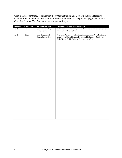what is the deeper thing, or things that the writer just taught us? Go back and read Hebrews chapters 1 and 2, and then look over your 'connecting work' on the previous pages. Fill out the chart that follows. The first entries are completed for you.

| <b>Hebrews</b> | Cross-Ref           | <b>Titles of Messiah</b>               | <b>Other information about Messiah</b>                                                                                                                                                     |
|----------------|---------------------|----------------------------------------|--------------------------------------------------------------------------------------------------------------------------------------------------------------------------------------------|
| $1:4-5$        | Ps2                 | Son, Anointed King<br>(King Messiah)   | All the nations of the earth given to Him. Messiah has an iron scepter.<br>One in Whom to place trust.                                                                                     |
| $1:4-5$        | $2\mathrm{Sam}$ $7$ | Son, King, Son of<br>David, Son of God | Seed from David's body. His Kingdom establish by God. His throne<br>would be established forever. He will build a house (a family) for<br>God's Name. God is Father to Him, and He is Son. |
|                |                     |                                        |                                                                                                                                                                                            |
|                |                     |                                        |                                                                                                                                                                                            |
|                |                     |                                        |                                                                                                                                                                                            |
|                |                     |                                        |                                                                                                                                                                                            |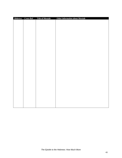| <b>Hebrews</b> | Cross-Ref | <b>Title of Messiah</b> | <b>Other information about Messiah</b> |
|----------------|-----------|-------------------------|----------------------------------------|
|                |           |                         |                                        |
|                |           |                         |                                        |
|                |           |                         |                                        |
|                |           |                         |                                        |
|                |           |                         |                                        |
|                |           |                         |                                        |
|                |           |                         |                                        |
|                |           |                         |                                        |
|                |           |                         |                                        |
|                |           |                         |                                        |
|                |           |                         |                                        |
|                |           |                         |                                        |
|                |           |                         |                                        |
|                |           |                         |                                        |
|                |           |                         |                                        |
|                |           |                         |                                        |
|                |           |                         |                                        |
|                |           |                         |                                        |
|                |           |                         |                                        |
|                |           |                         |                                        |
|                |           |                         |                                        |
|                |           |                         |                                        |
|                |           |                         |                                        |
|                |           |                         |                                        |
|                |           |                         |                                        |
|                |           |                         |                                        |
|                |           |                         |                                        |
|                |           |                         |                                        |
|                |           |                         |                                        |
|                |           |                         |                                        |
|                |           |                         |                                        |
|                |           |                         |                                        |
|                |           |                         |                                        |
|                |           |                         |                                        |
|                |           |                         |                                        |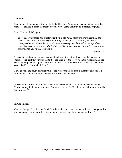# **The Point**

One might ask the writer of the Epistle to the Hebrews, "why not just come out and say all of that?" He did. He did it in the most powerful way – using Scripture to interpret Scripture.

Read Hebrews 2:1-3 again.

*Therefore we ought to pay greater attention to the things that were heard, lest perhaps we drift away. For if the word spoken through angels proved steadfast, and every transgression and disobedience received a just recompense; how will we escape if we neglect so great a salvation—which at the first having been spoken through the Lord, was confirmed to us by those who heard.* 

Hebrews 2:1-3

This is the point our writer was making when he went to extraordinary lengths to describe Yeshua. Highlight that verse in the text of the Epistle to the Hebrews in the Appendix. Do the same in your personal copy of the Bible. We will be coming back to this often. It is why this course is titled, "How Much More".

Now go back and count how many times the word 'angels' is used in Hebrews chapters 1-2. Why do you think the author is contrasting Yeshua and angels?

We can only surmise, but it is likely that there was some pressure to merely acknowledge Yeshua as angelic in nature for some. Does the writer of the Epistle to the Hebrews permit this 'compromise'?

#### **In Conclusion**

One last thing to do before we finish for this week. In the space below, write out what you think the main point the writer of the Epistle to the Hebrews is making in chapters 1 and 2: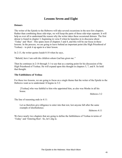# **Lessons Seven and Eight**

# **Detours**

The writer of the Epistle to the Hebrews will take several excursions in the next few chapters. Rather than combining these side-trips, we will keep the parts of those side-trips separate. It will help us over all to understand the reason why the writer takes these occasional detours. The first detour is found in chapter 3, beginning in verse 8 when he launches in to discourse about 'Today' and 'Rest'. This spans most of chapters 3 and 4, and this will be our focus in these lessons. In the process, we are going to leave behind an important point (the High Priesthood of Yeshua) – to pick it up again in a later lesson.

In 2:13, the writer quotes Isaiah 8:18 when he says,

*"Behold, here I am with the children whom God has given me."* 

Then he continues in 2:14 through 3:1 to use that as a starting point for his discussion of the High Priesthood of Yeshua. He will expand upon this thought in chapters 5, 7, and 8. So hold that thought.

#### **The Faithfulness of Yeshua**

For these two lessons, we are going to focus on a single theme that the writer of the Epistle to the Hebrews want us to understand. It begins in 3:2:

 [Yeshua] who was faithful to him who appointed him, as also was Moshe in all his house.

Hebrews 3:2

The line of reasoning ends in 4:11:

Let us therefore give diligence to enter into that rest, lest anyone fall after the same example of disobedience.

Hebrews 4:11

We have nearly two chapters that are going to define the faithfulness of Yeshua in terms of 'Today' and 'Entering Rest'. So, let's dig in.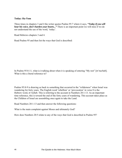#### **Today: Ha-Yom**

Three times in chapters 3 and 4 the writer quotes Psalms 95:7 where it says, *"Today if you will hear his voice, don't harden your hearts..."* There is an important point we will miss if we do not understand the use of the word, 'today'.

Read Hebrews chapters 3 and 4.

Read Psalms 95 and then list the ways that God is described:

In Psalms 95:8-11, what is it talking about when it is speaking of entering "My rest" [*m'nuchah*]. What is this a literal reference to?

Psalms 95:8-9 is drawing us back to something that occurred in the "wilderness" when Israel was wandering for forty years. The English word 'rebellion' or 'provocation' in verse 8 is the Hebrew word, *m'riybah*. This is referring to the account in Numbers 20:1-13. As an important time reference, this is toward the end of the forty years of wandering. This account takes place as the Children of Israel are assembling once again to take the Land.

Read Numbers 20:1-13 and then answer the following questions:

What is the main complaint against Moses and ultimately God?

How does Numbers 20:5 relate to any of the ways that God is described in Psalms 95?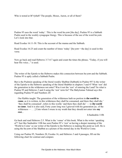Who is tested at *M'riybah*? The people, Moses, Aaron, or all of them?

Psalms 95 uses the word 'today'. This is the word *ha-yom* [the day]. Psalms 95 is a Sabbath Psalm used in the weekly synagogue liturgy. This is because of the use of the word *ha-yom*. Let's look into that.

Read Exodus 16:11-30. This is the account of the manna and the Sabbath.

Read Exodus 16:25 and count the number of times 'today' [*ha-yom* = the day] is used in this verse.

Now go back and read Hebrews 3:7-4:7 again and count the times the phrase, "Today, if you will hear His voice..." is used.

The writer of the Epistle to the Hebrews makes this connection between *ha-yom* and the Sabbath. Psalms 95 is aptly called a Sabbath Psalm.

But is the Psalmist speaking of the literal weekly Shabbat [Sabbath] in Psalms 95? Is the writer of the Epistle to the Hebrews speaking of the literal Shabbat in chapters 3 and 4? What 'rest' did the generation in the wilderness not enter? Was it not the 'rest' of entering the Land? So what is Psalms 95 and Hebrews 3 and 4 using the 'rest' term for? The Babylonian Talmud says this regarding Psalms 95 and Numbers 20:

Our Rabbis taught: The generation of the wilderness hath no portion in **the world to come**, as it is written, in this wilderness they shall be consumed, and there they shall die.' 'they shall be consumed', refers to this world; 'and there they shall die' — to **the world to come**. And it is also said, Forty years long was I grieved with his generation [sc. of the wilderness — . . .] Unto whom I sware in my wrath that they should not enter into **my rest**...

*b*.Sanhedrin 110b

Go back and read Hebrews 2:5. What is the 'venue' of this book. What is the writer 'speaking of'? Just like Sanhedrin 110b has seen Psalms 95's 'rest' as having a deeper meaning of the 'World to Come' so our writer of the Epistle to the Hebrews is making this point as well. He is using the *ha-yom* of the Shabbat as a picture of the eternal day in the World to Come.

Using our Psalms 95, Numbers 20, Exodus 16, and Hebrews 3 and 4 passages, fill out the following chart for contrast and compare.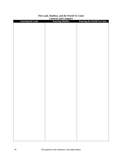| <b>Entering the Land</b> | <b>Entering Shabbat</b> | <b>Entering the World To Come</b> |
|--------------------------|-------------------------|-----------------------------------|
|                          |                         |                                   |
|                          |                         |                                   |
|                          |                         |                                   |
|                          |                         |                                   |
|                          |                         |                                   |
|                          |                         |                                   |
|                          |                         |                                   |
|                          |                         |                                   |
|                          |                         |                                   |
|                          |                         |                                   |
|                          |                         |                                   |
|                          |                         |                                   |
|                          |                         |                                   |
|                          |                         |                                   |
|                          |                         |                                   |
|                          |                         |                                   |
|                          |                         |                                   |
|                          |                         |                                   |
|                          |                         |                                   |
|                          |                         |                                   |
|                          |                         |                                   |
|                          |                         |                                   |
|                          |                         |                                   |
|                          |                         |                                   |
|                          |                         |                                   |
|                          |                         |                                   |
|                          |                         |                                   |
|                          |                         |                                   |
|                          |                         |                                   |
|                          |                         |                                   |
|                          |                         |                                   |
|                          |                         |                                   |
|                          |                         |                                   |
|                          |                         |                                   |
|                          |                         |                                   |
|                          |                         |                                   |
|                          |                         |                                   |
|                          |                         |                                   |
|                          |                         |                                   |
|                          |                         |                                   |
|                          |                         |                                   |
|                          |                         |                                   |
|                          |                         |                                   |
|                          |                         |                                   |

# **The Land, Shabbat, and the World To Come Contrast and Compare**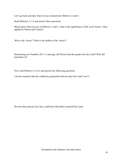Let's go back and take what we have learned into Hebrews 3 and 4.

Read Hebrews 3:1-6 and answer these questions:

Based upon what you saw in Hebrews 1 and 2, what is the significance of the word 'house' when applied to Moses and Yeshua?

Who is the 'house'? Who is the builder of the 'house'?

Referencing our Numbers 20:1-13 passage, did Moses lead the people into the Land? Who did lead them in?

Now read Hebrews 3:6-4:2 and answer the following questions:

List the reason(s) that the wilderness generation did not enter the Land ('rest'):

Reverse that and say how they *could have* (but didn't) entered the Land.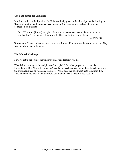#### **The Land Metaphor Explained**

In 4:8, the writer of the Epistle to the Hebrews finally gives us the clear sign that he is using the 'Entering into the Land' argument as a metaphor. Still maintaining the Sabbath [*ha-yom*] connection, he explains:

For if Yehoshua [Joshua] had given them rest, he would not have spoken afterward of another day. There remains therefore a Shabbat rest for the people of God.

Hebrews 4:8-9

Not only did Moses not lead them to rest – even Joshua did not ultimately lead them to rest. They were merely an example for us.

### **The Sabbath Challenge**

Now we get to the crux of the writer's point. Read Hebrews 4:9-11.

What is his challenge to the recipients of this epistle? For what purpose did he use the Land/Shabbat/Rest/World-to-Come *midrash* that he has been weaving in these two chapters and the cross references he wanted us to explore? What does the Spirit want us to take from this? Take some time to answer that question. Use another sheet of paper if you need to.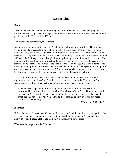# **Lesson Nine**

# **Detours**

For now, we have left the thought regarding the High Priesthood of Yeshua dangling and unresolved. We will get to that in depth in later lessons. Before we do, we need to delve into the particulars of the Tabernacle and Temple.

### **The Place: the Tabernacle, the Temple**

As we have seen, our recipients of the Epistle to the Hebrews were most likely Hebrew speakers living in the city of Jerusalem, or relatively nearby. Their place of assembly was the Temple itself (plus they broke bread together in their homes). We have seen that a large number of the *kohenim* [priests] were believers (Acts 6:7). This community of believers was intimately familiar with not only the imagery of the Temple, it was a primary part of their worship experience. The language of the sacrificial system was their language. The idioms of the Temple were used in relationship to Messiah. The writer of the Epistle to the Hebrews uses this to make some of his most significant points in this book. Since the Temple and the sacrificial system are not a part of our experience; and since most 'theologies' find them somewhat repugnant, it is very important to have a correct view of the Temple before we move any further into Hebrews.

The 'Temple' is not the same as the Tabernacle, but based upon the declarations of God regarding the acceptability of the Temple as a permanent version of the Tabernacle of the wilderness, we will treat them as the same for much of our discussion for now.

Then the LORD appeared to Solomon by night, and said to him: "I have heard your prayer, and have chosen this place for Myself as a house of sacrifice.... Now My eyes will be open and My ears attentive to prayer *made* in this place. For now I have chosen and sanctified this house, that My Name may be there forever; and My eyes and My heart will be there perpetually."

2Chronicles 7:12, 15-16

# **A Pattern**

Before the 'sin of the golden calf' – when Moses was on Sinai for the first forty day period, God gave him the plans for something never contemplated by man. It was the Tabernacle, the *Mish'kan*. Read Exodus 25:1-9 and then answer the following questions:

What was the purpose for the Tabernacle?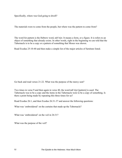Specifically, where was God going to dwell?

The materials were to come from the people, but where was the pattern to come from?

The word for pattern is the Hebrew word, *tab'niyt*. It means a form, or a figure. It is refers to an object of something that already exists. In other words, right in the beginning we are told that the Tabernacle is to be a copy or a pattern of something that Moses was shown.

Read Exodus 25:10-40 and then make a simple list of the major articles of furniture listed.

Go back and read verses 21-22. What was the purpose of the mercy seat?

Two times in verse 9 and then again in verse 40, the word *tab'niyt* [pattern] is used. The Tabernacle was to be a copy and the items in the Tabernacle were to be a copy of something. Is there a point being made by repeating this three times for us?

Read Exodus 26:1, and then Exodus 26:31-37 and answer the following questions:

What was 'embroidered' on the curtains that made up the Tabernacle?

What was 'embroidered' on the veil in 26:31?

What was the purpose of the veil?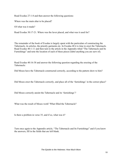Read Exodus 27:1-8 and then answer the following questions:

Where was the main altar to be placed?

Of what was it made?

Read Exodus 30:17-21. Where was the laver placed, and what was it used for?

The remainder of the book of Exodus is largely spent with the particulars of constructing the Tabernacle, its articles, the priestly garments etc. In Exodus 40 it is time to erect the Tabernacle. Read Exodus 40:1-11 and then turn to the article in the Appendix titled "The Tabernacle and Its Furnishings" and note the location of each of these pieces (label anything you are *sure* of).

Read Exodus 40:16-38 and answer the following question regarding the erecting of the Tabernacle:

Did Moses have the Tabernacle constructed correctly, according to the pattern show to him?

Did Moses erect the Tabernacle correctly, and place all of the 'furnishings' in the correct place?

Did Moses correctly anoint the Tabernacle and its 'furnishings'?

What was the result of Moses work? What filled the Tabernacle?

Is there a problem in verse 35, and if so, what was it?

Turn once again to the Appendix article, "The Tabernacle and Its Furnishings" and if you know the answers, fill in the fields that are left blank.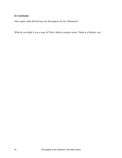# **In Conclusion**

Once again, what did God say was the purpose for the Tabernacle?

What do you think it was a copy of? Don't think in esoteric terms. Think in a Hebraic way.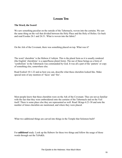# **Lesson Ten**

### **The Word, the Sword**

We saw something peculiar on the outside of the Tabernacle, woven into the curtains. We saw the same thing on the veil that divided between the Holy Place and the Holy of Holies. Go back and read Exodus 26:1 and 26:31. What is woven into the fabric?

On the Ark of the Covenant, there was something placed on top. What was it?

The word 'cherubim' is the Hebrew *k'rubiym*. This is the plural form as it is usually rendered (the English 'cherubims' is a superfluous plural form). The use of these beings as a form of 'symbolism' in the Tabernacle was commanded by God. It was all a part of the 'pattern' or copy of something else, somewhere else.

Read Ezekiel 10:1-22 and as best you can, describe what these cherubim looked like. Make special note of any mention of 'faces' and 'fire'.

Most people know that these cherubim were on the Ark of the Covenant. They are not as familiar with the fact that they were embroidered onto the curtains of the Tabernacle and on the Veil itself. There is some place else they are represented as well. Read 1Kings 6:21-38 and note the number of times cherubim are mentioned, and where they were placed.

What two additional things are carved into things in the Temple that Solomon built?

For *additional* study: Look up the Hebrew for these two things and follow the usage of those words through out the TaNaKh.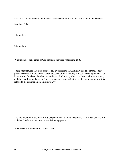Read and comment on the relationship between cherubim and God in the following passages:

Numbers 7:89:

1Samuel 4:4:

2Samuel 6:2:

What is one of the Names of God that uses the word 'cherubim' in it?

These cherubim are the 'near ones'. They are closest to the Almighty and His throne. Their presence seems to indicate the nearby presence of the Almighty Himself. Based upon what you have read so far about cherubim, what do you think the 'symbols' on the curtains, on the veil, and the cherubim on the Ark of the Covenant were copies (patterns) of? Comment on how this relates to the commandment in Exodus 20:4:

The first mention of the word *k'rubiym* [cherubim] is found in Genesis 3:24. Read Genesis 2:9, and then 3:1-24 and then answer the following questions:

What tree did Adam and Eve *not* eat from?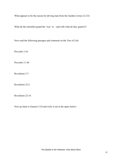What appears to be the reason for driving man from the Garden (verses 22-23):

What do the cherubim guard the 'way' to – and with what do they guard it?

Now read the following passages and comment on the Tree of Life:

Proverbs 3:18:

Proverbs 11:30:

Revelation 2:7:

Revelation 22:2:

Revelation 22:14:

Now go back to Genesis 3:24 and write it out in the space below: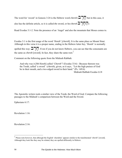The word for 'sword' in Genesis 3:24 is the Hebrew word *chereb* ( $\Box$  $\Box$ ) but in this case, it ֶ also has the definite article, so it is called *the* sword, or *ha-chereb*  $\Box \Box \Box$ ) ֶ ֶ

Read Exodus 3:1-2. Note the presence of an 'Angel' and also the mountain that Moses comes to.

Exodus 3:1 is the first usage of the word 'Horeb' [*choreb*]. It is the same place as Mount Sinai. Although in this verse it is a proper name, ending in the Hebrew letter *hey*, 'Horeb' is normally spelled this way:  $\Box \Box \Box \Box$  Even if you do not know Hebrew, you can see that the consonants are ֶ the same as *chereb* [sword]. In fact, they share the same root.<sup>5</sup>

Comment on the following quote from the Midrash Rabbah:

And why was it [Mt Horeb] called '*Choreb*'? (Exodus 33:6) - Because thereon was the Torah, called 'a sword' (*chereb*), given, as it says, "Let the high praises of God be in their mouth, and a two-edged sword in their hand." (Ps. 149:6) Midrash Rabbah Exodus LI:8

The Apostolic writers took a similar view of the Torah, the Word of God. Compare the following passages to the Midrash's comparison between the Word and the Sword.

Ephesians 6:17:

Revelation 1:16:

Revelation 2:16:

 $\overline{a}$ 

<sup>5</sup> Please note however, that although the English 'cherubim' appears similar to the transliterated '*chereb*' [sword]. Although they look like they may be related, they are spelled differently in Hebrew.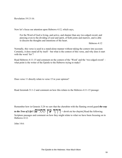Revelation 19:13-16:

Now let's focus our attention upon Hebrews 4:12, which says,

For the Word of God is living, and active, and sharper than any two-edged sword, and piercing even to the dividing of soul and spirit, of both joints and marrow, and is able to discern the thoughts and intentions of the heart.

Hebrews 4:12

Normally, this verse is used in a stand-alone manner without taking the context into account. Certainly, it does stand all by itself – but what is the context of this verse, and why does it start with the word 'for'?

Read Hebrews 4:11-15 and comment on the context of the 'Word' and the 'two-edged sword' – what point is the writer of the Epistle to the Hebrews trying to make?

Does verse 11 directly relate to verse 15 in your opinion?

Read Jeremiah 31:1-2 and comment on how this relates to the Hebrews 4:11-15 passage:

Remember how in Genesis 3:24 we saw that the cherubim with the flaming sword guard *the way* רְך ֵעץ ַה ַחִיּים] *?Life of Tree the to* דּ = *derek etz ha-chayim*] Read the following ֶ ֶ Scripture passages and comment on how they might relate to what we have been focusing on in Hebrews 4:12.

John 14:6: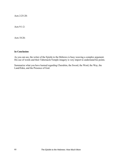Acts 2:25-28:

Acts 9:1-2:

Acts 18:26:

#### **In Conclusion**

As you can see, the writer of the Epistle to the Hebrews is busy weaving a complex argument. His use of words and their Tabernacle/Temple imagery is very import to understand his points.

Summarize what you have learned regarding Cherubim, the Sword, the Word, the Way, the Land/Eden, and the Presence of God.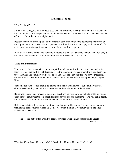# **Lesson Eleven**

# **Who Needs a Priest?**

So far in our study, we have skipped passages that pertain to the High Priesthood of Messiah. We are now ready to look deeper into this topic, which begins in Hebrews 2:17 and then becomes the off and on focus for the next eight chapters.

Because the writer of the Epistle to the Hebrews spends so much time developing the theme of the High Priesthood of Messiah, and yet interlaces it with various side trips, it will be helpful for us to spend some time getting an overview of the next few chapters.

In an effort to bring some consistency to the topic, we will divide it into sections and look only at the verses that are dealing with the topic of the High Priesthood of Messiah.

#### **Titles and Summaries**

Your work in this lesson will be to develop titles and summaries for the verses that deal with High Priest, or the work a High Priest does. In the intervening verses where the writer takes side trips, the titles and summary will be done for you. Use the chart that follows for your reading, but feel free to consult either the text of the Epistle to the Hebrews in the Appendix, or in your Bible.

Your title for each section should be able to fit in the space allowed. Your summary should simply be something that helps you to remember the main points of the section.

Remember, part of this process is to prompt questions on your part. Do not attempt to solve any 'problems' – simply let the text speak for itself as you title and summarize. We will delve deeply into the issues surrounding these eight chapters as we go forward from here.

Before we get started, remember what we have learned in Hebrews 2:5 is the subject matter of this Epistle. It is about the World To Come. Keep that in mind as you study about the High Priesthood of Messiah.

For He has not put **the world to come, of which we speak**, in subjection to angels. 6 Hebrews 2:5

<sup>&</sup>lt;u>.</u> 6 *The New King James Version*, Heb 2:5. Nashville: Thomas Nelson, 1996, c1982.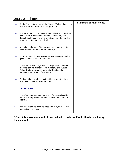|                | $2:13 - 3:2$                                                                      | Title:                                                                                                                                                                                                                |                               |
|----------------|-----------------------------------------------------------------------------------|-----------------------------------------------------------------------------------------------------------------------------------------------------------------------------------------------------------------------|-------------------------------|
| 13             |                                                                                   | Again, "I will put my trust in him." Again, "Behold, here I am<br>with the children whom God has given me."                                                                                                           | <b>Summary or main points</b> |
| 14             |                                                                                   | Since then the children have shared in flesh and blood, he<br>also himself in like manner partook of the same, that<br>through death he might bring to nothing him who had the<br>power of death, that is, the devil, |                               |
| 15             |                                                                                   | and might deliver all of them who through fear of death<br>were all their lifetime subject to bondage.                                                                                                                |                               |
| 16             |                                                                                   | For most certainly, he doesn't give help to angels, but he<br>gives help to the seed of Avraham.                                                                                                                      |                               |
| 17             |                                                                                   | Therefore he was obligated in all things to be made like his<br>brothers, that he might become a merciful and faithful<br>Kohen Gadol in things pertaining to God, to make<br>atonement for the sins of the people.   |                               |
| 18             |                                                                                   | For in that he himself has suffered being tempted, he is<br>able to help those who are tempted.                                                                                                                       |                               |
|                | <b>Chapter Three</b>                                                              |                                                                                                                                                                                                                       |                               |
| 1              | Yeshua;                                                                           | Therefore, holy brothers, partakers of a heavenly calling,<br>consider the Apostle and Kohen Gadol of our confession,                                                                                                 |                               |
| $\overline{2}$ | who was faithful to him who appointed him, as also was<br>Moshe in all his house. |                                                                                                                                                                                                                       |                               |

# **3:3-4:13: Discussion on how the listeners should remain steadfast in Messiah – following Him into rest.**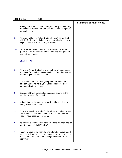|                         | 4:14-5:10                                                                                                                                                                                         | Title:                                                                                                                                                                   |                               |
|-------------------------|---------------------------------------------------------------------------------------------------------------------------------------------------------------------------------------------------|--------------------------------------------------------------------------------------------------------------------------------------------------------------------------|-------------------------------|
|                         |                                                                                                                                                                                                   |                                                                                                                                                                          | <b>Summary or main points</b> |
| 14                      | our confession.                                                                                                                                                                                   | Having then a great Kohen Gadol, who has passed through<br>the heavens, Yeshua, the Son of God, let us hold tightly to                                                   |                               |
| 15                      |                                                                                                                                                                                                   | For we don't have a Kohen Gadol who can't be touched<br>with the feeling of our infirmities, but one who has been in<br>all points tempted like we are, yet without sin. |                               |
| 16                      | help in time of need.                                                                                                                                                                             | Let us therefore draw near with boldness to the throne of<br>grace, that we may receive mercy, and may find grace for                                                    |                               |
|                         | <b>Chapter Five</b>                                                                                                                                                                               |                                                                                                                                                                          |                               |
| 1                       |                                                                                                                                                                                                   | For every Kohen Gadol, being taken from among men, is<br>appointed for men in things pertaining to God, that he may<br>offer both gifts and sacrifices for sins.         |                               |
| $\overline{\mathbf{2}}$ | surrounded with weakness.                                                                                                                                                                         | The Kohen Gadol can deal gently with those who are<br>ignorant and going astray, because he himself is also                                                              |                               |
| 3                       | people, as well as for himself.                                                                                                                                                                   | Because of this, he must offer sacrifices for sins for the                                                                                                               |                               |
| 4                       | God, just like Aharon was.                                                                                                                                                                        | Nobody takes this honor on himself, but he is called by                                                                                                                  |                               |
| 5                       |                                                                                                                                                                                                   | So also Messiah didn't glorify himself to be made a Kohen<br>Gadol, but it was he who said to him, "You are my Son.<br>Today I have become your father."                 |                               |
| 6                       | after the order of Malki-Tzedek."                                                                                                                                                                 | As he says also in another place, "You are a Kohen forever,                                                                                                              |                               |
| 7                       | He, in the days of his flesh, having offered up prayers and<br>petitions with strong crying and tears to him who was able<br>to save him from death, and having been heard for his<br>godly fear, |                                                                                                                                                                          |                               |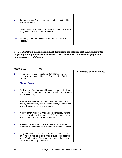| 8  | though he was a Son, yet learned obedience by the things<br>which he suffered.                       |  |
|----|------------------------------------------------------------------------------------------------------|--|
| 9  | Having been made perfect, he became to all of those who<br>obey him the author of eternal salvation, |  |
| 10 | named by God a Kohen Gadol after the order of Malki-<br>Tzedek.                                      |  |

**5:11-6:19: Rebuke and encouragement. Reminding the listeners that the subject matter regarding the High Priesthood of Yeshua is not elementary – and encouraging them to remain steadfast in Messiah.** 

| $6:20 - 7:10$<br><b>Title:</b> |                                                                                                                                                                                                                            |                                                                                                                                                                        |                               |
|--------------------------------|----------------------------------------------------------------------------------------------------------------------------------------------------------------------------------------------------------------------------|------------------------------------------------------------------------------------------------------------------------------------------------------------------------|-------------------------------|
| 20                             |                                                                                                                                                                                                                            | where as a forerunner Yeshua entered for us, having<br>become a Kohen Gadol forever after the order of Malki-                                                          | <b>Summary or main points</b> |
|                                | Tzedek.                                                                                                                                                                                                                    |                                                                                                                                                                        |                               |
|                                | <b>Chapter Seven</b>                                                                                                                                                                                                       |                                                                                                                                                                        |                               |
| 1                              | and blessed him,                                                                                                                                                                                                           | For this Malki-Tzedek, king of Shalem, Kohen of El 'Elyon,<br>who met Avraham returning from the slaughter of the kings                                                |                               |
| $\overline{2}$                 |                                                                                                                                                                                                                            | to whom also Avraham divided a tenth part of all (being<br>first, by interpretation, king of righteousness, and then also<br>king of Shalem, which is king of peace;   |                               |
| 3                              |                                                                                                                                                                                                                            | without father, without mother, without genealogy, having<br>neither beginning of days nor end of life, but made like the<br>Son of God), remains a Kohen continually. |                               |
| 4                              |                                                                                                                                                                                                                            | Now consider how great this man was, to whom even<br>Avraham, the patriarch, gave a tenth out of the best spoils.                                                      |                               |
| 5                              | They indeed of the sons of Levi who receive the Kohen's<br>office have a mitzvah to take tithes of the people according<br>to the Torah, that is, of their brothers, though these have<br>come out of the body of Avraham, |                                                                                                                                                                        |                               |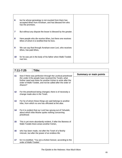| 6  | but he whose genealogy is not counted from them has<br>accepted tithes from Avraham, and has blessed him who<br>has the promises. |  |
|----|-----------------------------------------------------------------------------------------------------------------------------------|--|
| 7  | But without any dispute the lesser is blessed by the greater.                                                                     |  |
| 8  | Here people who die receive tithes, but there one receives<br>tithes of whom it is testified that he lives.                       |  |
| 9  | We can say that through Avraham even Levi, who receives<br>tithes, has paid tithes,                                               |  |
| 10 | for he was yet in the body of his father when Malki-Tzedek<br>met him.                                                            |  |

|                 | $7:11 - 7:25$                                                                                                                 | Title:                                                                                                                                                                                                                                                |                               |
|-----------------|-------------------------------------------------------------------------------------------------------------------------------|-------------------------------------------------------------------------------------------------------------------------------------------------------------------------------------------------------------------------------------------------------|-------------------------------|
| 11              | Aharon?                                                                                                                       | Now if there was perfection through the Levitical priesthood<br>(for under it the people have received the Torah), what<br>further need was there for another Kohen to arise after the<br>order of Malki-Tzedek, and not be called after the order of | <b>Summary or main points</b> |
| 12 <sup>2</sup> |                                                                                                                               | For the priesthood being changed, there is of necessity a<br>change made also in the Torah.                                                                                                                                                           |                               |
| 13              | For he of whom these things are said belongs to another<br>tribe, from which no one has officiated at the altar.              |                                                                                                                                                                                                                                                       |                               |
| 14              | For it is evident that our Lord has sprung out of Yehudah,<br>about which tribe Moshe spoke nothing concerning<br>priesthood. |                                                                                                                                                                                                                                                       |                               |
| 15              |                                                                                                                               | This is yet more abundantly evident, if after the likeness of<br>Malki-Tzedek there arises another Kohen,                                                                                                                                             |                               |
| 16              | who has been made, not after the Torah of a fleshly<br>mitzvah, but after the power of an endless life:                       |                                                                                                                                                                                                                                                       |                               |
| 17              | for it is testified, "You are a Kohen forever, according to the<br>order of Malki-Tzedek."                                    |                                                                                                                                                                                                                                                       |                               |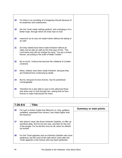| 18 | For there is an annulling of a foregoing mitzvah because of<br>its weakness and uselessness                                                                                                                                      |
|----|----------------------------------------------------------------------------------------------------------------------------------------------------------------------------------------------------------------------------------|
| 19 | (for the Torah made nothing perfect), and a bringing in of a<br>better hope, through which we draw near to God.                                                                                                                  |
| 20 | Inasmuch as he was not made Kohen without the taking of<br>an oath                                                                                                                                                               |
| 21 | (for they indeed have been made Kohanim without an<br>oath), but he with an oath by him that says of him, "The<br>Lord swore and will not change his mind, 'You are a Kohen<br>forever, according to the order of Malki-Tzedek." |
| 22 | By so much, Yeshua has become the collateral of a better<br>covenant.                                                                                                                                                            |
| 23 | Many, indeed, have been made Kohanim, because they<br>are hindered from continuing by death.                                                                                                                                     |
| 24 | But he, because he lives forever, has his priesthood<br>unchangeable.                                                                                                                                                            |
| 25 | Therefore he is also able to save to the uttermost those<br>who draw near to God through him, seeing that he lives<br>forever to make intercession for them.                                                                     |

|    | $7:26-8:6$   | Title:                                                                                                                                                                                       |                               |
|----|--------------|----------------------------------------------------------------------------------------------------------------------------------------------------------------------------------------------|-------------------------------|
| 26 |              | For such a Kohen Gadol was fitting for us: holy, guiltless,                                                                                                                                  | <b>Summary or main points</b> |
|    | the heavens; | undefiled, separated from sinners, and made higher than                                                                                                                                      |                               |
| 27 | up himself.  | who doesn't need, like those Kohenim Gedolim, to offer up<br>sacrifices daily, first for his own sins, and then for the sins<br>of the people. For he did this once for all, when he offered |                               |
| 28 |              | For the Torah appoints men as Kohenim Gedolim who have<br>weakness, but the word of the oath which came after the<br>Torah appoints a Son forever who has been perfected.                    |                               |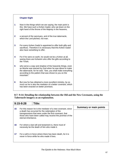|                         | <b>Chapter Eight</b>                                                                                                                                                                                                                                    |
|-------------------------|---------------------------------------------------------------------------------------------------------------------------------------------------------------------------------------------------------------------------------------------------------|
| 1                       | Now in the things which we are saying, the main point is<br>this. We have such a Kohen Gadol, who sat down on the<br>right hand of the throne of the Majesty in the heavens,                                                                            |
| $\overline{\mathbf{2}}$ | a servant of the sanctuary, and of the true tabernacle,<br>which the Lord pitched, not man.                                                                                                                                                             |
| 3                       | For every Kohen Gadol is appointed to offer both gifts and<br>sacrifices. Therefore it is necessary that this Kohen Gadol<br>also have something to offer.                                                                                              |
| 4                       | For if he were on earth, he would not be a Kohen at all,<br>seeing there are Kohanim who offer the gifts according to<br>the Torah;                                                                                                                     |
| 5                       | who serve a copy and shadow of the heavenly things, even<br>as Moshe was warned by God when he was about to make<br>the tabernacle, for he said, "See, you shall make everything<br>according to the pattern that was shown to you on the<br>mountain." |
| 6                       | But now he has obtained a more excellent ministry, by so<br>much as he is also the mediator of a better covenant, which<br>has been enacted on better promises.                                                                                         |

# **8:7- 9:14: Detailing the relationship between the Old and the New Covenants, using the Tabernacle imagery as an explanation.**

| $9:15-9:28$ |                                                                                                                                                                                                                                                               | Title:                                                                                                     |                               |  |
|-------------|---------------------------------------------------------------------------------------------------------------------------------------------------------------------------------------------------------------------------------------------------------------|------------------------------------------------------------------------------------------------------------|-------------------------------|--|
| 15          | For this reason he is the mediator of a new covenant, since<br>a death has occurred for the redemption of the<br>transgressions that were under the first covenant, that<br>those who have been called may receive the promise of the<br>eternal inheritance. |                                                                                                            | <b>Summary or main points</b> |  |
|             |                                                                                                                                                                                                                                                               |                                                                                                            |                               |  |
| 16          |                                                                                                                                                                                                                                                               | For where a last will and testament is, there must of<br>necessity be the death of him who made it.        |                               |  |
| 17          |                                                                                                                                                                                                                                                               | For a will is in force where there has been death, for it is<br>never in force while he who made it lives. |                               |  |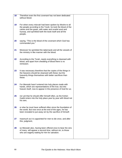| 18 | Therefore even the first covenant has not been dedicated<br>without blood.                                                                                                                                                                          |  |
|----|-----------------------------------------------------------------------------------------------------------------------------------------------------------------------------------------------------------------------------------------------------|--|
| 19 | For when every mitzvah had been spoken by Moshe to all<br>the people according to the Torah, he took the blood of the<br>calves and the goats, with water and scarlet wool and<br>hyssop, and sprinkled both the book itself and all the<br>people, |  |
| 20 | saying, "This is the blood of the covenant which God has<br>commanded you."                                                                                                                                                                         |  |
| 21 | Moreover he sprinkled the tabernacle and all the vessels of<br>the ministry in like manner with the blood.                                                                                                                                          |  |
| 22 | According to the Torah, nearly everything is cleansed with<br>blood, and apart from shedding of blood there is no<br>remission.                                                                                                                     |  |
| 23 | It was necessary therefore that the copies of the things in<br>the heavens should be cleansed with these; but the<br>heavenly things themselves with better sacrifices than<br>these.                                                               |  |
| 24 | For Messiah hasn't entered into holy places made with<br>hands, which are representations of the true, but into<br>heaven itself, now to appear in the presence of God for us;                                                                      |  |
| 25 | nor yet that he should offer himself often, as the Kohen<br>Gadol enters into the holy place year by year with blood not<br>his own,                                                                                                                |  |
| 26 | or else he must have suffered often since the foundation of<br>the world. But now once at the end of the ages, he has<br>been revealed to put away sin by the sacrifice of himself.                                                                 |  |
| 27 | Inasmuch as it is appointed for men to die once, and after<br>this, judgment,                                                                                                                                                                       |  |
| 28 | so Messiah also, having been offered once to bear the sins<br>of many, will appear a second time, without sin, to those<br>who are eagerly waiting for him for salvation.                                                                           |  |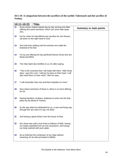## **10:1-10: A comparison between the sacrifices of the earthly Tabernacle and the sacrifice of Yeshua.**

| 10:11-10:23<br><b>Title:</b> |                                                                                                                                                                                     |                                                                                                             |  |  |  |
|------------------------------|-------------------------------------------------------------------------------------------------------------------------------------------------------------------------------------|-------------------------------------------------------------------------------------------------------------|--|--|--|
| 11                           | Every Kohen indeed stands day by day serving and often<br><b>Summary or main points</b><br>offering the same sacrifices, which can never take away<br>sins,                         |                                                                                                             |  |  |  |
| $12 \,$                      | but he, when he had offered one sacrifice for sins forever,<br>sat down on the right hand of God;                                                                                   |                                                                                                             |  |  |  |
| 13                           | footstool of his feet.                                                                                                                                                              | from that time waiting until his enemies are made the                                                       |  |  |  |
| 14                           | being sanctified.                                                                                                                                                                   | For by one offering he has perfected forever those who are                                                  |  |  |  |
| 15                           |                                                                                                                                                                                     | The Holy Spirit also testifies to us, for after saying,                                                     |  |  |  |
| 16                           | "This is the covenant that I will make with them: 'After those<br>days,' says the Lord, 'I will put my laws on their heart, I will<br>also write them on their mind;" then he says, |                                                                                                             |  |  |  |
| 17                           |                                                                                                                                                                                     | "I will remember their sins and their iniquities no more."                                                  |  |  |  |
| 18                           | Now where remission of these is, there is no more offering<br>for sin.                                                                                                              |                                                                                                             |  |  |  |
| 19                           |                                                                                                                                                                                     | Having therefore, brothers, boldness to enter into the holy<br>place by the blood of Yeshua,                |  |  |  |
| 20                           |                                                                                                                                                                                     | by the way which he dedicated for us, a new and living way,<br>through the veil, that is to say, his flesh; |  |  |  |
| 21                           | and having a great Kohen over the house of God,                                                                                                                                     |                                                                                                             |  |  |  |
| 22                           | let's draw near with a true heart in fullness of faith, having<br>our hearts sprinkled from an evil conscience, and having<br>our body washed with pure water,                      |                                                                                                             |  |  |  |
| 23                           | let us hold fast the confession of our hope without<br>wavering; for he who promised is faithful.                                                                                   |                                                                                                             |  |  |  |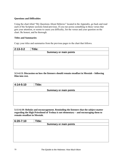## **Questions and Difficulties**

Using the chart titled "My Questions About Hebrews" located in the Appendix, go back and read each of the Scripture sections listed previous. If you run across something in these verses that gets your attention, or seems to cause you difficulty, list the verses and your question on the chart. Be honest, and be thorough.

## **Titles and Summaries**

Copy your titles and summaries from the previous pages to the chart that follows.

| $ 2:13-3:2 $ | Title: |                               |
|--------------|--------|-------------------------------|
|              |        | <b>Summary or main points</b> |
|              |        |                               |
|              |        |                               |
|              |        |                               |
|              |        |                               |

**3:3-4:13: Discussion on how the listeners should remain steadfast in Messiah – following Him into rest.** 

| 4:14-5:10 | Title: |                               |
|-----------|--------|-------------------------------|
|           |        | <b>Summary or main points</b> |
|           |        |                               |
|           |        |                               |
|           |        |                               |

**5:11-6:19: Rebuke and encouragement. Reminding the listeners that the subject matter regarding the High Priesthood of Yeshua is not elementary – and encouraging them to remain steadfast in Messiah.** 

| $6:20 - 7:10$ | Title:                        |
|---------------|-------------------------------|
|               | <b>Summary or main points</b> |
|               |                               |
|               |                               |
|               |                               |
|               |                               |
|               |                               |
|               |                               |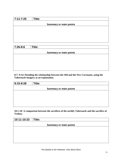| 7:11-7:25    | Title:                        |  |
|--------------|-------------------------------|--|
|              | <b>Summary or main points</b> |  |
|              |                               |  |
|              |                               |  |
|              |                               |  |
| $7.26 - 8.6$ | TiH <sub>0</sub>              |  |

| 7.ZU-0.U | TILIC. |                               |
|----------|--------|-------------------------------|
|          |        |                               |
|          |        | <b>Summary or main points</b> |
|          |        |                               |
|          |        |                               |
|          |        |                               |
|          |        |                               |
|          |        |                               |
|          |        |                               |
|          |        |                               |
|          |        |                               |

**8:7- 9:14: Detailing the relationship between the Old and the New Covenants, using the Tabernacle imagery as an explanation.** 

| $9:15-9:28$ | Title:                        |  |
|-------------|-------------------------------|--|
|             | <b>Summary or main points</b> |  |
|             |                               |  |
|             |                               |  |
|             |                               |  |
|             |                               |  |

**10:1-10: A comparison between the sacrifices of the earthly Tabernacle and the sacrifice of Yeshua.** 

| $10:11-10:23$   Title: |                               |
|------------------------|-------------------------------|
|                        | <b>Summary or main points</b> |
|                        |                               |
|                        |                               |
|                        |                               |
|                        |                               |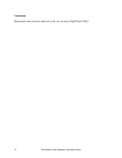## **Conclusion**

Based upon what you have observed so far, do you need a High Priest? Why?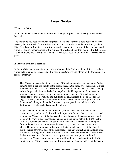## **Lesson Twelve**

### **We need a Priest**

In this lesson we will continue to focus upon the topic of priests, and the High Priesthood of Messiah.

The first thing you need to know about priests, is that the Tabernacle does not exist for them. Instead, the priests exist for the Tabernacle. So much confusion over the priesthood, and the High Priesthood of Messiah comes from misunderstanding the purpose of the Tabernacle and Temple – and misunderstanding of the purpose of priests and how they relate to the Tabernacle. To better understand the High Priesthood of Yeshua, we need to look into the Tabernacle and its priests.

## **A Problem with the Tabernacle**

In Lesson Nine we looked at the time when Moses and the Children of Israel first erected the Tabernacle after making it according the pattern that God showed Moses on the Mountain. It is recorded this way:

Thus Moses did; according to all that the LORD had commanded him, so he did. And it came to pass in the first month of the second year, on the first *day* of the month, *that* the tabernacle was raised up. So Moses raised up the tabernacle, fastened its sockets, set up its boards, put in its bars, and raised up its pillars. And he spread out the tent over the tabernacle and put the covering of the tent on top of it, as the LORD had commanded Moses. He took the Testimony and put *it* into the ark, inserted the poles through the rings of the ark, and put the mercy seat on top of the ark. And he brought the ark into the tabernacle, hung up the veil of the covering, and partitioned off the ark of the Testimony, as the LORD had commanded Moses.

He put the table in the tabernacle of meeting, on the north side of the tabernacle, outside the veil; and he set the bread in order upon it before the LORD, as the LORD had commanded Moses. He put the lampstand in the tabernacle of meeting, across from the table, on the south side of the tabernacle; and he lit the lamps before the LORD, as the LORD had commanded Moses. He put the gold altar in the tabernacle of meeting in front of the veil; and he burned sweet incense on it, as the LORD had commanded Moses. He hung up the screen *at* the door of the tabernacle. And he put the altar of burnt offering *before* the door of the tabernacle of the tent of meeting, and offered upon it the burnt offering and the grain offering, as the LORD had commanded Moses. He set the laver between the tabernacle of meeting and the altar, and put water there for washing; and Moses, Aaron, and his sons would wash their hands and their feet *with water* from it. Whenever they went into the tabernacle of meeting, and when they came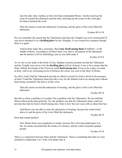near the altar, they washed, as the LORD had commanded Moses. And he raised up the court all around the tabernacle and the altar, and hung up the screen of the court gate. So Moses finished the work.

Then the cloud covered the tabernacle of meeting, and the glory of the LORD filled the tabernacle. Exodus 40:16-34

Do you remember the reason that the Tabernacle (and later the Temple) was to be constructed? It was never intended to be a *dwelling place* for the Almighty. It was created for a purpose though. Here it is again:

And let them make Me a sanctuary, that **I may dwell among them** [*b'tokham* = *in the middle of them*]. According to all that I show you, *that is,* the pattern of the tabernacle and the pattern of all its furnishings, just so you shall make *it.* 

Exodus  $25.8-9$ 

As we saw in our study in the book of Acts, Stephen correctly pointed out that the Tabernacle and the Temple were never to be the *dwelling place* of God. Instead, it was to be a means that the Holy, Infinite Sovereign of the Universe could *dwell among men*. It was to be a place set aside as holy, with every increasing levels of holiness the closer you were to the Holy of Holies.

So, did it work? Did the Tabernacle provide an effective *portal* for God to dwell in the presence of men? Could the Tabernacle alone provide a way for the Infinite God to be among men without them being consumed? Our hint is in this verse:

Then the cloud covered the tabernacle of meeting, and the glory of the LORD filled the tabernacle.

Exodus  $40.34$ 

But this is where a problem is revealed. Not a problem with the Tabernacle. We are told that Moses followed the plan perfectly. No, the problem was that the Tabernacle alone could not provide that link for God to dwell among men. Here is how the next verse tells us about that fact:

And Moses was not able to enter the tabernacle of meeting, because the cloud rested above it, and the glory of the LORD filled the tabernacle.

Exodus 40:35

Does that sound familiar?

Now Mount Sinai *was* completely in smoke, because the LORD descended upon it in fire. Its smoke ascended like the smoke of a furnace, and the whole mountain quaked greatly.

Exodus 19:18

There is a connection between Sinai and the Tabernacle. There is something here that we were intended to understand. Let's look a bit deeper into it.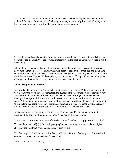Read Exodus 19:1-25 and comment on what you see in the relationship between Mount Sinai and the Tabernacle. Comment specifically regarding any mention of priests, and who they might be - and any 'problems' regarding the approaching to God by men.

The book of Exodus ends with the 'problem' where Moses himself cannot enter the Tabernacle because of the manifest Presence of God. Immediately, in the book of Leviticus, we are given the reason why.

Although the Tabernacle fits the pattern shown, and all the articles are successfully declared holy; men cannot enter it to commune with God because they are not sanctified and clean. And so, the offerings – they are needed to sanctify and clean people so that they can meet with God in the Tabernacle and Temple. Without priests, you cannot have offerings. What was lacking was offerings – and without priestly mediators, you cannot have offerings.

## **Saved, Temporal and Eternal**

Are priests, offerings, and the Tabernacle about getting people 'saved'? It depends upon what you mean by the word 'saved'. Remember, the purpose of the Tabernacle was to provide a way for the infinitely Holy One of Israel, blessed be He, **to dwell among us**. You may have a theological background that uses the words 'saved' and 'salvation' exclusively in an eternal sense. Although the importance of the eternal perspective **cannot** be understated, it is important to understand that these words have significant meaning in a temporal sense as well. Certainly with the Tabernacle and offerings they do, albeit indirectly. Let's consider that.

In understanding the significance of the earthly Tabernacle and Temple it is important to understand the concept of temporal 'salvation' – as odd as that may sound.

The place to start is in fact the name of Messiah Himself. *Yeshua*. It simply means "salvation". The root is *yasha* [  $\mathbf{W}$   $\mathbf{V}$ ]. In simple pictographic understanding, it points to the Almighty, showing "the Hand that Protects, also Sees, or is Provided".

The first usage of this Hebrew word is found in Exodus. Read the first usages of this word and comment on what someone is being 'saved' from:

Exodus 2:17 ( $KJV = "helped"$ ):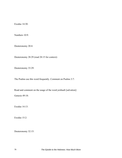Exodus 14:30:

Numbers 10:9:

Deuteronomy 20:4:

Deuteronomy 28:29 (read 28:15 for context):

Deuteronomy 33:29:

The Psalms use this word frequently. Comment on Psalms 3:7:

Read and comment on the usage of the word *yeshuah* [salvation]:

Genesis 49:18:

Exodus 14:13:

Exodus 15:2:

Deuteronomy 32:15: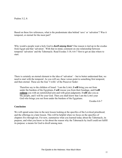Psalms 3:2, 8:

Based on these few references, what is the predominate idea behind 'save' or 'salvation'? Was it temporal, or eternal for the most part?

Why would a people want a holy God to *dwell among them*? One reason is tied up in the exodus from Egypt and that 'salvation'. With that in mind, comment on one relationship between temporal 'salvation' and the Tabernacle. Read Exodus 3:18; 6:6-7 first to get an idea where to start.

There is certainly an eternal element to the idea of 'salvation' – but to better understand that, we need to start with the temporal. As you will see, these verses point to something first temporal, and then eternal. These are the four 'I wills' of the Passover Seder:

Therefore say to the children of Israel: 'I am the LORD; **I will** bring you out from under the burdens of the Egyptians, **I wil**l rescue you from their bondage, and **I will redeem** you with an outstretched arm and with great judgments. **I will** take you as My people, and I will be your God. Then you shall know that I am the LORD your God who brings you out from under the burdens of the Egyptians.

Exodus 6:6-7

### **Conclusion**

We will spend some time in the next lesson looking at the specifics of the Levitical priesthood, and the offerings in a later lesson. This will be helpful when we focus on the specifics of chapters five through ten. For now, summarize what you learned today about the Tabernacle, its purpose, and what you know so far about the reason why the Tabernacle by itself could not fulfill its purpose: a means for God to dwell among men.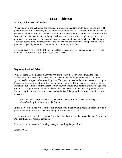## **Lesson Thirteen**

## **Priests, High Priest, and Yeshua**

We reviewed in the last lesson the Tabernacle existed so that God could dwell among and in His people. Moses built it correctly and exactly like God told him to. It was sanctified and dedicated correctly – and the result was that God's abiding Presence filled it – but that very Presence drove Moses from it. We saw that even though God was in the midst of the people, they could not approach Him physically. They need physical cleansing and physical sanctifying. The book of Leviticus begins with an introduction to the five major types of sacrifice that permitted God's people to physically enter the Tabernacle for communing with God.

Moses and Aaron were of the tribe of Levi. Read Genesis 29:31-34 and comment on why Leah named her fourth son "Levi". What does "Levi" mean?

## **Replacing Levitical Priests?**

Why are some theologians in a hurry to *replace* the 'Levitical' priesthood with the High Priesthood of Yeshua? It is because their mistaken understanding that the entire 'Levitical' system has been *replaced* by something new. They have arrived at their conclusion in large part because of their interpretation of the Epistle to the Hebrews. If they had read Hebrews not as Platonists, but as First Century Hebrew believers, they would have come to exactly the opposite opinion. It is right there in the verses above – but they were distracted and delighted with the Platonic implications of the word 'shadows' and missed the point. Let's look at the first phrase of verse 4.

For if He [Messiah] were on earth, **He would not be a priest**, since there **are** priests who offer the gifts according to the Torah...

If this 'new' system has replaced the 'old' system, why exactly would Messiah Yeshua *not* be a priest if He were on earth? What does being on earth have to do with it?

Let's look at these so-called 'Levitical' priests. Actually, they are the descendants of Aaron, and Pinchas [Phineas], Aaron's grandson.

Read and comment on the following passages regarding the priesthood:

Exodus  $40.12 - 15$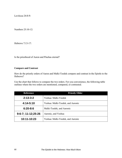Leviticus 24:8-9:

Numbers 25:10-12:

Hebrews 7:13-17:

Is the priesthood of Aaron and Pinchas eternal?

## **Compare and Contrast**

How do the priestly orders of Aaron and Malki-Tzedek compare and contrast in the Epistle to the Hebrews?

Use the chart that follows to compare the two orders. For you convenience, the following table outlines where the two orders are mentioned, compared, or contrasted.

| <b>Reference</b>       | <b>Priestly Older</b>             |  |
|------------------------|-----------------------------------|--|
| $2:13-3:2$             | Yeshua: Malki-Tzedek              |  |
| 4:14-5:10              | Yeshua: Malki-Tzedek, and Aaronic |  |
| $6:20 - 8:6$           | Malki-Tzedek, and Aaronic         |  |
| $9:6-7$ ; 11-12; 25-26 | Aaronic, and Yeshua               |  |
| 10:11-10:23            | Yeshua: Malki-Tzedek, and Aaronic |  |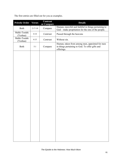| The first entries are filled out for you as examples. |  |  |
|-------------------------------------------------------|--|--|
|-------------------------------------------------------|--|--|

| <b>Priestly Order Verses</b> |           | <b>Contrast</b><br>or Compare | <b>Details</b>                                                                                                  |
|------------------------------|-----------|-------------------------------|-----------------------------------------------------------------------------------------------------------------|
| Both                         | $2:17-18$ | Compare                       | Human, merciful and faithful in things pertaining to<br>God – make propitiation for the sins of the people.     |
| Malki-Tzedek<br>(Yeshua)     | 4:14      | Contrast                      | Passed through the heavens                                                                                      |
| Malki-Tzedek<br>(Yeshua)     | 4:15      | Contrast                      | Without sin.                                                                                                    |
| Both                         | 5:1       | Compare                       | Human, taken from among men, appointed for men<br>in things pertaining to God. To offer gifts and<br>offerings. |
|                              |           |                               |                                                                                                                 |
|                              |           |                               |                                                                                                                 |
|                              |           |                               |                                                                                                                 |
|                              |           |                               |                                                                                                                 |
|                              |           |                               |                                                                                                                 |
|                              |           |                               |                                                                                                                 |
|                              |           |                               |                                                                                                                 |
|                              |           |                               |                                                                                                                 |
|                              |           |                               |                                                                                                                 |
|                              |           |                               |                                                                                                                 |
|                              |           |                               |                                                                                                                 |
|                              |           |                               |                                                                                                                 |
|                              |           |                               |                                                                                                                 |
|                              |           |                               |                                                                                                                 |
|                              |           |                               |                                                                                                                 |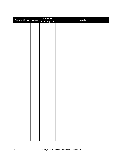| <b>Priestly Order Verses</b> | <b>Contrast</b><br>or Compare | <b>Details</b> |
|------------------------------|-------------------------------|----------------|
|                              |                               |                |
|                              |                               |                |
|                              |                               |                |
|                              |                               |                |
|                              |                               |                |
|                              |                               |                |
|                              |                               |                |
|                              |                               |                |
|                              |                               |                |
|                              |                               |                |
|                              |                               |                |
|                              |                               |                |
|                              |                               |                |
|                              |                               |                |
|                              |                               |                |
|                              |                               |                |
|                              |                               |                |
|                              |                               |                |
|                              |                               |                |
|                              |                               |                |
|                              |                               |                |
|                              |                               |                |
|                              |                               |                |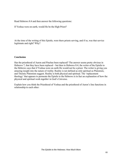Read Hebrews 8:4 and then answer the following questions:

If Yeshua were on earth, would He be the High Priest?

At the time of the writing of this Epistle, were there priests serving, and if so, was that service legitimate and right? Why?

### **Conclusion**

Has the priesthood of Aaron and Pinchas been replaced? The answer seems pretty obvious in Hebrews 7, that they have been replaced – but then in Hebrews 8:4, the writer of the Epistle to the Hebrews says that if Yeshua were on earth He would not be a priest. The writer is giving you amazing insight into the nature of *reality*. Reality is not defined as *only* spiritual as Platonism, and Theistic Platonism suggest. Reality is both physical and spiritual. The 'replacement theology' that appears to permeate the Epistle to the Hebrews is in fact an explanation of how the physical and spiritual work *together* in God's Universe.

Explain how you think the Priesthood of Yeshua and the priesthood of Aaron's line functions in relationship to each other: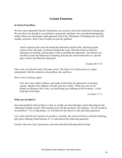## **Lesson Fourteen**

## **In Need of Sacrifices**

We have seen repeatedly that the Tabernacle was erected so that God could dwell among man. We saw that even though it was perfectly constructed, and there was a priesthood designated, neither Moses nor the people could approach God in the Tabernacle. Something else was still needed: sacrifices. Here is how Exodus records the problem:

And he raised up the court all around the tabernacle and the altar, and hung up the screen of the court gate. So Moses finished the work. Then the cloud covered the tabernacle of meeting, and the glory of the Lord filled the tabernacle. And Moses was not able to enter the tabernacle of meeting, because the cloud rested above it, and the glory of the Lord filled the tabernacle.

Exodus  $40.33-35$ 

This is the way that the book of Exodus closes. The book of Leviticus however, opens immediately with the solution to the problem: the sacrifices.

Here is how Leviticus opens:

Now the LORD called to Moses, and spoke to him from the tabernacle of meeting, saying, "Speak to the children of Israel, and say to them: 'When any one of you brings an offering to the LORD, you shall bring your offering of the livestock—of the herd and of the flock.

Leviticus 1:1-2

### **What are Sacrifices?**

Our main problem with sacrifices is that we usually see them through a prism that despises the Tabernacle/Temple system. Most people never ask the questions. For instance, "are all sacrifices sin sacrifices"? As we dig deeper, we will discover the answer to this and other questions.

Let's start with the first mention of sacrifices. Actually, the word used first is *minchah* [offering, gift, grain offering]. Read Genesis 4:1-15 and answer the following questions:

Exactly what was Cain's profession, and what *minchah* [offering] did he bring?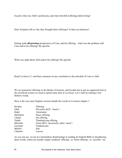Exactly what was Abel's profession, and what *minchah* [offering] did he bring?

Does Scripture tell us why they brought these offerings? Is there an inference?

Setting aside **all previous** perspectives of Cain, and his offering – what was the problem with Cain and/or his offering? Be specific.

What was right about Abel and/or his offering? Be specific.

Read Leviticus 2:1 and then comment on any correlation to the *minchah* of Cain or Abel.

We see numerous offerings in the Books of Genesis, and Exodus but to get an organized look at the sacrificial system we need to spend some time in Leviticus. Let's start by looking a few Hebrew words.

Here is the way most English versions handle the words in Leviticus chapter 1:

| Korban          | Offering                               |
|-----------------|----------------------------------------|
| Olah            | Elevation (KJV, 'burnt')               |
| Kafar           | Atonement                              |
| <b>Shelamim</b> | Peace offering                         |
| Chatat          | Sin offering                           |
| Todah           | Thanksgiving offering                  |
| Minchah         | Grain (KJV, incorrectly calles 'meat') |
| Lavonah         | Frankincense                           |
| Melach          | Salt                                   |
| Chametz.        | Leaven                                 |

As you can see, we are at a tremendous disadvantage in reading an English Bible in deciphering these words, which are usually simply rendered 'offering', or 'burnt offering', or 'sacrifice' etc.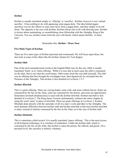## *Korban*

*Korban* is usually translated simply as 'offering' or 'sacrifice'. *Korban*, however is not 'animal sacrifice'. It has nothing to do with appeasing some pagan deity. The idea behind pagan sacrifices was for the offerer to seek some favor from a pagan deity, and then simply to be left alone. The opposite is the case with *korban. Korban* always has to do with drawing near. *Korban* is always about maintaining, or reestablishing close fellowship with the Almighty King of the Universe. You see, *korban* comes from the root verb *karab*, which means literally, 'to draw near'.

### Remember this: *Korban* **= Draw Near**

### **Five Main Types of Korban**

There are five main types of *korban* (personal and communal). We will focus upon these, but also look at some of the others like the *korban chataot* for Yom Kippur.

## *Korban Olah*

One of the most misunderstood words in the English Bible may be this one. *Olah* is usually translated 'burnt' as in 'burnt offering'. While it is true that in most cases the *olah* is consumed on the altar, that is not what the word means. *Olah* comes from the root *alah* [ascend]. The *olah* was an offering that first brought the worshipper near, then figuratively he ascended into the Presence of the Almighty. This *korban* is first detailed in Leviticus 1:3-7.

### *Korban Minchah*

This is a grain offering. There are varying kinds; some with, and some without leaven. Some are consumed by the fire on the Altar, some are consumed by the priests, and some are apportioned. Sometimes *lavonah* [frankincense] is used with the *korban minchah*. *Korban minchah* is first detailed in Leviticus 2. The King James Version unfortunately confuses the entire chapter by using the word 'meat' in place of *minchah*. These are grain offerings in Leviticus 2. Korban Minchah deals directly with the surrender of all of a man's work and labor to the Almighty. The most dramatic difference between *korban olah* and *korban minchah* is that most *korban minchah* is eaten, instead of entirely consumed by the fire on the Altar, as in the case of *korban olah*.

### *Korban Shelamim*

This is sometimes called *zevach*. It is usually translated 'peace offering'. This is the most joyous of all *korbanot* [offerings]. It is a *korban* of celebration. Unlike the *korban olah*, which is consumed by the fire on the Altar, this *korban* is eaten the priests, the offered, and guests. On a personal level, this sacrifice is entirely voluntary.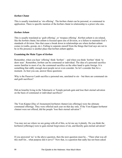## *Korban Chatat*

This is usually translated as 'sin offering'. The *korban chatat* can be personal, or communal in application. There is specific mention of the *korban chatat* in relationship to a priest who sins.

### *Korban Asham*

This is usually translated as 'guilt offering', or 'trespass offering'. *Korban asham* is sin related, like the *korban chatat*, but *asham* is focused upon sins of division, or a failure to maintain God's standards of division. Sins that cause a break down in relationships are where *korban asham* comes in (oaths, gossip, etc.). Failing to separate oneself from the things that God says are not to be in His presence is another place that *korban asham* applies.

### **Examining the Main Types of** *Korban*

Remember, when you hear 'offering' think '*korban*' – and when you think '*korban*' think 'to draw near'. Remember, *korban* can be communal or individual. The idea of a personal sacrifice seems familiar to most of us, the communal sacrifice on the other hand is quite foreign. It is something that oddly enough most people never even consider. So let's consider that for a moment. As best you can, answer these questions:

Why is the Passover Lamb sacrifice a personal one, unrelated to  $sin - but$  there are communal sin and guilt sacrifices?

Did an Israelite living in the Tabernacle or Temple periods gain and lose their eternal salvation on the basis of communal or individual sacrifices?

The Yom Kippur [Day of Atonement] *korbanot chataot* [sin offerings] were the ultimate communal offerings. They were offeried each year on that day only. If the Yom Kippur *korbanot chataot* were not offered, did the people 'lose their eternal salvation'?

You may not see where we are going with all of this, so let me say it plainly. Do you think the *korbanot* [offerings] were to gain eternal forgiveness of sin, and thereby gain eternal salvation?

If you answered 'no' to the above question, then the next question must be... "Then what was all this stuff for... what purpose did it serve?" Now that, is a question that sadly has not been asked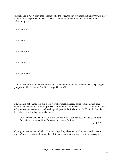enough, and is rarely answered satisfactorily. Beloved, the key to understanding *korban*, is that it is not a failed experiment by God. *It works*. Let's look at that. Read and comment on the following passages:

Leviticus 4:20:

Leviticus 5:10:

Leviticus 6:6-7:

Leviticus 19:22:

Leviticus 17:11:

Now read Hebrews 10:4 and Hebrews 10:11 and comment on how they relate to the passages you just read in Leviticus. Did God change His mind?

**No**, God did not change His mind. His ways have **not** changed. Some commentators have actually taken these and similar **apparent** contradictions to indicate that it was a sin on the part of righteous men and women to literally participate in the *korbanot* of the Torah. In that, they have done what HaShem warned against.

Woe to those who call evil good, and good evil; who put darkness for light, and light for darkness; who put bitter for sweet, and sweet for bitter!

Isaiah 5:20

Clearly, to best understand what Hebrews is speaking about we need to better understand the topic. Our preconceived ideas may have blinded us to what is going on in these passages.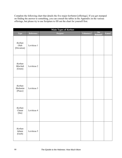Complete the following chart that details the five major *korbanot* [offerings]. If you get stumped on finding the answer to something, you can consult the tables in the Appendix on the various offerings, but please try to use Scripture to fill out the chart for yourself first.

| <b>Main Types of Korban</b>   |                        |                |            |                 |        |  |  |
|-------------------------------|------------------------|----------------|------------|-----------------|--------|--|--|
| <b>Type</b>                   | Reference              | <b>Purpose</b> | Voluntary? | Sin<br>Related? | Eaten? |  |  |
| Korban<br>Olah<br>[Elevation] | Leviticus 1            |                |            |                 |        |  |  |
| Korban<br>Minchah<br>[Grain]  | Leviticus <sub>2</sub> |                |            |                 |        |  |  |
| Korban<br>Shelamim<br>[Peace] | Leviticus 3            |                |            |                 |        |  |  |
| Korban<br>Chatat<br>[Sin]     | Leviticus 4            |                |            |                 |        |  |  |
| Korban<br>Asham<br>[Guilt]    | Leviticus 5            |                |            |                 |        |  |  |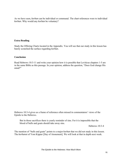As we have seen, *korban* can be individual or communal. The chart references were to individual *korban*. Why would any *korban* be voluntary?

## **Extra Reading**

Study the Offering Charts located in the Appendix. You will see that our study in this lesson has barely scratched the surface regarding *korban*.

## **Conclusion**

Read Hebrews 10:3-11 and write your opinion how it is possible that Leviticus chapters 1-5 are in the same Bible as this passage. In your opinion, address the question, "Does God change His mind?"

Hebrews 10:3-4 gives us a frame of reference often missed in commentators' views of the Epistle to the Hebrews.

But in those sacrifices there is yearly reminder of sins. For it is impossible that the blood of bulls and goats should take away sins.

Hebrews 10:3-4

The mention of "bulls and goats" points to a major *korban* that we did not study in this lesson. The *korbanot* of Yom Kippur [Day of Atonement]. We will look at that in depth next week.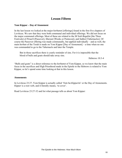# **Lesson Fifteen**

## **Yom Kippur – Day of Atonement**

In the last lesson we looked at the major *korbanot* [offerings] found in the first five chapters of Leviticus. We saw that they were both communal and individual offerings. We did not focus on the major communal offerings. Most of these are related to the *Sh'losh Regalim* [the Three Festivals] of *Pesach* [Passover], *Shavuot* [Weeks or Pentecost], and *Sukkot* [Tabernacles]. Of course the Passover offering was made communally, but applied individually – and as well, the main *korban* of the Torah is made on Yom Kippur [Day of Atonement] – a time when no one was commanded to go to the Tabernacle and later the Temple.

But in those sacrifices there is yearly reminder of sins. For it is impossible that the blood of bulls and goats should take away sins.

Hebrews 10:3-4

"Bulls and goats" is a direct reference to the *korbanot* of Yom Kippur, so we know that the main focus in the sacrifices and High Priesthood made in the Epistle to the Hebrews is related to Yom Kippur, so let's spend some time looking at that in this lesson.

### **Atonements**

In Leviticus 23:27, Yom Kippur is actually called '*Yom ha-Kippurim*' or the Day of Atonements. *Kippur* is a root verb, and it literally means, 'to cover'.

Read Leviticus 23:27-32 and list what passage tells us about Yom Kippur: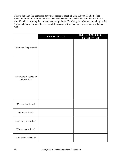Fill out the chart that compares how these passages speak of Yom Kippur. Read all of the questions in the left column, and then read each passage and see if it answers the questions or not. We will be looking for contrasts and comparisons. For clarity, if Hebrews is speaking of the Tabernacle Yom Kippur, identify it, and if speaking of the 'Heavenly' event, identify that as well.

|                                         | Leviticus 16:1-34 | Hebrews 7:27; 9:3-14;<br>$9:24-28$ ; 10:1-22 |
|-----------------------------------------|-------------------|----------------------------------------------|
| What was the purpose?                   |                   |                                              |
| What were the steps, or<br>the process? |                   |                                              |
| Who carried it out?                     |                   |                                              |
| Who was it for?                         |                   |                                              |
| How long was it for?                    |                   |                                              |
| Where was it done?                      |                   |                                              |
| How often repeated?                     |                   |                                              |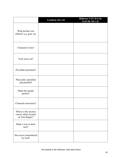|                                                                  | Leviticus 16:1-34 | Hebrews 7:27; 9:3-14;<br>9:24-28; 10:1-22 |
|------------------------------------------------------------------|-------------------|-------------------------------------------|
| What korban was<br>offered? e.g. goat, etc.                      |                   |                                           |
| Cleansed of sins?                                                |                   |                                           |
| Took away sin?                                                   |                   |                                           |
| Provided atonement?                                              |                   |                                           |
| Physically sanctified<br>and purified?                           |                   |                                           |
| Made the people<br>perfect?                                      |                   |                                           |
| Cleansed conscience?                                             |                   |                                           |
| Where is the incense<br>censor (altar) located<br>on Yom Kippur? |                   |                                           |
| Made a way to draw<br>near?                                      |                   |                                           |
| Sins never remembered<br>by God?                                 |                   |                                           |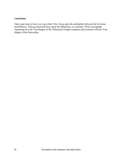## **Conclusion**

Take some time to look over your chart. First, focus upon the similarities between the Leviticus and Hebrews. Then go back and focus upon the differences, or contrasts. Write a paragraph explaining how the Yom Kippur of the Tabernacle/Temple compares and contrasts with the Yom Kippur of the Heavenlies.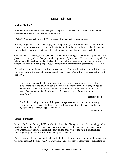# **Lesson Sixteen**

## **A Mere Shadow?**

What is it that some believers have against the physical things of life? What is it that some believers have against the spiritual things of life?

"What?" You may ask yourself. "Who has anything against spiritual things?"

Actually, anyone who has something against the physical, has something against the spiritual. You see, we are given some pretty good insights into the relationship between the physical and the spiritual in Scripture – but somewhere along the way, our theology was hijacked.

One way that our theology was hijacked as in the understanding of the relationship between the physical and the spiritual. One profound thing that the Epistle to the Hebrews does is explain that relationship. The problem is, that the Epistle to the Hebrews uses some language that if not understood from a biblical perspective, one might think that it is saying something that it isn't.

We will be spending the next few lessons looking at the Tabernacle, priests, and offerings – and how they relate to the issue of spiritual and physical reality. One of the words used is the word 'shadow'.

For if He were on earth, He would not be a priest, since there are priests who offer the gifts according to the law; who serve the copy and **shadow of the heavenly things**, as Moses was divinely instructed when he was about to make the tabernacle. For He said, *"See* that *you make all things according to the pattern shown you on the mountain."*

Hebrews 8:4-5

For the law, having a **shadow of the good things to come**, *and* **not the very image** of the things, can never with these same sacrifices, which they offer continually year by year, make those who approach perfect.

Hebrews 10:1

## **Theistic Platonism**

In the early Fourth Century BCE, the Greek philosopher Plato gave us the Cave Analogy in his work, *Republic*. Essentially, the Cave Analogy is that man in his current state is confined in a cave, where higher reality is casting shadows on the back wall of the cave. Man is limited to knowing reality by what is dimly projected by those shadows.

Plato's view was that truth cannot be know by looking at the shadows – but rather by perceiving the forms that cast the shadows. Plato was wrong. Scripture proves Plato wrong, but instead of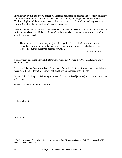shying away from Plato's view of reality, Christian philosophers adapted Plato's views on reality into their interpretation of Scripture. Justin Martyr, Origen, and Augustine were all Platonists. Their theologies and their views plus the views of countless of their adherents has given us a view of Scripture that is laced with Theistic Platonism.

Here is how the New American Standard Bible translates Colossians 2:16-17. Watch how easy it is for the translators to add the word "mere" to their translation even though it is not even hinted at in the original Greek.

Therefore no one is to act as your judge in regard to food or drink or in respect to a festival or a new moon or a Sabbath *day* — things which are a *mere* shadow of what is to come; but the substance belongs to Christ.

Colossians 2:16-17

See how easy this verse fits with Plato's Cave Analogy? No wonder Origen and Augustine were such Plato fans!

The word "shadow" is the word *skia*. The Greek *skia* in the Septuagint<sup>7</sup> points us to the Hebrew word *tzel.* It comes from the Hebrew root *tzalal*, which denotes *hovering over*.

In your Bible, look up the following references for the word *tzel* [shadow] and comment on what a *tzel* does.

Genesis 19:8 (for context read 19:1-10):

1Chronicles 29:15:

Job  $8.8-10$ 

<sup>&</sup>lt;sup>7</sup> The Greek version of the Hebrew Scriptures – translated from Hebrew to Greek in 270 BCE by a council of 70, hence the abbreviation: LXX.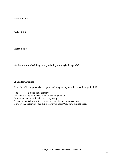Psalms 36:5-9:

Isaiah  $4.5-6$ 

Isaiah 49:2-3:

So, is a shadow a bad thing, or a good thing – or maybe it depends?

### **A Shadow Exercise**

Read the following textual description and imagine in your mind what it might look like:

The is a ferocious creature.

Extremely sharp teeth make it a very deadly predator.

It is able to eat more than its own body weight.

This mammal is known for its voracious appetite and vicious nature.

Now fix that picture in your mind. Have you got it? OK, now turn the page.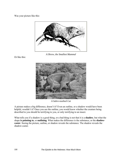Was your picture like this:



*A Shrew, the Smallest Mammal* 



*A Sabre-toothed Cat* 

A picture makes a big difference, doesn't it? Even an outline, or a shadow would have been helpful, wouldn't it? Once you see the outline, you would know whether the creature being described to you should be terrifying to you, or only terrifying to an insect.

What tells you if a shadow is a good thing, or a bad thing is not that it is a **shadow**, but what the shape **is pointing to**, or **outlining**. What makes the difference is the substance, or the **shadowcaster**. Seeing the picture, outline, or shadow reveals the substance. The shadow reveals the shadow-caster.

Or like this: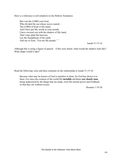Here is a reference to *tzel* [shadow] in the Hebrew Scriptures:

But I am the LORD your God, Who divided the sea whose waves roared— The LORD of hosts is His name. And I have put My words in your mouth; I have covered you with the shadow of My hand, That I may plant the heavens, Lay the foundations of the earth, And say to Zion, 'You are My people.' "

Isaiah 51:15-16

Although this is using a figure of speech – if this were literal, what would the shadow look like? What shape would it take?

Read the following verse and then comment on the relationship to Isaiah 51:15-16:

Because what may be known of God is manifest in them, for God has shown *it* to them. For since the creation of the world His **invisible** *attributes* **are clearly seen**, being understood by the things that are made, *even* His eternal power and Godhead, so that they are without excuse.

Romans 1:19-20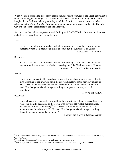When we begin to read the three references in the Apostolic Scriptures to the Greek equivalent to *tzel* a pattern begins to emerge. Our translators are steeped in Platonism – they really cannot imagine that a shadow can be a good thing – and that the reference to a *shadow* is a Hebraic reference to the *physical world*. They cannot imagine that in our present bodily state, **the only way we can see the spiritual is to see the shadows**.

Since the translators have no problem with fiddling with God's Word, let's return the favor and make these verses reflect their true intention.

### This:

So let no one judge you in food or in drink, or regarding a festival or a new moon or sabbaths, which are a **shadow** of things to come, but the substance is of Christ. Colossians 2:16-17 *NKJV*

#### Becomes:

So let no one judge you in food or in drink, or regarding a festival or a new moon or sabbaths, which are a shadow of **what is coming**, and<sup>8</sup> the Shadow-caster is Messiah. Colossians 2:16-17 *Sh'ma! Chazak! Version*

## And this:

For if He were on earth, He would not be a priest, since there are priests who offer the gifts according to the law; who serve the copy and **shadow** of the heavenly things, as Moses was divinely instructed when he was about to make the tabernacle. For He said, "See that you make all things according to the pattern shown you on the mountain."

Hebrews 8:4-5 *NKJV*

### Becomes:

For if Messiah were on earth, He would not be a priest, since there are *already* priests who offer the gifts according to the Torah; who serve in **the visible manifestation**<sup>9</sup> and shadow of **what is heavenly**<sup> $10$ </sup>, as Moses was divinely instructed when he was about to make the tabernacle. For He said, "See that you make all things according to the pattern shown you on the mountain."

Hebrews 8:4-5 *Sh'ma! Chazak! Version*

 $\overline{a}$ 

<sup>&</sup>lt;sup>8</sup> δὲ is a conjunction – unlike English it is not adversative. It can be adversative or continuative – it can be "but", "now" or "and".<br><sup>9</sup> ύποδείγματι [hupodeigma] hupo= under, in; deiknuo=expose to the eyes

<sup>&</sup>lt;sup>10</sup> των έπουρανίων can denote "what" or "who" is "heavenly" – but the word "things" is not found.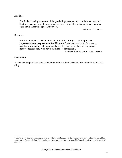### And this:

For the law, having a **shadow** of the good things to come, *and* not the very image of the things, can never with these same sacrifices, which they offer continually year by year, make those who approach perfect.

Hebrews 10:1 *NKVJ*

### Becomes:

For the Torah, *has* a shadow of the good **that is coming** – not the **physical representation or replacement for His work<sup>11</sup>, and can never with these same** sacrifices, which they offer continually year by year, make those who approach perfect (because they were never intended for that reason).

Hebrews 10:1 *Sh'ma! Chazak! Version*

## **Conclusion**

 $\overline{a}$ 

Write a paragraph or two about whether you think a biblical shadow is a good thing, or a bad thing.

<sup>&</sup>lt;sup>11</sup> αύτὴν τὴν εἰκόνα των πραγμάτων does not refer to an abstract, but the business or work of a Person. Use of the words αὐτὴν [*auto*s=his, her, their] and πραγμάτων [*pragma*=business, deed] indicate it is referring to the work of Messiah.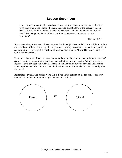# **Lesson Seventeen**

For if He were on earth, He would not be a priest, since there are priests who offer the gifts according to the Torah; who serve the **copy and shadow** of the heavenly things, as Moses was divinely instructed when he was about to make the tabernacle. For He said, "See that you make all things according to the pattern shown you on the mountain."

Hebrews 8:4-5

If you remember, in Lesson Thirteen, we saw that the High Priesthood of Yeshua did not replace the priesthood of Levi, or the High Priestly order of Aaron] Instead we saw that they operated in separate venues. Hebrews 8:4, speaking of Yeshua, says plainly, "For if He were on earth, He would not be a priest..."

Remember that in that lesson we saw again that the writer is giving us insight into the nature of *reality*. Reality is not defined as *only* spiritual as Platonism, and Theistic Platonism suggest. Reality is both physical and spiritual. This is an explanation of how the physical and spiritual work **together** in God's Universe. Let's look at how the traditional view of this issue might be illustrated.

Remember our 'either/or circles'? The things listed in the column on the left are *seen* as worse than what is in the column on the right in these illustrations.

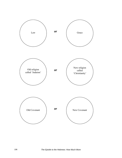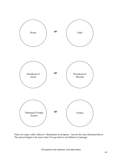

There *are* many valid 'either/or' illustrations in Scripture – but not the ones illustrated above. The answer begins to be more clear if we go back to our Hebrews 8 passage.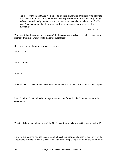For if He were on earth, He would not be a priest, since there are priests who offer the gifts according to the Torah; who serve the **copy and shadow** of the heavenly things, as Moses was divinely instructed when he was about to make the tabernacle. For He said, "See that you make all things according to the pattern shown you on the mountain."

Hebrews 8:4-5

Where is it that the priests on earth serve? In the **copy and shadow**... "as Moses was divinely instructed when he was about to make the tabernacle."

Read and comment on the following passages:

Exodus 25:9

Exodus 26:30:

Acts 7:44:

What did Moses see while he was on the mountain? What is the earthly Tabernacle a copy of?

Read Exodus 25:1-9 and write out again, the purpose for which the Tabernacle was to be constructed.

Was the Tabernacle to be a 'house' for God? Specifically, where was God going to dwell?

Now we are ready to dig into the passage that has been traditionally used to sum up why the Tabernacle/Temple system has been replaced by the 'temple' represented by the assembly of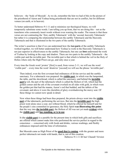believers – the 'body of Messiah'. As we do, remember the hint we had of this in the picture of the priesthood of Aaron and Yeshua being priesthoods that are not in conflict, but for different venues (on earth, or in heaven).

To better understand Hebrews 9:1-11 and to minimize our theological biases, we will temporarily substitute some words. I am telling you up front, that we are doing this – not as the translators who commonly insert words without even warning the reader. The reason is that these verses are not contrasting the 'first, earthly Tabernacle' with the 'second, heavenly Tabernacle' but rather it is comparing the relationship between the earthly Tabernacle and the Heavenly Tabernacle and that is illustrated in the two parts of the earthly Tabernacle.

The writer's assertion is that if we can understand how the **two parts** of the earthly Tabernacle worked together, we will better understand how Yeshua'ss work in the Heavenly Tabernacle is not just superior in effectiveness to the earthly Tabernacle; but one can **best** understand the work of Yeshua by looking at the copy and shadow. There are two parts to the earthly Tabernacle – the visible part and the invisible part. The invisible part is that which is behind the veil in the Holy of Holies where only the High Priest can go, and only once a year.

Every time the Greek word '*protos*' [first] is used, from verses 2-11, we will use the word 'visible part' – every time the word '*deutero*s' [second] we will use the phrase 'invisible part'.

Then indeed, even the first covenant had ordinances of divine service and the earthly sanctuary. For a tabernacle was prepared: the **visible part**, in which was the lampstand, the table, and the showbread, which is called the sanctuary; and behind the **invisible part's** veil, the part of the tabernacle which is called the Holiest of All, which had the golden censer and the ark of the covenant overlaid on all sides with gold, in which were the golden pot that had the manna, Aaron's rod that budded, and the tablets of the covenant; and above it were the cherubim of glory overshadowing the mercy seat. Of these things we cannot now speak in detail.

Now when these things had been thus prepared, the priests always went into the **visible part** of the tabernacle, performing the services. But into the **invisible part** the high priest went alone once a year, not without blood, which he offered for himself and for the people's sins committed in ignorance; the Holy Spirit **was illustrating this point**: that the way into **the invisible part**, the Holiest of All was not yet made **evident** while the **visible part** still **has standing, or is in use**.

It (the **visible part**) is a parable for the present time in which both gifts and sacrifices are offered which cannot make him who performed the service perfect in regard to the conscience — concerned only with foods and drinks, various washings, and fleshly ordinances imposed until the time of reformation.

But Messiah came as High Priest of the **good that is coming**, with the greater and more perfect tabernacle not made with hands, that is, not of this creation.

Hebrews 9:1-11 *Sh'ma! Chazak! Version*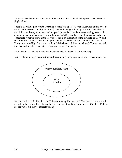So we can see that there are two parts of the earthly Tabernacle, which represent two parts of a single whole.

There is the visible part, which according to verse 9 is a parable, or an illustration of this present time, or **this present world** [*olam hazeh*]. The work that gets done by priests and sacrifices in the visible part is only temporary and temporal (remember how the shadow analogy was used to explain the temporal nature of the world around us?) On the other hand, the invisible part of the Tabernacle, what we know as the Holy of Holies is an illustration of the invisible, or the **World to Come** [*olam haba*]. This invisible part is where the eternal stuff gets done. This is where Yeshua serves as High Priest in the order of Malk-Tzedek. It is where Messiah Yeshua has made the once-and-for-all atonement – in the more perfect Tabernacle.

Let's look at a visual aid to help us understand what Hebrews 9:1-11 is picturing.

Instead of competing, or contrasting circles (either/or), we are presented with concentric circles:



Since the writer of the Epistle to the Hebrews is using this "two part" Tabernacle as a visual aid to explain the relationship between the 'First Covenant' and the 'New Covenant' (8:13-9:1), let's see the visual aid express that relationship: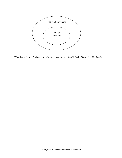

What is the "whole" where both of these covenants are found? God's Word. It is His Torah.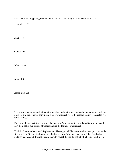Read the following passages and explain how you think they fit with Hebrews 9:1-11.

1Timothy 1:17:

John 1:18:

Colossians 1:15:

John 1:1-14:

John 14:8-11:

James 2:14-26:

The physical is not in conflict with the spiritual. While the spiritual is the higher plane, both the physical and the spiritual comprise a single whole: reality. God's created reality. He created it to reveal Himself.

Plato would have us think that since the 'shadows' are not reality, we should ignore them and cast them off in our pursuit of understanding the forms of what is real.

Theistic Platonists have used Replacement Theology and Dispensationalism to explain away the first  $\frac{3}{4}$  of our Bibles – to discard the 'shadows'. Hopefully, we have learned that the shadows, patterns, copies, and illustrations are there to **reveal** the reality of that which is not visible – to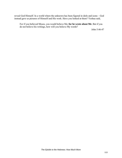reveal God Himself. In a world where the unknown has been figured in idols and icons – God instead gave us pictures of Himself and His work. Have you looked at them? Yeshua said,

For if you believed Moses, you would believe Me; **for he wrote about Me**. But if you do not believe his writings, how will you believe My words?

John 5:46-47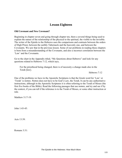# **Lesson Eighteen**

#### **Old Covenant and New Covenant?**

Beginning in chapter seven and going through chapter ten, there a several things being used to explain the nature of the relationship of the physical to the spiritual, the visible to the invisible. The writer of the Epistle to the Hebrews uses the comparisons and contrasts between the orders of High Priest, between the earthly Tabernacle and the heavenly one, and between the Covenants. We saw that in the previous lesson. Some of our problems in reading these chapters is born from a misunderstanding of the Covenants, and also a incorrect correlation between the 'Law' and the Covenants.

Go to the chart in the Appendix titled, "My Questions about Hebrews" and look for any questions related to Hebrews 7:12, which says,

For the priesthood being changed, there is of necessity a change made also in the Torah [law].

Hebrews 7:12

One of the problems we have in the Apostolic Scriptures is that the Greek word for 'Law' or 'Torah' is *nomos*. *Nomos* does not have to be God's Law, the Torah. It can be any authoritative instructions, although in the Apostolic Scriptures it is often referring to the Torah of Moses (the first five books of the Bible). Read the following passages that use *nomos*, and try and see if by the context, if you can tell if the reference is to the Torah of Moses, or some other instruction or rule.

Matthew 5:17-19:

John 1:43-45:

Acts 13:39:

Romans 3:31: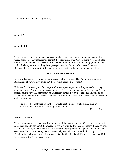Romans 7:18-25 (list all that you find):

James 1:25:

James 4:11-12:

There are many more references to *nomos*, so do not consider this an exhaustive look at the word. Suffice it to say that it is the context that determines what 'law' is being referenced. Not all references to *nomos* are speaking of the Torah, although most are. One thing you may have realized when you were reading these passages, was the absence of the word 'covenant'. Beloved, this is very important. If you get nothing else from this lesson, understand this:

#### **The Torah is not a covenant**

In its words it contains covenants, but it is not itself a covenant. The Torah's instructions are stipulations of various covenants, but the Torah is not itself a covenant.

Hebrews 7:12 is **not** saying, *For the priesthood being changed, there is of necessity a change made also in the Torah.* It is **not** saying, *of necessity a change made also in the Covenant*. It is merely pointing out that there must be **a different** *nomo*s that creates the High Priesthood of Yeshua than the *nomos* that created the High Priesthood of Aaron. Why? Because they operate in different domains:

For if He [Yeshua] were on earth, He would not be a Priest at all, seeing there are Priests who offer the gifts according to the Torah.

Hebrews 8:4

## **Biblical Covenants**

There are numerous covenants within the words of the Torah. 'Covenant Theology' has taught some very good things about the Covenants of the Almighty, but in some regards it has also done us some disservice, in that it has given us an incorrect perspective of sequential and exclusive covenants. This is quite wrong. Tremendous insights can be discovered in these pages of the Epistle to the Hebrews if you will forever banish the idea that Torah [Law] is the same as 'Old Covenant', or the 'Covenant of Sinai'.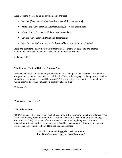Here are some clear God-given covenants in Scripture:

- Noachic [Covenant with Noah and sons and all living creatures]
- Abrahamic [Covenant with Abraham, Isaac, Jacob, and descendants]
- **Mosaic/Sinai [Covenant with Israel and descendants]**
- Davidic [Covenant with David and descendants]
- New Covenant [Covenant with the house of Israel and the house of Judah]

Read and comment on how Paul tells us that these Covenants are related to one another – namely, do subsequent covenants supersede or annul previous ones?:

Galatians 3:15:

## **The Primary Topic of Hebrews Chapter Nine**

It seems that when you are reading Hebrews nine, that the topic is the Tabernacle. Remember, our previous lesson however. We learned that the Tabernacle imagery was being used to teach us something else. What is it? Read Hebrews 8:7-9:1 and see if you can find the reason why the writer uses the Tabernacle imagery in Hebrews chapter nine.

Hebrews 8:7-9:1:

What is the primary topic?

#### **The Old Covenant**

'Old Covenant' – there is only one such phrase in the entire Scripture, in Hebrew or Greek. Your English Bible may contain it many times – but you find it only once in the original languages (2Corinthians 3:14). That one reference refers to is as something being read. From the misreading of this one reference an enormous fraud has been perpetrated on believers since the days of the early 'church fathers'. Here, the fraud is exposed:

#### **The 'Old Covenant' is not the 'Old Testament' The 'New Covenant is not the 'New Testament'**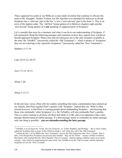These supposed two parts to our Bible are a man-made invention that continue to obscure the truth of the Almighty. Neither Yeshua, nor His Apostles ever intended for believers to divide Scripture into a 'relevant' part in the last  $\frac{1}{4}$ , nor a 'non-relevant' part in the front  $\frac{3}{4}$ . This is an error of the highest order. The 'old/first' being spoken of in Hebrews chapters eight and the 'new/second' being spoken of is **not** speaking of supposed parts of Scripture!

Let's consider that error for a moment, and what it can do to our understanding of Scripture, if left unchecked. Read the following passages and comment on how they express how a believer should approach Scripture. Please note that all references are to the only Scripture available at the time: the TaNaKh<sup>12</sup> (incorrectly called the 'Old Testament') – when it speaks of 'Scriptures' they are not referring to the Apostolic Scriptures<sup>13</sup> (incorrectly called the 'New Testament').

Matthew 5:17-19:

Luke 24:25-32; 44-47:

Acts 17:1-4; 10-13:

2Peter  $1:20$ 

2Peter 3:15-17:

In the previous verses, Peter tells his readers something that many commentators have picked up on; namely, that Peter equates Paul's epistles with 'Scripture'. Indeed they are. What is often missed however, is that Peter is warning people about mishandling Scripture – and showing that those who mishandle 'other Scriptures' (i.e. the TaNaKh), will also mishandle Paul's epistles. This is a stern warning to all those out there that think it is OK, and even imperative that a later passage should trump an earlier passage. If a later passage seems to contradict an earlier passage, only one thing is possible – **you are misunderstanding the later passage**.

 $\overline{a}$  $12$  TaNaKh, is an acronym for 'Torah, Nevi'im, Ketuvim', or 'Torah, Prophets, and Writings' – this is what Yeshua called the Scriptures that so many of His followers think is 'old' when they call it the 'Old Testament'.

 $13$  Calling the last  $\frac{1}{4}$  of our Bibles the 'New Testament' conveys the false impression that 'New' is better. That is false, even though these Scriptures are precious and valuable – they are not 'better' – merely a further revelation. Messianics who renamed this the 'Brit Chadasha' [New Covenant] – thereby putting a Hebrew name on an errant concept – may merely be perpetuating the same myth. The TaNaKh is not the 'Old Covenant' and the Apostolic Scriptures are not the 'New Covenant'.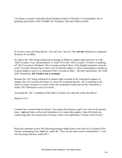List things we need to remember about Scripture found in 2Timothy 3:16 (remember, this is speaking specifically of the TaNaKh, the 'Scripture' that early believers had):

So we have seen one thing that the 'old' and 'new' are not. They **are not** references to supposed divisions of our Bible.

So what is the 'Old' being referenced in passage in Hebrews chapter eight and nine? Is it the 'Old Covenant' or an 'old priesthood' or what? If it is the 'Old Covenant' of what is it speaking of? The Covenant of Abraham? The Covenant at Sinai? Most of the English translators inset the word 'covenant' because that is their view of what the subject is. Most commentators actually go to great lengths to prove it is speaking of the Covenant at Sinai – but more specifically, the Torah itself. Remember, **the Torah is not a covenant**.

Because the 'old' being referenced in chapter eight is related to the Tabernacle imagery in chapter nine, let's assume (for better or worse) for a moment that the 'old' is referring to the Sinai Covenant, because it is in fact where the command to build and use the Tabernacle is found. The Tabernacle is one of its facets.

Assuming the 'old' is speaking of the Sinai Covenant, how does the writer describe it?

Hebrews 8:13:

Consider for a moment that the phrase, "becoming old and grows aged" are verbs in the present tense – **not** past tense, as the most translators try to make them appear. Since this book was written long after the resurrection of Yeshua, what is the significance of these verbs (if any)?

Read and comment on how the following passages might relate to the idea of a Covenant of the Eternal, unchanging God, might be 'made old'. They use the same Greek word (*palaioo* = "wax old, becoming obsolete, made old").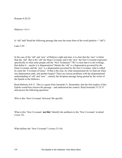Romans 8:20-25:

Hebrews 1:8-11

Is 'old' bad? Read the following passage that uses the noun form of the word (*palaios* = "old"):

Luke 5:39:

In the case of the 'old' and 'new' of Hebrews eight and nine, it is clear that the 'new' is better than the 'old'. But is the 'old' the Sinai Covenant, and is the 'new' the New Covenant expressed specifically in what some people call the 'New Testament'? We've seen that it is not writings, that define it – maybe it is dispensations? Maybe the 'old' is a dispensation governed by the Sinai Covenant, and the 'new' is a dispensation governed by the New Covenant, what is called by some the 'Covenant of Grace'. If that is the case, by what measurement do we find out when one dispensation ends, and another begins? There are serious problems with the dispensational understanding of 'old' and 'new' – namely the Scripture passage being quoted by the writer of the Epistle to the Hebrews.

Read Hebrews 8:8-11. This is a quote from Jeremiah 31. Remember, that the first readers of this Epistle would have known the passage – and understood the context. Read Jeremiah 31:23-37 and answer the following questions:

Who is this 'New Covenant' between? Be specific.

What is this 'New Covenant' **not like**? Identify the antithesis to the 'New Covenant' in detail (verse 32).

What defines the 'New Covenant'? (verses 33-34).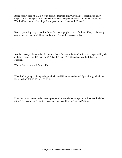Based upon verses 35-37, is it even possible that this 'New Covenant' is speaking of a new dispensation – a dispensation where God replaces His people Israel, with a new people; His Word with a new set of writings that supersede; the 'Law' with 'Grace'?

Based upon this passage, has this 'New Covenant' prophecy been fulfilled? If so, explain why (using this passage only). If not, explain why (using this passage only).

Another passage often used to discuss the 'New Covenant' is found in Ezekiel chapters thirty six and thirty seven. Read Ezekiel 36:22-28 and Ezekiel 37:1-28 and answer the following questions:

Who is this promise to? Be specific.

What is God going to do regarding their sin, and His commandments? Specifically, which does He get rid of? (36:25-27; and 37:23:24).

Does this promise seem to be based upon physical and visible things, or spiritual and invisible things? Or maybe both? List the 'physical' things and list the 'spiritual' things.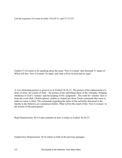List the sequence of events in order. (36:24-31; and 37:12-27).

Ezekiel 37:26 seems to be speaking about the same 'New Covenant' that Jeremiah 31 spoke of. When will this 'New Covenant' be made, and what will be its term and its sign?

A very interesting picture is given to us in Ezekiel 36:26-27. The picture of the replacement of a heart of stone, for a heart of flesh – the picture of the indwelling Spirit of the Almighty, bringing obedience to God's 'statutes' and the keeping of His 'judgments'. The word for 'statutes' here is from the word *chok*. *Chokim* [plural, *chokim* or *chukot*] are those Torah commands that seem to make no sense to them. The commands regarding the ashes of the red heifer discussed in the Epistle to the Hebrews are considered *chokim*. What will be the result of this 'New Covenant' in the actions of the participants?

Read Deuteronomy 30:5-6 and comment on how it relates to Ezekiel 36:26-27:

Explain how Deuteronomy 10:16 relates to both of the previous passages: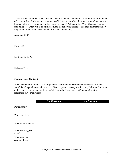There is much about the 'New Covenant' that is spoken of in believing communities. How much of it comes from Scripture, and how much of it is the result of the doctrines of men? Are we who believe in Messiah participants in the 'New Covenant'? When did this 'New Covenant' come into being – or when will it be fulfilled? Read the following passages and then comment on how they relate to the 'New Covenant' (look for the connections):

Jeremiah 31:32:

Exodus 12:1-14:

Matthew 26:26-29:

Hebrews 9:15:

#### **Compare and Contrast**

We have one more thing to do. Complete the chart that compares and contrasts the 'old' and 'new'. Don't spend too much time on it. Based upon the passages in Exodus, Hebrews, Jeremiah, and Ezekiel, compare and contrast the 'old' with the 'New Covenant'(include Scripture references in your answers):

|                                   | <b>Old Covenant</b> | <b>New Covenant</b> |
|-----------------------------------|---------------------|---------------------|
| Participants?                     |                     |                     |
| When enacted?                     |                     |                     |
| What blood seals it?              |                     |                     |
| What is the sign (if<br>any $)$ ? |                     |                     |
| Where are the<br>commandments,    |                     |                     |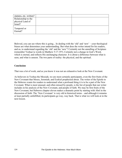| statutes, etc. written? |  |
|-------------------------|--|
| Relationship to the     |  |
| physical Land of        |  |
| Israel?                 |  |
| Temporal or<br>Eternal? |  |

Beloved, you can see where this is going... In dealing with the 'old' and 'new' – your theological biases are what determines your understanding. But what does the writer intend for his readers, and us, to understand regarding the 'old' and the 'new'? Certainly not the annulling of Scripture (remember Yeshua'ss words in Matthew 5:17-19?). Certainly not a change in God's Word, which is eternal, and reflects His unchanging character. It is about a difference between what is seen, and what is unseen. The two parts of reality: the physical, and the spiritual.

## **Conclusion**

That was a lot of work, and as you know it was not an exhaustive look at the New Covenant.

As believers in Yeshua the Messiah, we are most certainly participants, even the first fruits of the New Covenant that Moses, Jeremiah, and Ezekiel prophesied about. The writer of the Epistle to the Hebrews wants his readers to understand what a profound thing it is to be a part of the New Covenant. What is most unusual, and often missed by people, is the list of people that our writer includes in his analysis of the New Covenant, and people of faith. We may be first fruits of the New Covenant, but Hebrews chapter eleven makes a dramatic point by starting with Abel in the discussion of faith: The 'New Covenant' is very old in historical terms – and although it remains at least partially unfulfilled, its participants go way, way back. That is what we will look at in the next lesson.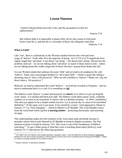## **Lesson Nineteen**

"And he [Abram] believed in the LORD, and He accounted it to him for righteousness"

Genesis 15:6

But without faith it is impossible to please Him, for he who comes to God must believe that He is, and that He is a rewarder of those who diligently seek Him.

Hebrews 11:6

#### **What is Faith?**

Like 'rest', there is a dichotomy in the Western mindset between the verb and noun usage of 'believe'. Faith, after all is the opposite of doing, isn't it? Or is it? Evangelicals have rightly taught that 'salvation' is not about 'our doing' – but about God's doing. Therein lies the problem, beloved – we are not talking about 'salvation' so much in these action words – rather, we are talking about the visible outgrowth of those who have 'passed from death unto life'.

It is our Western minds that embrace the noun 'faith' and yet tend to de-emphasize the verb 'believe'. Some, have encouraged doubters to 'have more faith' – which is much like telling a drowning man to "have a life preserver". Why not tell a doubter to 'believe'? Better yet, why not throw them a 'life preserver'?

Beloved, we need to understand this word 'believe' – as God has revealed in Scripture – and we need to understand that it is a verb. It is something we **do**!

The Hebrew word 'believe' is *aman* (pronounced: *aw-mawn*). It is where we get our English word 'amen'. It is spelled *alef-mem-nun sofit*. The Hebrew word *aman* means verify, establish, confirm, or to cause to be nourished. It carries with it a definite certainty – or 100% 'probability'. This does not appear to be a simple mental exercise. Let us pursue the 'to cause to be nourished' definition<sup>14</sup>. In the same vein it can mean 'to be carried by a nurse'. God appeared to Abram in Genesis 17:1 as "God Almighty" – which in Hebrew is *El Shaddai*. The word *Shaddai* comes from the word *shad* which typifies **a nursing mother** – protecting ferociously, and nurturing lovingly.

This understanding makes the first mention of the word *aman* quite profound, because it precedes where God reveals Himself as *El Shaddai* in Genesis chapter seventeen. The first mention of *aman* is found in Genesis 15:6. This verse is one of the foundations of biblical soterology<sup>15</sup>. To get a fuller grasp of what this verse is teaching about *aman* [believe], read Genesis 15:1-5 and answer the following questions:

 $\overline{a}$ 14 The "hiphil" form of a Hebrew verb usually expresses "causative" action – thus the hiphil form of *aman* showing a relationship between the one who is being nourished or nurtured (Abram) and the One who is nourishing and nurturing (God Almighty) – similar to a baby's cry being causative for the mother to feed it.

<sup>&</sup>lt;sup>15</sup> System, doctrine, or teaching of salvation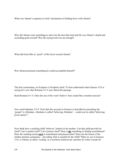What was Abram's response to God's declaration of finding favor with Abram?

Why did Abram want something to show for the fact that God said He was Abram's shield and exceeding great reward? Was He saying God was not enough?

What did God offer as 'proof' of His favor toward Abram?

Was Abram promised something he could accomplish himself?

The best commentary on Scripture is Scripture itself. To best understand what Genesis 15:6 is saying let's see what Romans 4:1-5 says about this passage.

Read Romans 4:1-5. Does the use of the word 'believe' here sound like a mental exercise?

Now read Galatians 3:5-9. Note that this account in Genesis is described as preaching the 'gospel' to Abraham. Abraham is called 'believing Abraham' – could you be called 'believing [your name]'?

Now think how a suckling child 'believes' [*aman*] in his mother. Can that child provide for itself? Can it sustain itself? Can it protect itself? Does it **do** something in finding nourishment? Does the suckling action **earn** it nourishment and preservation? Does not the breast of the mother promise sustenance – providing what is needed for the child? What we see in Genesis 15:6, is Abram, in effect 'rooting' as a newborn instinctively searches for what it needs for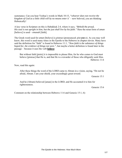sustenance. Can you hear Yeshua's words in Mark 10:15, *"whoever does not receive the kingdom of God as a little child will by no means enter it"* – now beloved, you are thinking Hebraically!

A key verse in Scripture on this is Habakkuk 2:4, where it says, *"Behold the proud, His soul is not upright in him; but the just shall live by his faith."* Here the noun form of *aman* [believe] is used – *emunah* [faith].

The Greek word used for *aman* [believe] is *pisteuo* (pronounced: *pist-yoo-o*). As you may well know, this word is used many times in the Epsitle to the Hebrews in chapter eleven. Many have said the definition for "faith" is found in Hebrews 11:1, *"Now faith is the substance of things hoped for, the evidence of things not seen."*, but maybe a better definition is found later in the passage – because it uses the verb **believe**:

But without faith [pistis] it is impossible to please Him, for he who comes to God must believe [pisteuo] that He is, and that He is a rewarder of those who diligently seek Him. Hebrews 11:6

Now, read this again:

After these things the word of the LORD came to Abram in a vision, saying, "Do not be afraid, Abram. I am your shield, your exceedingly great reward.

Genesis 15:1

And he (Abram) believed [aman] in the LORD, and He accounted it to him for righteousness.

Genesis 15:6

Comment on the relationship between Hebrews 11:6 and Genesis 15:1, 6):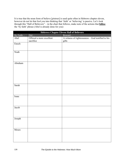It is true that the noun form of believe [*pisteuo*] is used quite often in Hebrews chapter eleven, however do not let that fool you into thinking that 'faith' or 'believing' is passive. Let's look through this "Hall of Believers" – in the chart that follows, make note of the actions that **follow** the 'by faith' phrase (Abel is already done for you):

| <b>Hebrews Chapter Eleven Hall of Believers</b> |                          |                                                   |  |  |
|-------------------------------------------------|--------------------------|---------------------------------------------------|--|--|
| By Faith                                        | Did                      | Reward                                            |  |  |
| Abel                                            | Offered a more excellent | A witness of righteousness - God testified to his |  |  |
|                                                 | sacrifice                | gifts                                             |  |  |
| Enoch                                           |                          |                                                   |  |  |
|                                                 |                          |                                                   |  |  |
|                                                 |                          |                                                   |  |  |
| Noah                                            |                          |                                                   |  |  |
|                                                 |                          |                                                   |  |  |
|                                                 |                          |                                                   |  |  |
| Abraham                                         |                          |                                                   |  |  |
|                                                 |                          |                                                   |  |  |
|                                                 |                          |                                                   |  |  |
|                                                 |                          |                                                   |  |  |
|                                                 |                          |                                                   |  |  |
|                                                 |                          |                                                   |  |  |
|                                                 |                          |                                                   |  |  |
|                                                 |                          |                                                   |  |  |
| Sarah                                           |                          |                                                   |  |  |
|                                                 |                          |                                                   |  |  |
|                                                 |                          |                                                   |  |  |
|                                                 |                          |                                                   |  |  |
| Isaac                                           |                          |                                                   |  |  |
|                                                 |                          |                                                   |  |  |
|                                                 |                          |                                                   |  |  |
|                                                 |                          |                                                   |  |  |
| Jacob                                           |                          |                                                   |  |  |
|                                                 |                          |                                                   |  |  |
|                                                 |                          |                                                   |  |  |
| Joseph                                          |                          |                                                   |  |  |
|                                                 |                          |                                                   |  |  |
|                                                 |                          |                                                   |  |  |
|                                                 |                          |                                                   |  |  |
| Moses                                           |                          |                                                   |  |  |
|                                                 |                          |                                                   |  |  |
|                                                 |                          |                                                   |  |  |
|                                                 |                          |                                                   |  |  |
|                                                 |                          |                                                   |  |  |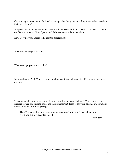Can you begin to see that to 'believe' is not a passive thing, but something that motivates actions that surely follow?

In Ephesians 2:8-10, we see an odd relationship between 'faith' and 'works' – at least it is odd to our Western mindset. Read Ephesians 2:8-10 and answer these questions:

How are we saved? Specifically note the progression:

What was the purpose of faith?

What was a purpose for salvation?

Now read James 2:14-26 and comment on how you think Ephesians 2:8-10 correlates to James  $2:14-26$ :

Think about what you have seen so far with regard to the word "believe". You have seen the Hebraic picture of a nursing child, and the principle that deeds follow true belief. Now comment on the following Scripture passages:

Then Yeshua said to those Jews who believed *[pisteuo]* Him, 'If you abide in My word, you are My disciples indeed.'

John  $8.31$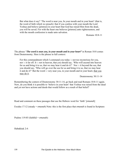But what does it say? 'The word is near you, In your mouth and in your heart' (that is, the word of faith which we preach): that if you confess with your mouth the Lord Yeshua and believe [*pisteuo*] in your heart that God has raised Him from the dead, you will be saved. For with the heart one believes [*pisteuo*] unto righteousness, and with the mouth confession is made unto salvation.

Romans 10:8-11

The phrase "*The word is near you, in your mouth and in your heart"* in Roman 10:8 comes from Deuteronomy. Here is the phrase in full context:

For this commandment which I command you today is not too mysterious for you, nor is it far off. It is not in heaven, that you should say, 'Who will ascend into heaven for us and bring it to us, that we may hear it and do it?' Nor is it beyond the sea, that you should say, 'Who will go over the sea for us and bring it to us, that we may hear it and do it?' But the word is very near you, in your mouth and in your heart, that you may do it.

Deuteronomy 30:11-14

Remembering the context of Deuteronomy 30:11-14, go back and read Romans 10:8-11 again. Now, do you think it is possible to 'believe in your heart' that Yeshua was raised from the dead and yet not have actions and deeds that would follow as a result of that belief?

Read and comment on these passages that use the Hebrew word for 'faith' [*emunah*]

Exodus 17:12 (steady = *emunah*) Note: this is the first place that *emunah* is found in Scripture:

Psalms 119:85 (faithful = *emunah*):

Habakkuk 2:4: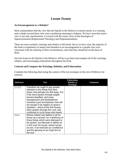# **Lesson Twenty**

## **An Encouragement or a Rebuke?**

Most commentators that the view that the Epistle to the Hebrews is meant mostly as a warning and a rebuke toward those who were considering returning to Judaism. We have seen that such a view is not only anachronistic, it is laced with the errant views of the theologies of Supercessionism (Replacement Theology) and Dispensationalism.

There are most certainly warnings and rebukes in this book, but as we have seen, the majority of the book is explanatory in nature and intended as an encouragement to a people who were concerned with the meaning of their circumstances, and what they should do on the basis of them.

Our last lesson in the Epistle to the Hebrews will be to go back and compare all of the warnings, rebukes, and encouraging exhortations throughout the book.

#### **Contrast and Compare the Warnings, Rebukes, and Exhortations**

| <b>Reference</b> | <b>Text</b>                                                                                                                                                                                                                                                                                                                                                                                                             | <b>Exhortation,</b><br>Rebuke, or<br><b>Warning?</b> | <b>Comments</b> |
|------------------|-------------------------------------------------------------------------------------------------------------------------------------------------------------------------------------------------------------------------------------------------------------------------------------------------------------------------------------------------------------------------------------------------------------------------|------------------------------------------------------|-----------------|
| $2:1-2:3$        | Therefore we ought to pay greater<br>attention to the things that were<br>heard, lest perhaps we drift away. For<br>if the word spoken through angels<br>proved steadfast, and every<br>transgression and disobedience<br>received a just recompense; how will<br>we escape if we neglect so great a<br>salvation—which at the first having<br>been spoken through the Lord, was<br>confirmed to us by those who heard; |                                                      |                 |
| $3:5-6$          | Moshe indeed was faithful in all his<br>house as a servant, for a testimony of<br>those things which were afterward to<br>be spoken, but Messiah is faithful as<br>a Son over his house; whose house<br>we are, if we hold fast our confidence<br>and the glorying of our hope firm to<br>the end.                                                                                                                      |                                                      |                 |

Complete the following chart using the context of the text (compare to the text of Hebrews for context).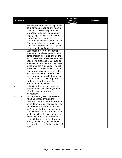| Reference | <b>Text</b>                                                                 | <b>Exhortation,</b><br>Rebuke, or | <b>Comments</b> |
|-----------|-----------------------------------------------------------------------------|-----------------------------------|-----------------|
|           |                                                                             | <b>Warning?</b>                   |                 |
| $3:12-13$ | Beware, brothers, lest perhaps there                                        |                                   |                 |
|           | be in any one of you an evil heart of                                       |                                   |                 |
|           | unbelief, in falling away from the                                          |                                   |                 |
|           | living God; but exhort one another                                          |                                   |                 |
|           | day by day, so long as it is called                                         |                                   |                 |
|           | "today;" lest any one of you be                                             |                                   |                 |
|           | hardened by the deceitfulness of sin.                                       |                                   |                 |
|           | For we have become partakers of                                             |                                   |                 |
|           | Messiah, if we hold fast the beginning                                      |                                   |                 |
|           | of our confidence firm to the end:                                          |                                   |                 |
| $4:1-3$   | Let us fear therefore, lest perhaps<br>anyone of you should seem to have    |                                   |                 |
|           | come short of a promise of entering                                         |                                   |                 |
|           | into his rest. For indeed we have had                                       |                                   |                 |
|           | good news preached to us, even as                                           |                                   |                 |
|           | they also did, but the word they heard                                      |                                   |                 |
|           | didn't profit them, because it wasn't                                       |                                   |                 |
|           | mixed with faith by those who heard.                                        |                                   |                 |
|           | For we who have believed do enter                                           |                                   |                 |
|           | into that rest, even as he has said,                                        |                                   |                 |
|           | "As I swore in my wrath, they will not                                      |                                   |                 |
|           | enter into my rest;" although the                                           |                                   |                 |
|           | works were finished from the                                                |                                   |                 |
|           | foundation of the world.                                                    |                                   |                 |
| 4:11      | Let us therefore give diligence to                                          |                                   |                 |
|           | enter into that rest, lest anyone fall                                      |                                   |                 |
|           | after the same example of                                                   |                                   |                 |
|           | disobedience.                                                               |                                   |                 |
| $4:14-16$ | Having then a great Kohen Gadol,                                            |                                   |                 |
|           | who has passed through the                                                  |                                   |                 |
|           | heavens, Yeshua, the Son of God, let                                        |                                   |                 |
|           | us hold tightly to our confession. For                                      |                                   |                 |
|           | we don't have a Kohen Gadol who                                             |                                   |                 |
|           | can't be touched with the feeling of                                        |                                   |                 |
|           | our infirmities, but one who has been                                       |                                   |                 |
|           | in all points tempted like we are, yet                                      |                                   |                 |
|           | without sin. Let us therefore draw                                          |                                   |                 |
|           | near with boldness to the throne of                                         |                                   |                 |
|           | grace, that we may receive mercy,<br>and may find grace for help in time of |                                   |                 |
|           | need.                                                                       |                                   |                 |
|           |                                                                             |                                   |                 |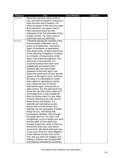| Reference | <b>Text</b>                              | <b>Exhort/Rebuke?</b> | <b>Comments</b> |
|-----------|------------------------------------------|-----------------------|-----------------|
| $5:11-12$ | About him we have many words to          |                       |                 |
|           | say, and hard to interpret, seeing you   |                       |                 |
|           | have become dull of hearing. For         |                       |                 |
|           | when by reason of the time you ought     |                       |                 |
|           | to be teachers, you again need to        |                       |                 |
|           | have someone teach you the               |                       |                 |
|           | rudiments of the first principles of the |                       |                 |
|           | oracles of God. You have come to         |                       |                 |
|           | need milk, and not solid food.           |                       |                 |
| $6:1-12$  | Therefore leaving the doctrine of the    |                       |                 |
|           | first principles of Messiah, let us      |                       |                 |
|           | press on to perfection-not laying        |                       |                 |
|           | again a foundation of repentance         |                       |                 |
|           | from dead works, of faith toward God,    |                       |                 |
|           | of the teaching of baptisms, of laying   |                       |                 |
|           | on of hands, of resurrection of the      |                       |                 |
|           | dead, and of eternal judgment. This      |                       |                 |
|           | will we do, if God permits. For          |                       |                 |
|           | concerning those who were once           |                       |                 |
|           | enlightened and tasted of the            |                       |                 |
|           | heavenly gift, and were made             |                       |                 |
|           | partakers of the Holy Spirit, and        |                       |                 |
|           | tasted the good word of God, and the     |                       |                 |
|           | powers of the age to come, and then      |                       |                 |
|           | fell away, it is impossible to renew     |                       |                 |
|           | them again to repentance; seeing         |                       |                 |
|           | they crucify the Son of God for          |                       |                 |
|           | themselves again, and put him to         |                       |                 |
|           | open shame. For the land which has       |                       |                 |
|           | drunk the rain that comes often on it,   |                       |                 |
|           | and brings forth a crop suitable for     |                       |                 |
|           | them for whose sake it is also tilled,   |                       |                 |
|           | receives blessing from God; but if it    |                       |                 |
|           | bears thorns and thistles, it is         |                       |                 |
|           | rejected and near being cursed,          |                       |                 |
|           | whose end is to be burned. But,          |                       |                 |
|           | beloved, we are persuaded of better      |                       |                 |
|           | things for you, and things that          |                       |                 |
|           | accompany salvation, even though         |                       |                 |
|           | we speak like this. For God is not       |                       |                 |
|           | unrighteous, so as to forget your work   |                       |                 |
|           | and the labor of love which you          |                       |                 |
|           | showed toward his name, in that you      |                       |                 |
|           | served the holy ones, and still do       |                       |                 |
|           | serve them. We desire that each one      |                       |                 |
|           | of you may show the same diligence       |                       |                 |
|           | to the fullness of hope even to the      |                       |                 |
|           | end, that you won't be sluggish, but     |                       |                 |
|           | imitators of those who through faith     |                       |                 |
|           | and patience inherited the promises.     |                       |                 |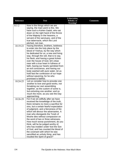|           |                                                                                                                                                                                                                                                                                                                                                                                                                                                                                                                                                                                                                                      | <b>Exhortation,</b>           |                 |
|-----------|--------------------------------------------------------------------------------------------------------------------------------------------------------------------------------------------------------------------------------------------------------------------------------------------------------------------------------------------------------------------------------------------------------------------------------------------------------------------------------------------------------------------------------------------------------------------------------------------------------------------------------------|-------------------------------|-----------------|
| Reference | <b>Text</b>                                                                                                                                                                                                                                                                                                                                                                                                                                                                                                                                                                                                                          | Rebuke, or<br><b>Warning?</b> | <b>Comments</b> |
| $8:1 - 2$ | Now in the things which we are<br>saying, the main point is this. We<br>have such a Kohen Gadol, who sat<br>down on the right hand of the throne<br>of the Majesty in the heavens, a<br>servant of the sanctuary, and of the<br>true tabernacle, which the Lord<br>pitched, not man.                                                                                                                                                                                                                                                                                                                                                 |                               |                 |
| 10:19-23  | Having therefore, brothers, boldness<br>to enter into the holy place by the<br>blood of Yeshua, by the way which<br>he dedicated for us, a new and living<br>way, through the veil, that is to say,<br>his flesh; and having a great Kohen<br>over the house of God, let's draw<br>near with a true heart in fullness of<br>faith, having our hearts sprinkled from<br>an evil conscience, and having our<br>body washed with pure water, let us<br>hold fast the confession of our hope<br>without wavering; for he who<br>promised is faithful.                                                                                    |                               |                 |
| 10:24-25  | Let us consider how to provoke one<br>another to love and good works, not<br>forsaking our own assembling<br>together, as the custom of some is,<br>but exhorting one another; and so<br>much the more, as you see the Day<br>approaching.                                                                                                                                                                                                                                                                                                                                                                                           |                               |                 |
| 10:26-29  | For if we sin willfully after we have<br>received the knowledge of the truth,<br>there remains no more a sacrifice for<br>sins, but a certain fearful expectation<br>of judgment, and a fierceness of fire<br>which will devour the adversaries. A<br>man who disregards the Torah of<br>Moshe dies without compassion on<br>the word of two or three witnesses.<br>How much worse punishment, do you<br>think, will he be judged worthy of,<br>who has trodden under foot the Son<br>of God, and has counted the blood of<br>the covenant with which he was<br>sanctified an unholy thing, and has<br>insulted the Spirit of grace? |                               |                 |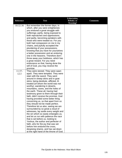|                  |                                                                                                                                                                                                                                                                                                                                                                                                                                                                                                                                                                                                                                                                                                                                                                                                                                                                                                                                                                                              | Exhortation,    |                 |
|------------------|----------------------------------------------------------------------------------------------------------------------------------------------------------------------------------------------------------------------------------------------------------------------------------------------------------------------------------------------------------------------------------------------------------------------------------------------------------------------------------------------------------------------------------------------------------------------------------------------------------------------------------------------------------------------------------------------------------------------------------------------------------------------------------------------------------------------------------------------------------------------------------------------------------------------------------------------------------------------------------------------|-----------------|-----------------|
| <b>Reference</b> | <b>Text</b>                                                                                                                                                                                                                                                                                                                                                                                                                                                                                                                                                                                                                                                                                                                                                                                                                                                                                                                                                                                  | Rebuke, or      | <b>Comments</b> |
| $10:32-36$       | But remember the former days, in<br>which, after you were enlightened,<br>you endured a great struggle with<br>sufferings; partly, being exposed to<br>both reproaches and oppressions;<br>and partly, becoming partakers with<br>those who were treated so. For you<br>both had compassion on me in my<br>chains, and joyfully accepted the<br>plundering of your possessions,<br>knowing that you have for yourselves<br>a better possession and an enduring<br>one in the heavens. Therefore don't                                                                                                                                                                                                                                                                                                                                                                                                                                                                                        | <b>Warning?</b> |                 |
|                  | throw away your boldness, which has<br>a great reward. For you need<br>endurance so that, having done the<br>will of God, you may receive the<br>promise.                                                                                                                                                                                                                                                                                                                                                                                                                                                                                                                                                                                                                                                                                                                                                                                                                                    |                 |                 |
| $11:37-$<br>12:3 | They were stoned. They were sawn<br>apart. They were tempted. They were<br>slain with the sword. They went<br>around in sheep skins and in goat<br>skins; being destitute, afflicted, ill-<br>treated (of whom the world was not<br>worthy), wandering in deserts,<br>mountains, caves, and the holes of<br>the earth. These all, having had<br>testimony given to them through their<br>faith, didn't receive the promise, God<br>having provided some better thing<br>concerning us, so that apart from us<br>they should not be made perfect.<br>Therefore let us also, seeing we are<br>surrounded by so great a cloud of<br>witnesses, lay aside every weight and<br>the sin which so easily entangles us,<br>and let us run with patience the race<br>that is set before us, looking to<br>Yeshua, the author and perfecter of<br>faith, who for the joy that was set<br>before him endured the cross,<br>despising shame, and has sat down<br>at the right hand of the throne of God. |                 |                 |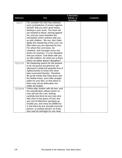| Reference  | <b>Text</b>                                                     | Exhortation,<br>Rebuke, or | <b>Comments</b> |
|------------|-----------------------------------------------------------------|----------------------------|-----------------|
| $12:3 - 7$ | For consider him who has endured                                | <b>Warning?</b>            |                 |
|            | such contradiction of sinners against                           |                            |                 |
|            | himself, that you don't grow weary,                             |                            |                 |
|            | fainting in your souls. You have not                            |                            |                 |
|            | yet resisted to blood, striving against                         |                            |                 |
|            | sin; and you have forgotten the                                 |                            |                 |
|            | exhortation which reasons with you                              |                            |                 |
|            | as with children, "My son, don't take                           |                            |                 |
|            | lightly the chastening of the Lord, nor                         |                            |                 |
|            | faint when you are reproved by him;                             |                            |                 |
|            | For whom the Lord loves, he<br>chastens, and scourges every son |                            |                 |
|            | whom he receives." It is for discipline                         |                            |                 |
|            | that you endure. God deals with you                             |                            |                 |
|            | as with children, for what son is there                         |                            |                 |
|            | whom his father doesn't discipline?                             |                            |                 |
| $12:11-13$ | All chastening seems for the present                            |                            |                 |
|            | to be not joyous but grievous; yet                              |                            |                 |
|            | afterward it yields the peaceful fruit of                       |                            |                 |
|            | righteousness to those who have                                 |                            |                 |
|            | been exercised thereby. Therefore,                              |                            |                 |
|            | lift up the hands that hang down and                            |                            |                 |
|            | the feeble knees, and make straight                             |                            |                 |
|            | paths for your feet, so that which is                           |                            |                 |
|            | lame may not be dislocated, but                                 |                            |                 |
|            | rather be healed.                                               |                            |                 |
| $12:14-16$ | Follow after shalom with all men, and                           |                            |                 |
|            | the sanctification without which no                             |                            |                 |
|            | man will see the Lord, looking                                  |                            |                 |
|            | carefully lest there be any man who                             |                            |                 |
|            | falls short of the grace of God; lest                           |                            |                 |
|            | any root of bitterness springing up                             |                            |                 |
|            | trouble you, and many be defiled by                             |                            |                 |
|            | it; lest there be any sexually immoral                          |                            |                 |
|            | person, or profane person, as Esav,                             |                            |                 |
|            | who sold his birthright for one meal.                           |                            |                 |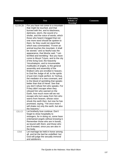|           |                                                                                                                                                                                                                                                                                                                                                                                                                                                                                                                                                                                                                                                                                                                                                                                                                                                                                                                                                                                                                                                                                                                                                                                                                                                                 | Exhortation,                  |                 |
|-----------|-----------------------------------------------------------------------------------------------------------------------------------------------------------------------------------------------------------------------------------------------------------------------------------------------------------------------------------------------------------------------------------------------------------------------------------------------------------------------------------------------------------------------------------------------------------------------------------------------------------------------------------------------------------------------------------------------------------------------------------------------------------------------------------------------------------------------------------------------------------------------------------------------------------------------------------------------------------------------------------------------------------------------------------------------------------------------------------------------------------------------------------------------------------------------------------------------------------------------------------------------------------------|-------------------------------|-----------------|
| Reference | <b>Text</b>                                                                                                                                                                                                                                                                                                                                                                                                                                                                                                                                                                                                                                                                                                                                                                                                                                                                                                                                                                                                                                                                                                                                                                                                                                                     | Rebuke, or<br><b>Warning?</b> | <b>Comments</b> |
| 12:18-26  | For you have not come to a mountain<br>that might be touched, and that<br>burned with fire, and to blackness,<br>darkness, storm, the sound of a<br>shofar, and the voice of words; which<br>those who heard it begged that not<br>one more word should be spoken to<br>them, for they could not stand that<br>which was commanded, "If even an<br>animal touches the mountain, it shall<br>be stoned;" and so fearful was the<br>appearance, that Moshe said, "I am<br>terrified and trembling." But you have<br>come to Mount Tziyon, and to the city<br>of the living God, the heavenly<br>Yerushalayim, and to innumerable<br>multitudes of angels, to the general<br>assembly and assembly of the<br>firstborn who are enrolled in heaven,<br>to God the Judge of all, to the spirits<br>of just men made perfect, to Yeshua,<br>the mediator of a new covenant, and<br>to the blood of sprinkling that speaks<br>better than that of Hevel. See that<br>you don't refuse him who speaks. For<br>if they didn't escape when they<br>refused him who warned on the<br>Earth, how much more will we not<br>escape who turn away from him who<br>warns from heaven, whose voice<br>shook the earth then, but now he has<br>promised, saying, "Yet once more I |                               |                 |
|           | will shake not only the earth, but also<br>the heavens."                                                                                                                                                                                                                                                                                                                                                                                                                                                                                                                                                                                                                                                                                                                                                                                                                                                                                                                                                                                                                                                                                                                                                                                                        |                               |                 |
| $13:1-3$  | Let brotherly love continue. Don't<br>forget to show hospitality to<br>strangers, for in doing so, some have<br>entertained angels without knowing it.<br>Remember those who are in bonds,<br>as bound with them; and those who<br>are ill-treated, since you are also in<br>the body.                                                                                                                                                                                                                                                                                                                                                                                                                                                                                                                                                                                                                                                                                                                                                                                                                                                                                                                                                                          |                               |                 |
| 13:4      | Let marriage be held in honor among<br>all, and let the bed be undefiled: but<br>God will judge the sexually immoral<br>and adulterers.                                                                                                                                                                                                                                                                                                                                                                                                                                                                                                                                                                                                                                                                                                                                                                                                                                                                                                                                                                                                                                                                                                                         |                               |                 |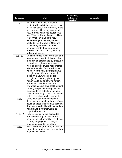|                  |                                                                       | Exhortation,                  |                 |
|------------------|-----------------------------------------------------------------------|-------------------------------|-----------------|
| <b>Reference</b> | <b>Text</b>                                                           | Rebuke, or<br><b>Warning?</b> | <b>Comments</b> |
| $13:5-6$         | Be free from the love of money,                                       |                               |                 |
|                  | content with such things as you have,                                 |                               |                 |
|                  | for he has said, "I will in no way leave                              |                               |                 |
|                  | you, neither will I in any way forsake                                |                               |                 |
|                  | you." So that with good courage we                                    |                               |                 |
|                  | say, "The Lord is my helper. I will not                               |                               |                 |
|                  | fear. What can man do to me?"                                         |                               |                 |
| $13:7-8$         | Remember your leaders, men who                                        |                               |                 |
|                  | spoke to you the word of God, and                                     |                               |                 |
|                  | considering the results of their                                      |                               |                 |
|                  | conduct, imitate their faith. Yeshua                                  |                               |                 |
|                  | the Messiah is the same yesterday,                                    |                               |                 |
|                  | today, and forever.                                                   |                               |                 |
| $13:9-13$        | Don't be carried away by various and                                  |                               |                 |
|                  | strange teachings, for it is good that                                |                               |                 |
|                  | the heart be established by grace, not                                |                               |                 |
|                  | by food, through which those who                                      |                               |                 |
|                  | were so occupied were not benefited.                                  |                               |                 |
|                  | We have an altar from which those                                     |                               |                 |
|                  | who serve the holy tabernacle have                                    |                               |                 |
|                  | no right to eat. For the bodies of                                    |                               |                 |
|                  | those animals, whose blood is                                         |                               |                 |
|                  | brought into the holy place by the                                    |                               |                 |
|                  | Kohen Gadol as an offering for sin,                                   |                               |                 |
|                  | are burned outside of the camp.                                       |                               |                 |
|                  | Therefore Yeshua also, that he might                                  |                               |                 |
|                  | sanctify the people through his own                                   |                               |                 |
|                  | blood, suffered outside of the gate.                                  |                               |                 |
|                  | Let us therefore go out to him outside                                |                               |                 |
| 13:17            | of the camp, bearing his reproach.<br>Obey your leaders and submit to |                               |                 |
|                  | them, for they watch on behalf of your                                |                               |                 |
|                  | souls, as those who will give account,                                |                               |                 |
|                  | that they may do this with joy, and not                               |                               |                 |
|                  | with groaning, for that would be                                      |                               |                 |
|                  | unprofitable for you.                                                 |                               |                 |
| 13:18-19         | Pray for us, for we are persuaded                                     |                               |                 |
|                  | that we have a good conscience,                                       |                               |                 |
|                  | desiring to live honorably in all things.                             |                               |                 |
|                  | I strongly urge you to do this, that I                                |                               |                 |
|                  | may be restored to you sooner.                                        |                               |                 |
| 13:22            | But I exhort you, brothers, endure the                                |                               |                 |
|                  | word of exhortation, for I have written                               |                               |                 |
|                  | to you in few words.                                                  |                               |                 |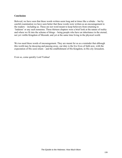## **Conclusion**

Beloved, we have seen that these words written seem long and at times like a rebuke – but by careful examination we have seen better that these words were written as an encouragement to the readers – including us. These are not word meant to keep believers from returning to 'Judaism' or any such nonsense. These thirteen chapters were a brief look at the nature of reality and where we fit into the scheme of things – being people who have an inheritance in the eternal, not yet visible Kingdom of Messiah; and yet at the same time living in the physical world.

We too need these words of encouragement. They are meant for us as a reminder that although this world may be decaying and passing away, our duty is the live lives of faith now, with the expectation of His soon return – and the establishment of His Kingdom, in His city Jerusalem.

Even so, come quickly Lord Yeshua!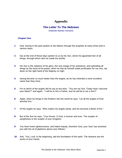# **Appendix**

# *The Letter To The Hebrews*

(Hebrew Names Version)

## **Chapter One**

- **1** God, having in the past spoken to the fathers through the prophets at many times and in various ways,
- **2** has at the end of these days spoken to us by his Son, whom he appointed heir of all things, through whom also he made the worlds.
- **3** His Son is the radiance of his glory, the very image of his substance, and upholding all things by the word of his power, when he had by himself made purification for our sins, sat down on the right hand of the Majesty on high;
- **4** having become so much better than the angels, as he has inherited a more excellent name than they have.
- **5** For to which of the angels did he say at any time, "You are my Son. Today have I become your father?" and again, "I will be to him a Father, and he will be to me a Son?"
- **6** Again, when he brings in the firstborn into the world he says, "Let all the angels of God worship him."
- **7** Of the angels he says, "Who makes his angels winds, and his servants a flame of fire."
- **8** But of the Son he says, "Your throne, O God, is forever and ever. The scepter of uprightness is the scepter of your Kingdom.
- **9** You have loved righteousness, and hated iniquity; therefore God, your God, has anointed you with the oil of gladness above your fellows."
- **10** And, "You, Lord, in the beginning, laid the foundation of the earth. The heavens are the works of your hands.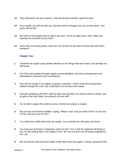- **11** They will perish, but you continue. They all will grow old like a garment does.
- **12** As a mantle, you will roll them up, and they will be changed; but you are the same. Your years will not fail."
- **13** But which of the angels has he told at any time, "Sit at my right hand, until I make your enemies the footstool of your feet?"
- **14** Aren't they all serving spirits, sent out to do service for the sake of those who will inherit salvation?

#### **Chapter Two**

- **1** Therefore we ought to pay greater attention to the things that were heard, lest perhaps we drift away.
- **2** For if the word spoken through angels proved steadfast, and every transgression and disobedience received a just recompense;
- **3** how will we escape if we neglect so great a salvation—which at the first having been spoken through the Lord, was confirmed to us by those who heard;
- **4** God also testifying with them, both by signs and wonders, by various works of power, and by gifts of the Holy Spirit, according to his own will?
- **5 For he didn't subject the world to come, of which we speak, to angels.**
- **6** But one has somewhere testified, saying, "What is man, that you think of him? Or the son of man, that you care for him?
- **7** You made him a little lower than the angels. You crowned him with glory and honor.
- **8** You have put all things in subjection under his feet." For in that he subjected all things to him, he left nothing that is not subject to him. But now we don't see all things subjected to him, yet.
- **9** But we see him who has been made a little lower than the angels, Yeshua, because of the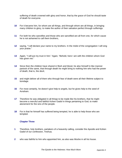suffering of death crowned with glory and honor, that by the grace of God he should taste of death for everyone.

- **10** For it became him, for whom are all things, and through whom are all things, in bringing many children to glory, to make the author of their salvation perfect through sufferings.
- **11** For both he who sanctifies and those who are sanctified are all from one, for which cause he is not ashamed to call them brothers,
- **12** saying, "I will declare your name to my brothers. In the midst of the congregation I will sing your praise."
- **13** Again, "I will put my trust in him." Again, "Behold, here I am with the children whom God has given me."
- **14** Since then the children have shared in flesh and blood, he also himself in like manner partook of the same, that through death he might bring to nothing him who had the power of death, that is, the devil,
- **15** and might deliver all of them who through fear of death were all their lifetime subject to bondage.
- **16** For most certainly, he doesn't give help to angels, but he gives help to the seed of Avraham.
- **17** Therefore he was obligated in all things to be made like his brothers, that he might become a merciful and faithful Kohen Gadol in things pertaining to God, to make atonement for the sins of the people.
- **18** For in that he himself has suffered being tempted, he is able to help those who are tempted.

#### **Chapter Three**

- **1** Therefore, holy brothers, partakers of a heavenly calling, consider the Apostle and Kohen Gadol of our confession, Yeshua;
- **2** who was faithful to him who appointed him, as also was Moshe in all his house.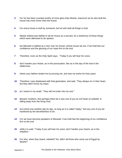- **3** For he has been counted worthy of more glory than Moshe, inasmuch as he who built the house has more honor than the house.
- **4** For every house is built by someone; but he who built all things is God.
- **5** Moshe indeed was faithful in all his house as a servant, for a testimony of those things which were afterward to be spoken,
- **6** but Messiah is faithful as a Son over his house; whose house we are, if we hold fast our confidence and the glorying of our hope firm to the end.
- **7** Therefore, even as the Holy Spirit says, "Today if you will hear his voice,
- **8** don't harden your hearts, as in the provocation, like as in the day of the trial in the wilderness,
- **9** where your fathers tested me by proving me, and saw my works for forty years.
- **10** Therefore I was displeased with that generation, and said, 'They always err in their heart, but they didn't know my ways;'
- **11** as I swore in my wrath, 'They will not enter into my rest.'"
- **12** Beware, brothers, lest perhaps there be in any one of you an evil heart of unbelief, in falling away from the living God;
- **13** but exhort one another day by day, so long as it is called "today;" lest any one of you be hardened by the deceitfulness of sin.
- **14** For we have become partakers of Messiah, if we hold fast the beginning of our confidence firm to the end:
- **15** while it is said, "Today if you will hear his voice, don't harden your hearts, as in the rebellion."
- **16** For who, when they heard, rebelled? No, didn't all those who came out of Egypt by Moshe?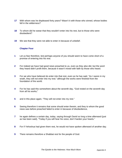- **17** With whom was he displeased forty years? Wasn't it with those who sinned, whose bodies fell in the wilderness?
- **18** To whom did he swear that they wouldn't enter into his rest, but to those who were disobedient?
- **19** We see that they were not able to enter in because of unbelief.

## **Chapter Four**

- **1** Let us fear therefore, lest perhaps anyone of you should seem to have come short of a promise of entering into his rest.
- **2** For indeed we have had good news preached to us, even as they also did, but the word they heard didn't profit them, because it wasn't mixed with faith by those who heard.
- **3** For we who have believed do enter into that rest, even as he has said, "As I swore in my wrath, they will not enter into my rest;" although the works were finished from the foundation of the world.
- **4** For he has said this somewhere about the seventh day, "God rested on the seventh day from all his works;"
- **5** and in this place again, "They will not enter into my rest."
- **6** Seeing therefore it remains that some should enter therein, and they to whom the good news was before preached failed to enter in because of disobedience,
- **7** he again defines a certain day, today, saying through David so long a time afterward (just as has been said), "Today if you will hear his voice, don't harden your hearts."
- **8** For if Yehoshua had given them rest, he would not have spoken afterward of another day.
- **9** There remains therefore a Shabbat rest for the people of God.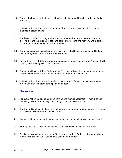- **10** For he who has entered into his rest has himself also rested from his works, as God did from his.
- **11** Let us therefore give diligence to enter into that rest, lest anyone fall after the same example of disobedience.
- **12** For the word of God is living, and active, and sharper than any two-edged sword, and piercing even to the dividing of soul and spirit, of both joints and marrow, and is able to discern the thoughts and intentions of the heart.
- **13** There is no creature that is hidden from his sight, but all things are naked and laid open before the eyes of him with whom we have to do.
- **14** Having then a great Kohen Gadol, who has passed through the heavens, Yeshua, the Son of God, let us hold tightly to our confession.
- **15** For we don't have a Kohen Gadol who can't be touched with the feeling of our infirmities, but one who has been in all points tempted like we are, yet without sin.
- **16** Let us therefore draw near with boldness to the throne of grace, that we may receive mercy, and may find grace for help in time of need.

#### **Chapter Five**

- **1** For every Kohen Gadol, being taken from among men, is appointed for men in things pertaining to God, that he may offer both gifts and sacrifices for sins.
- **2** The Kohen Gadol can deal gently with those who are ignorant and going astray, because he himself is also surrounded with weakness.
- **3** Because of this, he must offer sacrifices for sins for the people, as well as for himself.
- **4** Nobody takes this honor on himself, but he is called by God, just like Aharon was.
- **5** So also Messiah didn't glorify himself to be made a Kohen Gadol, but it was he who said to him, "You are my Son. Today I have become your father."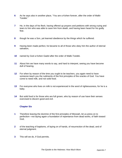- **6** As he says also in another place, "You are a Kohen forever, after the order of Malki-Tzedek."
- **7** He, in the days of his flesh, having offered up prayers and petitions with strong crying and tears to him who was able to save him from death, and having been heard for his godly fear,
- **8** though he was a Son, yet learned obedience by the things which he suffered.
- **9** Having been made perfect, he became to all of those who obey him the author of eternal salvation,
- **10** named by God a Kohen Gadol after the order of Malki-Tzedek.
- **11** About him we have many words to say, and hard to interpret, seeing you have become dull of hearing.
- **12** For when by reason of the time you ought to be teachers, you again need to have someone teach you the rudiments of the first principles of the oracles of God. You have come to need milk, and not solid food.
- **13** For everyone who lives on milk is not experienced in the word of righteousness, for he is a baby.
- **14** But solid food is for those who are full grown, who by reason of use have their senses exercised to discern good and evil.

#### **Chapter Six**

- **1** Therefore leaving the doctrine of the first principles of Messiah, let us press on to perfection—not laying again a foundation of repentance from dead works, of faith toward God,
- **2** of the teaching of baptisms, of laying on of hands, of resurrection of the dead, and of eternal judgment.
- **3** This will we do, if God permits.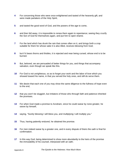- **4** For concerning those who were once enlightened and tasted of the heavenly gift, and were made partakers of the Holy Spirit,
- **5** and tasted the good word of God, and the powers of the age to come,
- **6** and then fell away, it is impossible to renew them again to repentance; seeing they crucify the Son of God for themselves again, and put him to open shame.
- **7** For the land which has drunk the rain that comes often on it, and brings forth a crop suitable for them for whose sake it is also tilled, receives blessing from God;
- **8** but if it bears thorns and thistles, it is rejected and near being cursed, whose end is to be burned.
- **9** But, beloved, we are persuaded of better things for you, and things that accompany salvation, even though we speak like this.
- **10** For God is not unrighteous, so as to forget your work and the labor of love which you showed toward his name, in that you served the holy ones, and still do serve them.
- **11** We desire that each one of you may show the same diligence to the fullness of hope even to the end,
- **12** that you won't be sluggish, but imitators of those who through faith and patience inherited the promises.
- **13** For when God made a promise to Avraham, since he could swear by none greater, he swore by himself,
- **14** saying, "Surely blessing I will bless you, and multiplying I will multiply you."
- **15** Thus, having patiently endured, he obtained the promise.
- **16** For men indeed swear by a greater one, and in every dispute of theirs the oath is final for confirmation.
- **17** In this way God, being determined to show more abundantly to the heirs of the promise the immutability of his counsel, interposed with an oath;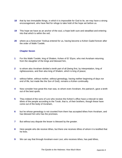- **18** that by two immutable things, in which it is impossible for God to lie, we may have a strong encouragement, who have fled for refuge to take hold of the hope set before us.
- **19** This hope we have as an anchor of the soul, a hope both sure and steadfast and entering into that which is within the veil;
- **20** where as a forerunner Yeshua entered for us, having become a Kohen Gadol forever after the order of Malki-Tzedek.

#### **Chapter Seven**

- **1** For this Malki-Tzedek, king of Shalem, Kohen of El 'Elyon, who met Avraham returning from the slaughter of the kings and blessed him,
- **2** to whom also Avraham divided a tenth part of all (being first, by interpretation, king of righteousness, and then also king of Shalem, which is king of peace;
- **3** without father, without mother, without genealogy, having neither beginning of days nor end of life, but made like the Son of God), remains a Kohen continually.
- **4** Now consider how great this man was, to whom even Avraham, the patriarch, gave a tenth out of the best spoils.
- **5** They indeed of the sons of Levi who receive the Kohen's office have a mitzvah to take tithes of the people according to the Torah, that is, of their brothers, though these have come out of the body of Avraham,
- **6** but he whose genealogy is not counted from them has accepted tithes from Avraham, and has blessed him who has the promises.
- **7** But without any dispute the lesser is blessed by the greater.
- **8** Here people who die receive tithes, but there one receives tithes of whom it is testified that he lives.
- **9** We can say that through Avraham even Levi, who receives tithes, has paid tithes,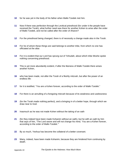- **10** for he was yet in the body of his father when Malki-Tzedek met him.
- **11** Now if there was perfection through the Levitical priesthood (for under it the people have received the Torah), what further need was there for another Kohen to arise after the order of Malki-Tzedek, and not be called after the order of Aharon?
- **12** For the priesthood being changed, there is of necessity a change made also in the Torah.
- **13** For he of whom these things are said belongs to another tribe, from which no one has officiated at the altar.
- **14** For it is evident that our Lord has sprung out of Yehudah, about which tribe Moshe spoke nothing concerning priesthood.
- **15** This is yet more abundantly evident, if after the likeness of Malki-Tzedek there arises another Kohen,
- **16** who has been made, not after the Torah of a fleshly mitzvah, but after the power of an endless life:
- **17** for it is testified, "You are a Kohen forever, according to the order of Malki-Tzedek."
- **18** For there is an annulling of a foregoing mitzvah because of its weakness and uselessness
- **19** (for the Torah made nothing perfect), and a bringing in of a better hope, through which we draw near to God.
- **20** Inasmuch as he was not made Kohen without the taking of an oath
- **21** (for they indeed have been made Kohanim without an oath), but he with an oath by him that says of him, "The Lord swore and will not change his mind, 'You are a Kohen forever, according to the order of Malki-Tzedek.'"
- **22** By so much, Yeshua has become the collateral of a better covenant.
- **23** Many, indeed, have been made Kohanim, because they are hindered from continuing by death.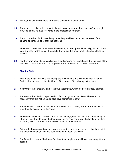- **24** But he, because he lives forever, has his priesthood unchangeable.
- **25** Therefore he is also able to save to the uttermost those who draw near to God through him, seeing that he lives forever to make intercession for them.
- **26** For such a Kohen Gadol was fitting for us: holy, guiltless, undefiled, separated from sinners, and made higher than the heavens;
- **27** who doesn't need, like those Kohenim Gedolim, to offer up sacrifices daily, first for his own sins, and then for the sins of the people. For he did this once for all, when he offered up himself.
- **29** For the Torah appoints men as Kohenim Gedolim who have weakness, but the word of the oath which came after the Torah appoints a Son forever who has been perfected.

# **Chapter Eight**

- **1** Now in the things which we are saying, the main point is this. We have such a Kohen Gadol, who sat down on the right hand of the throne of the Majesty in the heavens,
- **2** a servant of the sanctuary, and of the true tabernacle, which the Lord pitched, not man.
- **3** For every Kohen Gadol is appointed to offer both gifts and sacrifices. Therefore it is necessary that this Kohen Gadol also have something to offer.
- **4** For if he were on earth, he would not be a Kohen at all, seeing there are Kohanim who offer the gifts according to the Torah;
- **5** who serve a copy and shadow of the heavenly things, even as Moshe was warned by God when he was about to make the tabernacle, for he said, "See, you shall make everything according to the pattern that was shown to you on the mountain."
- **6** But now he has obtained a more excellent ministry, by so much as he is also the mediator of a better covenant, which has been enacted on better promises.
- **7** For if that first *covenant* had been faultless, then no place would have been sought for a second.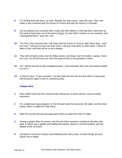- **8** For finding fault with them, he said, "Behold, the days come," says the Lord, "that I will make a new covenant with the house of Yisra'el and with the house of Yehudah;
- **9** not according to the covenant that I made with their fathers, in the day that I took them by the hand to lead them out of the land of Egypt; for they didn't continue in my covenant, and I disregarded them," says the Lord.
- **10** "For this is the covenant that I will make with the house of Yisra'el. After those days," says the Lord; "I will put my laws into their mind, I will also write them on their heart. I will be to them a God, and they will be to me a people.
- **11** They will not teach every man his fellow citizen, and every man his brother, saying, 'Know the Lord,' for all will know me, from the least of them to the greatest of them.
- **12** For I will be merciful to their unrighteousness. I will remember their sins and lawless deeds no more."
- **13** In that he says, "A new *covenant*," he has made the first old. But that which is becoming old and grows aged is near to vanishing away.

#### **Chapter Nine**

- **1** Now indeed even the first *covenant* had ordinances of divine service, and an earthly sanctuary.
- **2** For a tabernacle was prepared. In the first part were the menorah, the table, and the show bread; which is called the Holy Place.
- **3** After the second veil was the tabernacle which is called the Holy of Holies,
- **4** having a golden altar of incense, and the ark of the covenant overlaid on all sides with gold, in which was a golden pot holding the manna, Aharon's rod that budded, and the tablets of the covenant;
- **5** and above it Keruvim of glory overshadowing the mercy seat, of which things we can't speak now in detail.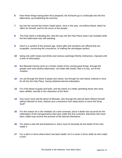- **6** Now these things having been thus prepared, the Kohanim go in continually into the first tabernacle, accomplishing the services,
- **7** but into the second the Kohen Gadol alone, once in the year, not without blood, which he offers for himself, and for the errors of the people.
- **8** The Holy Spirit is indicating this, that the way into the Holy Place wasn't yet revealed while the first tabernacle was still standing;
- **9** which is a symbol of the present age, where gifts and sacrifices are offered that are incapable, concerning the conscience, of making the worshipper perfect;
- **10** being only (with meats and drinks and various washings) fleshly ordinances, imposed until a time of reformation.
- **11** But Messiah having come as a Kohen Gadol of the coming good things, through the greater and more perfect tabernacle, not made with hands, that is to say, not of this creation,
- **12** nor yet through the blood of goats and calves, but through his own blood, entered in once for all into the Holy Place, having obtained eternal redemption.
- **13** For if the blood of goats and bulls, and the ashes of a heifer sprinkling those who have been defiled, sanctify to the cleanness of the flesh:
- **14** how much more will the blood of Messiah, who through the eternal Spirit offered himself without blemish to God, cleanse your conscience from dead works to serve the living God?
- **15** For this reason he is the mediator of a new covenant, since a death has occurred for the redemption of the transgressions that were under the first covenant, that those who have been called may receive the promise of the eternal inheritance.
- **16** For where a last will and testament is, there must of necessity be the death of him who made it.
- **17** For a will is in force where there has been death, for it is never in force while he who made it lives.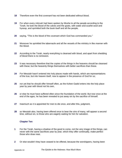- **18** Therefore even the first *covenant* has not been dedicated without blood.
- **19** For when every mitzvah had been spoken by Moshe to all the people according to the Torah, he took the blood of the calves and the goats, with water and scarlet wool and hyssop, and sprinkled both the book itself and all the people,
- **20** saying, "This is the blood of the covenant which God has commanded you."
- **21** Moreover he sprinkled the tabernacle and all the vessels of the ministry in like manner with the blood.
- **22** According to the Torah, nearly everything is cleansed with blood, and apart from shedding of blood there is no remission.
- **23** It was necessary therefore that the copies of the things in the heavens should be cleansed with these; but the heavenly things themselves with better sacrifices than these.
- **24** For Messiah hasn't entered into holy places made with hands, which are representations of the true, but into heaven itself, now to appear in the presence of God for us;
- **25** nor yet that he should offer himself often, as the Kohen Gadol enters into the holy place year by year with blood not his own,
- **26** or else he must have suffered often since the foundation of the world. But now once at the end of the ages, he has been revealed to put away sin by the sacrifice of himself.
- **27** Inasmuch as it is appointed for men to die once, and after this, judgment,
- **28** so Messiah also, having been offered once to bear the sins of many, will appear a second time, without sin, to those who are eagerly waiting for him for salvation.

#### **Chapter Ten**

- **1** For the Torah, having a shadow of the good to come, not the very image of the things, can never with the same sacrifices year by year, which they offer continually, make perfect those who draw near.
- **2** Or else wouldn't they have ceased to be offered, because the worshippers, having been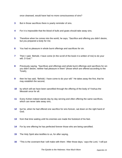once cleansed, would have had no more consciousness of sins?

- **3** But in those sacrifices there is yearly reminder of sins.
- **4** For it is impossible that the blood of bulls and goats should take away sins.
- **5** Therefore when he comes into the world, he says, "Sacrifice and offering you didn't desire, but you prepared a body for me;
- **6** You had no pleasure in whole burnt offerings and sacrifices for sin.
- **7** Then I said, 'Behold, I have come (in the scroll of the book it is written of me) to do your will, O God.'"
- **8** Previously saying, "Sacrifices and offerings and whole burnt offerings and sacrifices for sin you didn't desire, neither had pleasure in them" (those which are offered according to the Torah),
- **9** then he has said, "Behold, I have come to do your will." He takes away the first, that he may establish the second,
- **10** by which will we have been sanctified through the offering of the body of Yeshua the Messiah once for all.
- **11** Every Kohen indeed stands day by day serving and often offering the same sacrifices, which can never take away sins,
- **12** but he, when he had offered one sacrifice for sins forever, sat down on the right hand of God;
- **13** from that time waiting until his enemies are made the footstool of his feet.
- **14** For by one offering he has perfected forever those who are being sanctified.
- **15** The Holy Spirit also testifies to us, for after saying,
- **16** "This is the covenant that I will make with them: 'After those days,' says the Lord, 'I will put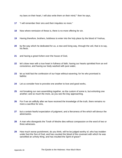my laws on their heart, I will also write them on their mind;'" then he says,

- **17** "I will remember their sins and their iniquities no more."
- **18** Now where remission of these is, there is no more offering for sin.
- **19** Having therefore, brothers, boldness to enter into the holy place by the blood of Yeshua,
- **20** by the way which he dedicated for us, a new and living way, through the veil, that is to say, his flesh;
- **21** and having a great Kohen over the house of God,
- **22** let's draw near with a true heart in fullness of faith, having our hearts sprinkled from an evil conscience, and having our body washed with pure water,
- **23** let us hold fast the confession of our hope without wavering; for he who promised is faithful.
- **24** Let us consider how to provoke one another to love and good works,
- **25** not forsaking our own assembling together, as the custom of some is, but exhorting one another; and so much the more, as you see the Day approaching.
- **26** For if we sin willfully after we have received the knowledge of the truth, there remains no more a sacrifice for sins,
- **27** but a certain fearful expectation of judgment, and a fierceness of fire which will devour the adversaries.
- **28** A man who disregards the Torah of Moshe dies without compassion on the word of two or three witnesses.
- **29** How much worse punishment, do you think, will he be judged worthy of, who has trodden under foot the Son of God, and has counted the blood of the covenant with which he was sanctified an unholy thing, and has insulted the Spirit of grace?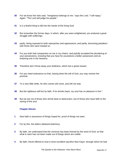- **30** For we know him who said, "Vengeance belongs to me," says the Lord, "I will repay." Again, "The Lord will judge his people."
- **31** It is a fearful thing to fall into the hands of the living God.
- **32** But remember the former days, in which, after you were enlightened, you endured a great struggle with sufferings;
- **33** partly, being exposed to both reproaches and oppressions; and partly, becoming partakers with those who were treated so.
- **34** For you both had compassion on me in my chains, and joyfully accepted the plundering of your possessions, knowing that you have for yourselves a better possession and an enduring one in the heavens.
- **35** Therefore don't throw away your boldness, which has a great reward.
- **36** For you need endurance so that, having done the will of God, you may receive the promise.
- **37** "In a very little while, he who comes will come, and will not wait.
- **38** But the righteous will live by faith. If he shrinks back, my soul has no pleasure in him."
- **39** But we are not of those who shrink back to destruction, but of those who have faith to the saving of the soul.

#### **Chapter Eleven**

- **1** Now faith is assurance of things hoped for, proof of things not seen.
- **2** For by this, the elders obtained testimony.
- **3** By faith, we understand that the universe has been framed by the word of God, so that what is seen has not been made out of things which are visible.
- **4** By faith, Hevel offered to God a more excellent sacrifice than Kayin, through which he had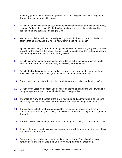testimony given to him that he was righteous, God testifying with respect to his gifts; and through it he, being dead, still speaks.

- **5** By faith, Chanokh was taken away, so that he wouldn't see death, and he was not found, because God translated him. For he has had testimony given to him that before his translation he had been well pleasing to God.
- **6** Without faith it is impossible to be well pleasing to him, for he who comes to God must believe that he exists, and that he is a rewarder of those who seek him.
- **7** By faith, Noach, being warned about things not yet seen, moved with godly fear, prepared a teivah for the saving of his house, through which he condemned the world, and became heir of the righteousness which is according to faith.
- **8** By faith, Avraham, when he was called, obeyed to go out to the place which he was to receive for an inheritance. He went out, not knowing where he went.
- **9** By faith, he lived as an alien in the land of promise, as in a land not his own, dwelling in tents, with Yitzchak and Ya'akov, the heirs with him of the same promise.
- **10** For he looked for the city which has the foundations, whose builder and maker is God.
- **11** By faith, even Sarah herself received power to conceive, and she bore a child when she was past age, since she counted him faithful who had promised.
- **12** Therefore as many as the stars of the sky in multitude, and as innumerable as the sand which is by the sea shore, were fathered by one man, and him as good as dead.
- **13** These all died in faith, not having received the promises, but having seen them and embraced them from afar, and having confessed that they were strangers and pilgrims on the earth.
- **14** For those who say such things make it clear that they are seeking a country of their own.
- **15** If indeed they had been thinking of that country from which they went out, they would have had enough time to return.
- **16** But now they desire a better country, that is, a heavenly one. Therefore God is not ashamed of them, to be called their God, for he has prepared a city for them.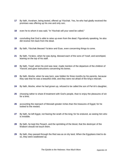- **17** By faith, Avraham, being tested, offered up Yitzchak. Yes, he who had gladly received the promises was offering up his one and only son;
- **18** even he to whom it was said, "In Yitzchak will your seed be called;"
- **19** concluding that God is able to raise up even from the dead. Figuratively speaking, he also did receive him back from the dead.
- **20** By faith, Yitzchak blessed Ya'akov and Esav, even concerning things to come.
- **21** By faith, Ya'akov, when he was dying, blessed each of the sons of Yosef, and worshiped, leaning on the top of his staff.
- **22** By faith, Yosef, when his end was near, made mention of the departure of the children of Yisra'el; and gave instructions concerning his bones.
- **23** By faith, Moshe, when he was born, was hidden for three months by his parents, because they saw that he was a beautiful child, and they were not afraid of the king's mitzvah.
- **24** By faith, Moshe, when he had grown up, refused to be called the son of Par'oh's daughter,
- **25** choosing rather to share ill treatment with God's people, than to enjoy the pleasures of sin for a time;
- **26** accounting the reproach of Messiah greater riches than the treasures of Egypt; for he looked to the reward.
- **27** By faith, he left Egypt, not fearing the wrath of the king; for he endured, as seeing him who is invisible.
- **28** By faith, he kept the Pesach, and the sprinkling of the blood, that the destroyer of the firstborn should not touch them.
- **29** By faith, they passed through the Red sea as on dry land. When the Egyptians tried to do so, they were swallowed up.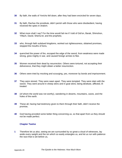- **30** By faith, the walls of Yericho fell down, after they had been encircled for seven days.
- **31** By faith, Rachav the prostitute, didn't perish with those who were disobedient, having received the spies in shalom.
- **32** What more shall I say? For the time would fail me if I told of Gid'on, Barak, Shimshon, Yiftach, David, Shemu'el, and the prophets;
- **33** who, through faith subdued kingdoms, worked out righteousness, obtained promises, stopped the mouths of lions,
- **34** quenched the power of fire, escaped the edge of the sword, from weakness were made strong, grew mighty in war, and caused foreign armies to flee.
- **35** Women received their dead by resurrection. Others were tortured, not accepting their deliverance, that they might obtain a better resurrection.
- **36** Others were tried by mocking and scourging, yes, moreover by bonds and imprisonment.
- **37** They were stoned. They were sawn apart. They were tempted. They were slain with the sword. They went around in sheep skins and in goat skins; being destitute, afflicted, illtreated
- **38** (of whom the world was not worthy), wandering in deserts, mountains, caves, and the holes of the earth.
- **39** These all, having had testimony given to them through their faith, didn't receive the promise,
- **40** God having provided some better thing concerning us, so that apart from us they should not be made perfect.

#### **Chapter Twelve**

**1** Therefore let us also, seeing we are surrounded by so great a cloud of witnesses, lay aside every weight and the sin which so easily entangles us, and let us run with patience the race that is set before us,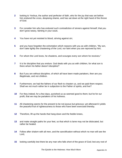- **2** looking to Yeshua, the author and perfecter of faith, who for the joy that was set before him endured the cross, despising shame, and has sat down at the right hand of the throne of God.
- **3** For consider him who has endured such contradiction of sinners against himself, that you don't grow weary, fainting in your souls.
- **4** You have not yet resisted to blood, striving against sin;
- **5** and you have forgotten the exhortation which reasons with you as with children, "My son, don't take lightly the chastening of the Lord, nor faint when you are reproved by him;
- **6** For whom the Lord loves, he chastens, and scourges every son whom he receives."
- **7** It is for discipline that you endure. God deals with you as with children, for what son is there whom his father doesn't discipline?
- **8** But if you are without discipline, of which all have been made partakers, then are you illegitimate, and not children.
- **9** Furthermore, we had the fathers of our flesh to chasten us, and we paid them respect. Shall we not much rather be in subjection to the Father of spirits, and live?
- **10** For they indeed, for a few days, punished us as seemed good to them; but he for our profit, that we may be partakers of his holiness.
- **11** All chastening seems for the present to be not joyous but grievous; yet afterward it yields the peaceful fruit of righteousness to those who have been exercised thereby.
- **12** Therefore, lift up the hands that hang down and the feeble knees,
- **13** and make straight paths for your feet, so that which is lame may not be dislocated, but rather be healed.
- **14** Follow after shalom with all men, and the sanctification without which no man will see the Lord,
- **15** looking carefully lest there be any man who falls short of the grace of God; lest any root of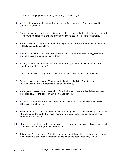bitterness springing up trouble you, and many be defiled by it;

- **16** lest there be any sexually immoral person, or profane person, as Esav, who sold his birthright for one meal.
- **17** For you know that even when he afterward desired to inherit the blessing, he was rejected, for he found no place for a change of mind though he sought it diligently with tears.
- **18** For you have not come to a mountain that might be touched, and that burned with fire, and to blackness, darkness, storm,
- **19** the sound of a shofar, and the voice of words; which those who heard it begged that not one more word should be spoken to them,
- **20** for they could not stand that which was commanded, "If even an animal touches the mountain, it shall be stoned;"
- **21** and so fearful was the appearance, that Moshe said, "I am terrified and trembling."
- **22** But you have come to Mount Tziyon, and to the city of the living God, the heavenly Yerushalayim, and to innumerable multitudes of angels,
- **23** to the general assembly and assembly of the firstborn who are enrolled in heaven, to God the Judge of all, to the spirits of just men made perfect,
- **24** to Yeshua, the mediator of a new covenant, and to the blood of sprinkling that speaks better than that of Hevel.
- **25** See that you don't refuse him who speaks. For if they didn't escape when they refused him who warned on the Earth, how much more will we not escape who turn away from him who warns from heaven,
- **26** whose voice shook the earth then, but now he has promised, saying, "Yet once more I will shake not only the earth, but also the heavens."
- **27** This phrase, "Yet once more," signifies the removing of those things that are shaken, as of things that have been made, that those things which are not shaken may remain.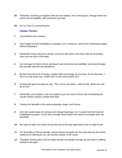- **28** Therefore, receiving a Kingdom that can't be shaken, let us have grace, through which we serve God acceptably, with reverence and awe,
- **29** for our God is a consuming fire.

#### **Chapter Thirteen**

- **1** Let brotherly love continue.
- **2** Don't forget to show hospitality to strangers, for in doing so, some have entertained angels without knowing it.
- **3** Remember those who are in bonds, as bound with them; and those who are ill-treated, since you are also in the body.
- **4** Let marriage be held in honor among all, and let the bed be undefiled: but God will judge the sexually immoral and adulterers.
- **5** Be free from the love of money, content with such things as you have, for he has said, "I will in no way leave you, neither will I in any way forsake you."
- **6** So that with good courage we say, "The Lord is my helper. I will not fear. What can man do to me?"
- **7** Remember your leaders, men who spoke to you the word of God, and considering the results of their conduct, imitate their faith.
- **8** Yeshua the Messiah is the same yesterday, today, and forever.
- **9** Don't be carried away by various and strange teachings, for it is good that the heart be established by grace, not by food, through which those who were so occupied were not benefited.
- **10** We have an altar from which those who serve the holy tabernacle have no right to eat.
- **11** For the bodies of those animals, whose blood is brought into the holy place by the Kohen Gadol as an offering for sin, are burned outside of the camp.
- **12** Therefore Yeshua also, that he might sanctify the people through his own blood, suffered outside of the gate.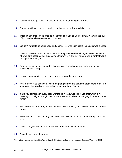- **13** Let us therefore go out to him outside of the camp, bearing his reproach.
- **14** For we don't have here an enduring city, but we seek that which is to come.
- **15** Through him, then, let us offer up a sacrifice of praise to God continually, that is, the fruit of lips which make confession to his name.
- **16** But don't forget to be doing good and sharing, for with such sacrifices God is well pleased.
- **17** Obey your leaders and submit to them, for they watch on behalf of your souls, as those who will give account, that they may do this with joy, and not with groaning, for that would be unprofitable for you.
- **18** Pray for us, for we are persuaded that we have a good conscience, desiring to live honorably in all things.
- **19** I strongly urge you to do this, that I may be restored to you sooner.
- **20** Now may the God of shalom, who brought again from the dead the great shepherd of the sheep with the blood of an eternal covenant, our Lord Yeshua,
- **21** make you complete in every good work to do his will, working in you that which is well pleasing in his sight, through Yeshua the Messiah, to whom be the glory forever and ever. Amein.
- **22** But I exhort you, brothers, endure the word of exhortation, for I have written to you in few words.
- **23** Know that our brother Timothy has been freed, with whom, if he comes shortly, I will see you.
- **24** Greet all of your leaders and all the holy ones. The Italians greet you.
- **25** Grace be with you all. Amein.

The Hebrew Names Version of the World English Bible is an update of the American Standard Version of 1901.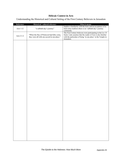# **Hebraic Context in Acts**

Understanding the Historical and Cultural Setting of the First Century Believers in Jerusalem

| Reference   | Historical / cultural reference                                                            | What it means                                                                                                                                                                                                |
|-------------|--------------------------------------------------------------------------------------------|--------------------------------------------------------------------------------------------------------------------------------------------------------------------------------------------------------------|
| Acts $1:12$ | "a sabbath-day's journey"                                                                  | Implies a familiarity with the term; and an acceptance of at<br>least some tradition (there is no 'sabbath-day's journey<br>command).                                                                        |
| Acts 2:1-2  | "When the Day of Pentecost had fully come,<br>they were all with one accord in one place." | The First Century believers were participating in the Lev 23<br>feasts. Luke assumes that the reader of Acts is also familiar<br>with the particulars of being 'in one place' in the Temple in<br>Jerusalem. |
|             |                                                                                            |                                                                                                                                                                                                              |
|             |                                                                                            |                                                                                                                                                                                                              |
|             |                                                                                            |                                                                                                                                                                                                              |
|             |                                                                                            |                                                                                                                                                                                                              |
|             |                                                                                            |                                                                                                                                                                                                              |
|             |                                                                                            |                                                                                                                                                                                                              |
|             |                                                                                            |                                                                                                                                                                                                              |
|             |                                                                                            |                                                                                                                                                                                                              |
|             |                                                                                            |                                                                                                                                                                                                              |
|             |                                                                                            |                                                                                                                                                                                                              |
|             |                                                                                            |                                                                                                                                                                                                              |
|             |                                                                                            |                                                                                                                                                                                                              |
|             |                                                                                            |                                                                                                                                                                                                              |
|             |                                                                                            |                                                                                                                                                                                                              |
|             |                                                                                            |                                                                                                                                                                                                              |
|             |                                                                                            |                                                                                                                                                                                                              |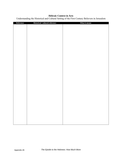# **Hebraic Context in Acts**

Understanding the Historical and Cultural Setting of the First Century Believers in Jerusalem

| Reference | Historical / cultural reference | What it means |
|-----------|---------------------------------|---------------|
|           |                                 |               |
|           |                                 |               |
|           |                                 |               |
|           |                                 |               |
|           |                                 |               |
|           |                                 |               |
|           |                                 |               |
|           |                                 |               |
|           |                                 |               |
|           |                                 |               |
|           |                                 |               |
|           |                                 |               |
|           |                                 |               |
|           |                                 |               |
|           |                                 |               |
|           |                                 |               |
|           |                                 |               |
|           |                                 |               |
|           |                                 |               |
|           |                                 |               |
|           |                                 |               |
|           |                                 |               |
|           |                                 |               |
|           |                                 |               |
|           |                                 |               |
|           |                                 |               |
|           |                                 |               |
|           |                                 |               |
|           |                                 |               |
|           |                                 |               |
|           |                                 |               |
|           |                                 |               |
|           |                                 |               |
|           |                                 |               |
|           |                                 |               |
|           |                                 |               |
|           |                                 |               |
|           |                                 |               |
|           |                                 |               |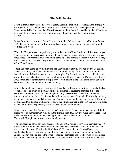# **The Daily Service**

Much is known about the daily services during Second Temple times. Although the Temple was destroyed in 70 CE, the Sanhedrin escaped and was reconvened at Yavneh [Jamnia]. It was at Yavneh that Rabbi Yochanan ben Zakkai reconstituted the Sanhedrin and began the difficult task of establishing a framework for worship for larger Judaism, since the Temple was now destroyed.

It was from this reconstituted Sanhedrin, and those that followed in the period between 70 and 132 CE, that the beginnings of Rabbinic Judaism arose. The Mishnah, and later the Talmud codified their work.

When the Temple was destroyed, along with it the center of Jewish religious life was destroyed. Gone were the daily sacrifices. Gone was the daily place of prayer. Gone was the place where three times each year each man who could, came up to the Temple to worship. What were they to do in place of the Temple? This problem cannot be underestimated in understanding the context of the First Century.

There had been a similar problem during the Babylonian Captivity five hundred years earlier. During that time, men like Daniel had learned to 'do what they could' without the Temple. Sacrifices were forbidden anywhere except that 'place' in Jerusalem – but one could still pray during the times when the priests and worshippers would pray. As during Daniel's time, faithful Jews continued to remember the Temple service with prayer at the same times of the day as the sacrifices. This is a main tenet of Judaism today.

Add to the practice of prayer at the times of the daily sacrifices, an opportunity to study the laws of the sacrifice as a way to 'partially fulfill' the commands regarding sacrifice. Since the sacrifices were now gone, pious men began to study the sacrifices as means to somehow remember and honor them. It is from this tradition that we have the detailed knowledge not only of the way Torah describes Tabernacle and Temple service, but the very practice of it. From the Mishnah and the Talmud we know a lot about the Temple service in the First Century. The order of the Daily Service is generally present in Synagogue worship today.

Most people equate the Temple sacrifices as 'sin sacrifices'. This is quite inadequate. Of the five major types of sacrifices that went on in the Temple each day, only two were 'sin' related – and those were still related to the physical approach to the Presence of God's in the Tabernacle/Temple, not a source for 'eternal cleansing'.

The first sacrifice of the day took place at 9:00 am, or the "Third Hour". This sacrifice was left on the altar during the day. Throughout the day each new sacrifice was added to the altar until the last sacrifice was offered at the Ninth hour (3:00 pm), so that all the sacrifices were sandwiched between the morning and afternoon sacrifices. These two comprise the 'daily sacrifice'. They are also called the *tamid* [continual] sacrifices. No sacrifice was offered before the lamb of the morning, and no sacrifice was offered after the lamb of the afternoon. Always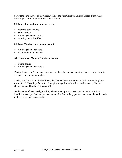pay attention to the use of the words, "daily" and "continual" in English Bibles. It is usually referring to these Temple services and sacrifices.

## **9:00 am: Shacharit (morning prayers):**

- Morning benedictions
- Sh'ma prayer
- Amidah (Shemoneh Esrei)
- Morning *tamid* Sacrifice

## **3:00 pm: Minchah (afternoon prayers):**

- Amidah (Shemoneh Esrei)
- Afternoon *tamid* Sacrifice

# **After sundown: Ma'ariv (evening prayers):**

- S'hma prayer
- Amidah (Shemoneh Esrei)

During the day, the Temple environs were a place for Torah discussions in the courtyards or in various rooms in the perimeter.

During the Sabbath and festival times, the Temple became ever busier. This is especially true during the *Sh'losh Regalim*, or the three pilgrimage festivals of Pesach (Passover), Shavuot (Pentecost), and Sukkot (Tabernacles).

As the center of Jewish religious life, when the Temple was destroyed in 70 CE, it left an indelible mark upon Judaism, so that even to this day its daily practices are remembered in study and in Synagogue service order.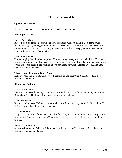# **The Genizah Amidah**

# **Opening Meditation**

HaShem, open my lips that my mouth may declare Your praise.

### **Blessings of Praise**

#### **One – The Fathers**

Blessed are You, HaShem, our God and our ancestors' God, Abraham's God, Isaac's God, Jacob's God, great, mighty, and revered God, supreme God, Master of heaven and earth, our protector and our ancestors' protector, our security in each and every generation. Blessed are You, HaShem, Abraham's protector.

#### **Two – God's Power**

You are mighty, You humble the proud, You are strong, You judge the wicked, and You live forever; You support the dead, cause the wind to blow and bring down the dew, and sustain life giving life to the dead; in the blink of an eye You bring salvation. Blessed are You, HaShem, who gives life to the dead.

#### **Three – Sanctification of God's Name**

Holy are You, and Your Name is revered; there is no god other than You. Blessed are You, HaShem, the holy God.

#### **Blessings of Petition**

#### **Four – Knowledge**

Favor us, with Your knowledge, our Father; and with Your Torah's understanding and wisdom. Blessed are You, HaShem, who favors people with knowledge.

#### **Five – Repentance**

Bring us back to You, HaShem, that we shall return. Renew our days as of old. Blessed are You, HaShem, who takes pleasure in repentance.

#### **Six – Forgiveness**

Forgive us, our Father, for we have sinned before You; wipe out and remove our transgressions from before Your eyes, for great is Your mercy. Blessed are You, HaShem, who is quick to forgive.

#### **Seven – Deliverance**

See our affliction and fight our fight; redeem us for the sake of Your Name. Blessed are You, HaShem, who redeems Israel.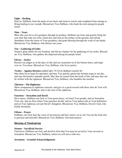### **Eight – Healing**

Heal us, HaShem, from the pains of our heart, and remove sorrow and complaint from among us. Bring healing to our wounds. Blessed are You, HaShem, who heals the sick among his people Israel.

### **Nine – Years**

Bless this year for us for goodness through its produce, HaShem our God, and quickly bring the year near that ends our exile. Grant dew and rain on the surface of the ground, and eternal abundance from the stores of Your goodness, and grant blessing through the work of our hands. Blessed are You, HaShem, who blesses our years.

## **Ten – Gathering of Exiles**

Sound a great shofar for our freedom, and lift up a banner for the gathering of our exiles. Blessed are You, HaShem, who gathers the dispersed among his people Israel.

#### **Eleven – Justice**

Restore our judges as in the days of old, and our counselors as in the former times, and reign over us, You alone. Blessed are You, HaShem, who loves justice.

## **Twelve – Against Heretics** *(added after 70 CE by Rabban Gamliel II)*

May there be no hope for apostates, and may You quickly uproot the insolent reign in our day, and may the heretics instantly perish. May they be erased from the book of life, and may they not be written with the righteous. Blessed are You, HaShem, who humbles the insolent.

#### **Thirteen – The Righteous**

Show compassion to righteous converts, and give us a good reward with those who do Your will. Blessed are You, HaShem, who is the trust of the righteous.

#### **Fourteen – Jerusalem and David**

Have mercy, HaShem our God, in Your great mercy, on Israel Your people, and on Jerusalem Your city, and on Zion where Your presence dwells, and on Your palace and on Your habitation and on Your righteous servant David's Kingdom. Blessed are You, HaShem, David's God, who builds Jerusalem.

#### **Fifteen – Prayer**

HaShem, our God, hear the voice of our prayers and have mercy on us, for You are the God who is gracious and merciful. Blessed are You, HaShem, who hears prayer.

#### **Blessings of Thanksgiving**

#### **Sixteen – Sacrificial Service**

Find favor; HaShem our God, and dwell in Zion that You may be served by Your servants in Jerusalem. Blessed are You, HaShem, whom we will serve with awe.

#### **Seventeen – Grateful Acknowledgement**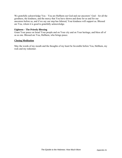We gratefully acknowledge You – You are HaShem our God and our ancestors' God – for all the goodness, the kindness, and the mercy that You have shown and done for us and for our ancestors before us, and if we say our step has faltered, Your kindness will support us. Blessed are You, whom it is good to gratefully acknowledge.

## **Eighteen – The Priestly Blessing**

Grant Your peace on Israel Your people and on Your city and on Your heritage, and bless all of us as one. Blessed are You, HaShem, who brings peace.

## **Closing Meditation**

May the words of my mouth and the thoughts of my heart be favorable before You, HaShem, my rock and my redeemer.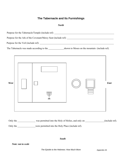# **The Tabernacle and Its Furnishings**

*North* 

| Purpose for the Tabernacle/Temple (include ref):              |                                               |
|---------------------------------------------------------------|-----------------------------------------------|
| Purpose for the Ark of the Covenant/Mercy Seat (include ref): |                                               |
| Purpose for the Veil (include ref):                           |                                               |
| The Tabernacle was made according to the                      | shown to Moses on the mountain (include ref). |



Only the \_\_\_\_\_\_\_\_\_\_\_\_\_\_\_ was permitted into the Holy of Holies, and only on \_\_\_\_\_\_\_\_\_\_\_\_(include ref). Only the were permitted into the Holy Place (include ref).

# *South*

*Note: not to scale*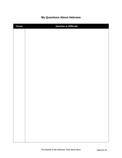# **My Questions About Hebrews**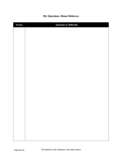# **My Questions About Hebrews**

| <b>Verses</b> | <b>Question or Difficulty</b> |
|---------------|-------------------------------|
|               |                               |
|               |                               |
|               |                               |
|               |                               |
|               |                               |
|               |                               |
|               |                               |
|               |                               |
|               |                               |
|               |                               |
|               |                               |
|               |                               |
|               |                               |
|               |                               |
|               |                               |
|               |                               |
|               |                               |
|               |                               |
|               |                               |
|               |                               |
|               |                               |
|               |                               |
|               |                               |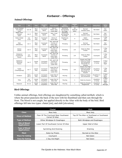### *Korbanot –* **Offerings**

### **Animal Offerings**

| Type                                   | Ref                 | <b>Class</b>   | Slaughter<br><b>Site</b> | <b>Blood Applied</b>                                      | <b>Blood</b><br><b>Application</b>     | <b>Number</b><br>of<br><b>Application</b> | Meat                                                                            | <b>Eating Place</b> | Eating<br><b>Time</b>    |
|----------------------------------------|---------------------|----------------|--------------------------|-----------------------------------------------------------|----------------------------------------|-------------------------------------------|---------------------------------------------------------------------------------|---------------------|--------------------------|
| Inner Chataot<br>Yom Kippur<br>[Sin]   | Lev 16              | Most<br>Holy   | Courtyard<br>North       | Holy of<br>Holies, Holy,<br>Inner Altar                   | Sprinkling<br>and Daubing<br>by Finger | 43<br>(total for<br>both)                 | <b>Burned</b><br>Outside Camp                                                   | Not Eaten           | Not<br>Eaten             |
| Other Inner<br>Chataot<br>[Sin]        | Lev 4               | Most<br>Holy   | Courtyard<br>North       | Holy, Inner<br>Altar                                      | Sprinkling<br>and Daubing<br>by Finger | 11                                        | Burned<br>Outside Camp                                                          | Not Eaten           | Not<br>Eaten             |
| Outer Chatat<br>[Sin]                  | Lev<br>6:24         | Most<br>Holy   | Courtyard<br>North       | Horns of<br>Outer Altar                                   | Daubing by<br>Finger                   | $\overline{4}$                            | Eaten<br><b>By Priests</b>                                                      | Courtyard           | 1 Day<br>and<br>Night    |
| Olah<br>[Elevation]                    | Lev <sub>1</sub>    | Most<br>Holy   | Courtyard<br>North       | N.E. and S.W.<br>Corners of<br>Outer Altar.<br>Lower Part | Throwing                               | 2/4                                       | <b>Burned</b><br>on Outer Altar                                                 | Not Eaten           | Not<br>Eaten             |
| Asham<br>[Guilt]                       | Lev <sub>5</sub>    | Most<br>Holy   | Courtyard<br>North       | N.F. and S.W.<br>Corners of<br>Outer Altar.<br>Lower Part | Throwing                               | 2/4                                       | Eaten by Male<br>Priests                                                        | Courtyard           | 1 Day<br>and<br>Night    |
| Shelamim<br>[Communal<br>Peace]        | Lev<br>23:9         | Most<br>Holy   | Courtyard<br>North       | N.E. and S.W.<br>Corners of<br>Outer Altar.<br>Lower Part | Throwing                               | 2/4                                       | Eaten by Male<br>Priests                                                        | Courtyard           | 1 Day<br>and<br>Night    |
| Shelamim<br><b>[Personal</b><br>Peace] | lev <sub>3</sub>    | Lesser<br>Holy | Courtyard<br>Anywhere    | N.E. and S.W.<br>Corners of<br>Outer Altar,<br>Lower Part | Throwing                               | 2/4                                       | Breast and Thigh<br>Eaten by Priests<br>and Household<br>Remainder by<br>Anyone | Anywhere<br>in Camp | 2 Days<br>and 1<br>Night |
| Todah<br>[Thanksgiving]                | Lev <sub>7</sub>    | Lesser<br>Holy | Courtyard<br>Anywhere    | Lower Part of<br>Corners of<br>Outer Altar.<br>Lower Part | Throwing                               | 2/4                                       | Breast and Thigh<br>Eaten by Priests<br>and Household<br>Remainder by<br>Anyone | Anywhere<br>in Camp | 1 Day<br>and<br>Night    |
| Firstborn                              | <b>Num</b><br>18:17 | Lesser<br>Holy | Courtyard<br>Anywhere    | Lower Part of<br>Altar Wall                               | Pouring                                | $\mathbf{1}$                              | Eaten by Priests<br>and Household                                               | Anywhere in<br>Camp | 2 Days<br>and 1<br>Night |
| Tithe                                  | Lev<br>27:32        | Lesser<br>Holy | Courtyard<br>Anywhere    | Lower Part of<br>Altar Wall                               | Pouring                                | $\mathbf{1}$                              | Eaten by Anyone                                                                 | Anywhere<br>in Camp | 2 Days<br>and 1<br>Night |
| Passover                               | Ex 12               | Lesser<br>Holy | Courtyard<br>Anywhere    | Lower Part of<br>Altar Wall                               | Pouring                                | $\mathbf{1}$                              | Eaten by Anyone<br>(Registered)                                                 | Anywhere<br>in Camp | Until<br>Midnight        |

### **Bird Offerings**

Unlike animal offerings, bird offerings are slaughtered by something called *melikah*, which is where the priest punctures the back of the next with his thumbnail and then cuts through the front. The blood is not caught, but applied directly to the Altar with the body of the bird. Bird offerings fell into two types: *chatat* [sin], and *olah* [elevation].

|                                             | Chatat                                                   | Olah                                                 |  |  |
|---------------------------------------------|----------------------------------------------------------|------------------------------------------------------|--|--|
| <b>Class</b>                                | Most Holy                                                | Most Holy                                            |  |  |
| Place of <i>Melikah</i>                     | Floor Of The Courtyard Near Southwest<br>Corner Of Altar | Top Of The Altar or Southeast or Southwest<br>Corner |  |  |
| <b>Type of Melikah</b>                      | Either Windpipe Or Esophagus                             | Both Windpipe and Esophagus                          |  |  |
| <b>Site of Blood</b><br><b>Applications</b> | Lower Part Of Southwest Corner Of Altar                  | Upper Wall of Altar                                  |  |  |
| <b>Type of Blood</b><br><b>Applications</b> | Sprinkling And Draining                                  | Draining                                             |  |  |
| <b>Meat</b>                                 | Eaten by Priests                                         | Burned on the Altar                                  |  |  |
| <b>Place for Eating</b>                     | Courtyard                                                | Not Eaten                                            |  |  |
| <b>Time for Eating</b>                      | 1 Day And Night                                          | Not Eaten                                            |  |  |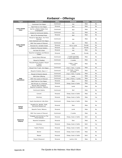| <b>Type</b>           | <b>Who</b><br><b>Occasion</b><br>Animal                                     |                                   |                                        | Gender | Voluntary |
|-----------------------|-----------------------------------------------------------------------------|-----------------------------------|----------------------------------------|--------|-----------|
|                       | Communal Yom Kippur                                                         | Communal                          | Kid                                    | Male   | No        |
| Inner Chatat<br>[Sin] | High Priest on Yom Kippur                                                   | Personal                          | Bull                                   | Male   | No        |
|                       | Bull for a Matter Hidden from<br>Congregation                               | Communal                          | Bull                                   | Male   | No        |
|                       | Chatat for Communal Idolatry                                                | Communal                          | Kid                                    | Male   | No        |
|                       | Bull of The Anointed Priest                                                 | Personal                          | Bull                                   | Male   | No        |
|                       | Mussaf on New Moon, the Three<br>Festivals,<br>Rosh Hashanah and Yom Kippur | Communal                          | Kid                                    | Male   | No        |
|                       | With Two Loaves of Shavuot                                                  | Communal                          | Kid                                    | Male   | No        |
| Outer Chatat          | Personal Sin, Variable Chatat                                               | Personal                          | Kid or Lamb                            | Female | No        |
| [Sin]                 | Chatat for Personal Idolatry                                                | Personal                          | Kid                                    | Female | No        |
|                       | He-Goat Of A Ruler                                                          | Personal                          | Kid                                    | Male   | No        |
|                       | Nazarite Completion and Metzora<br>(Leper)                                  | Personal                          | Lamb                                   | Female | No        |
|                       | Tamid (Daily Offering)                                                      | Communal                          | 1 Lamb (morning)<br>1 Lamb (afternoon) | Male   | No        |
|                       | Mussaf of Shabbat                                                           | Communal                          | 2 Lambs                                | Male   | No        |
|                       | Mussafof Rosh Chodesh, Pesach<br>(7 Days),<br>Shavuot                       | Communal                          | 2 Bulls, 1 Ram,<br>7 Lambs             | Male   | No        |
|                       | Mussaf Yom T'ruah, Yom Kippur                                               | Communal                          | 1 Bull, 1 Ram, 7 Lambs                 | Male   | No        |
|                       | Mussaf of Sukkot, Days 1-7                                                  | Communal                          | 13-7 Bulls, 2 Rams,<br>14 Lambs        | Male   | No        |
|                       | Mussaf of Shemini Atzeret                                                   | Communal                          | 1 Bull, 1 Ram, 7 Lambs                 | Male   | No        |
|                       | With Omer Offering                                                          | Communal                          | Lamb                                   | Male   | No        |
| Olah                  | With Two Loaves of Shavuot                                                  | Communal                          | 1 Bull, 2 Rams, 7 Lambs                | Male   | No        |
| [Elevation]           | Personal<br>High Priest on Yom Kippur<br>Ram                                |                                   |                                        | Male   | No        |
|                       | Olat Re'lyah on 3 Festivals                                                 | Personal<br>Sheep, Goat or Cattle |                                        | Male   | No        |
|                       | Woman After Childbirth,<br>Nazarite Completion, Metzora                     | Personal                          | Lamb                                   | Male   | No        |
|                       | Communal Idolatry                                                           | Communal                          | Bull                                   | Male   | No        |
|                       | Convert                                                                     | Personal                          | Sheep, Goat or Cattle                  | Male   | No        |
|                       | Voluntary                                                                   | Personal                          | Sheep, Goat or Cattle                  | Male   | Yes       |
|                       | Kayitz Hamizbe'ach (idle Altar)                                             | Communal                          | Sheep, Goat or Cattle                  | Male   | Yes       |
| Asham<br>(Guilt)      | Doubtful Sin, Me'llah, Theft,<br>Betrothed Maidservant                      | Personal                          | Ram                                    | Male   | No        |
|                       | Nazarite Tamei, Metzora                                                     | Personal                          | Lamb                                   | Male   | No        |
|                       | With Two Loaves of Shavuot                                                  | Communal                          | 2 Lambs                                | Male   | No        |
|                       | Chagigah and Simchah on The<br><b>Three Festivals</b>                       | Personal                          | Sheep, Goat or Cattle                  | Both   | No        |
| Shelamim<br>(Peace)   | Nazarite Completion                                                         | Personal                          | Ram                                    | Male   | No        |
|                       | Voluntary                                                                   | Personal                          | Sheep, Goat or Cattle                  | Both   | Yes       |
|                       | Todah [Thanks]                                                              | Personal                          | Sheep, Goat or Cattle                  | Both   | Yes       |
|                       | Bechor                                                                      | Personal                          | Sheep, Goat or Cattle                  | Male   | No        |
|                       | Maaser                                                                      | Personal                          | Sheep, Goat or Cattle                  | Both   | No        |
|                       | Pesach [Passover]                                                           | Personal                          | Lamb or Kid                            | Male   | No        |

# *Korbanot – Offerings*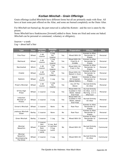### *Korban Minchah - Grain Offerings*

Grain offerings (called *Minchah*) have different forms but all are primarily made with flour. All have at least some part offered on the Altar, and some are burned completely on the Outer Altar.

For *Minchah* not burned up, the part removed is called the *Kometz* - and the rest is eaten by the priests.

Some *Minchah* have frankincense [*levonah*] added to them. Some are fried and some are baked. *Minchah* can be personal or communal, voluntary or obligatory.

*Issaron* = a tenth *Log* = about half a liter

| <b>Type</b>                                     | <b>Flour</b>  | Quantity<br>of Flour                                       | Quantity<br>of Oil                       | Levonah   | Preparation                                                    | <b>Offering</b>                                                            | <b>Who</b> |
|-------------------------------------------------|---------------|------------------------------------------------------------|------------------------------------------|-----------|----------------------------------------------------------------|----------------------------------------------------------------------------|------------|
| Fine Flour                                      | Wheat         | $1 - 60$<br><b>Issaron</b>                                 | $1$ Log<br>Per<br>Issaron                | Yes       | Mixed With Oil                                                 | Kometz to Altar,<br>Remainder to<br>Priests                                | Personal   |
| Machavat                                        | Wheat         | $1 - 60$<br>Issaron                                        | 1 Log<br>Per<br>Issaron                  | Yes       | Mixed With Oil,<br>Fried On A<br>Griddle                       | Kometz to Altar,<br>Remainder to<br>Priests                                | Personal   |
| Marcheshet                                      | Whmt          | $1 - 60$<br><b>Issaron</b>                                 | 1 Log<br>Per<br><i>Issaron</i>           | Yes       | Mixed With Oil.<br>Fried In Pan                                | Kometz to Altar,<br>Remainder to<br>Priests                                | Personal   |
| Challot                                         | Wheat         | $1 - 60$<br><b>Issaron</b>                                 | 1 Log<br>Per<br><i>Issaron</i>           | Yes       | Mixed With Oil,<br>Baked In Oven                               | Kometz to Altar,<br>Remainder to<br>Priests                                | Personal   |
| Rekikim                                         | Wheat         | $1 - 60$<br><b>Issaron</b>                                 | $1$ Log                                  | Yes       | Baked,<br>Oil Smeared,<br><b>Baked Wafers</b>                  | Kometz to Altar,<br>Remainder to<br>Priests                                | Personal   |
| Priest's Minchah                                | Wheat         | $1 - 60$<br><i>Issaron</i>                                 | 1 Log<br>Per<br><b>Issaron</b>           | Yes       | Any Of The<br>Above                                            | <b>Burned Entirely</b><br>On Altar                                         | Personal   |
| Of the High<br>Priest                           | Wheat         | 1 Issaron                                                  | 3 Log                                    | Yes       | Mixed With Oil,<br>Scalded In Hot<br>Water, Baked<br>And Fried | <b>Burned Entirely</b><br>On Altar, 1/2 In<br>Morning, 1/2 In<br>Afternoon | Personal   |
| Induction<br>Minchah of<br>Priests              | Wheat         | 1 Issaron                                                  | 3 Log                                    | Yes       | Mixed With Oil.<br>Scalded In Hot<br>Water, Baked<br>And Fried | <b>Burned Entirely</b><br>On Altar                                         | Personal   |
| Sinner's Minchah                                | Wheat         | 1 Issaron                                                  | None                                     | No        | Raw Flour                                                      | Kometz to Altar,<br>Remainder to<br>Priests                                | Personal   |
| Jealousy Minchah<br>Sotah                       | Barley        | 1 Issaron                                                  | None                                     | No        | Raw Flour                                                      | Kometz to Altar,<br>Remainder to<br>Priests                                | Personal   |
| Omer Minchah                                    | <b>Barley</b> | 1 Issaron                                                  | $1$ Log                                  | Yes       | Mixed With Oil                                                 | Kometz to Altar,<br>Remainder to<br>Priests                                | Communal   |
| Minchat<br>Nesachim                             | Wheat         | 3 Issaron<br>Bull<br>2 Issaron<br>Ram<br>1 Issaron<br>Lamb | 6 Log Bull<br>4 Log Ram<br>3 Log<br>Lamb | <b>No</b> | Mixed With Oil                                                 | <b>Burned Entirely</b><br>On Altar                                         | Communal   |
| Minchat<br>Nesachim<br>Accompanying<br>The Omer | Wheat         | 2 Issaron                                                  | 3 Log                                    | No        | Mixed With Oil                                                 | <b>Burned Entirely</b><br>On Altar                                         | Communal   |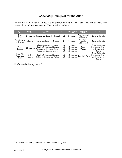# *Minchah* **[Grain] Not for the Altar**

Four kinds of *minchah* offerings had no portion burned on the Altar. They are all made from wheat flour and one has *levonah*. They are all oven baked.

| <b>Type</b>                     | <b>Amount Of</b><br><b>Flour</b> | <b>Type Of Loaves</b>                                                                                           | Loaves               | <b>Flour In Each</b><br>Loaf                                              | <b>Associated</b><br>Offering                  | <b>Disposition</b>                                                      |
|---------------------------------|----------------------------------|-----------------------------------------------------------------------------------------------------------------|----------------------|---------------------------------------------------------------------------|------------------------------------------------|-------------------------------------------------------------------------|
| Show<br>Bread                   |                                  | 24 <i>Issaron</i> Unleavened, Specially Shaped                                                                  | $12 \overline{ }$    | 2 Issaron                                                                 | Two Spoonfuls<br>of Levonah                    | Eaten by Priests                                                        |
| Two Loaves<br>of Shavuot        | 2 <i>Issaron</i>                 | Leavened, Specially Shaped                                                                                      | 2                    | <i>Issaron</i>                                                            | Two Shelamim<br>Lambs<br>of Shavuot            | Eaten by Priests                                                        |
| Todah<br><b>Breads</b>          | 20 Issaron                       | Chametz, Leavened Bread<br>Challot, Unleavened Loaves<br>Rekekim, Unleavened Wafers<br>Revuchah, Scalded Loaves | 10<br>10<br>10<br>10 | Issaron<br>1/3 <i>Issaron</i><br>1/3 <i>Issaron</i><br>1/3 <i>Issaron</i> | Todah<br>(Thanks)                              | <b>Given To Priests</b><br>Remainder Eaten<br>by Owner and<br>Guests    |
| Bread With<br>Nazarite's<br>Ram | 62/3<br><i>Issaron</i>           | Challot, Unleavened Loaves<br>Rekikim, Unleavened Wafers                                                        | 10<br>10             | 1/3 Issaron                                                               | 1/3 <i>Issaron</i> Nazarite's Ram <sup>1</sup> | <b>Given To Priests</b><br>Remainder Eaten<br>by Nazarite and<br>Guests |

*Korban* and offering charts  $*$ 

 $\overline{a}$ 

<sup>∗</sup> All *korban* and offering chart derived from Artscroll's *Vayikra*